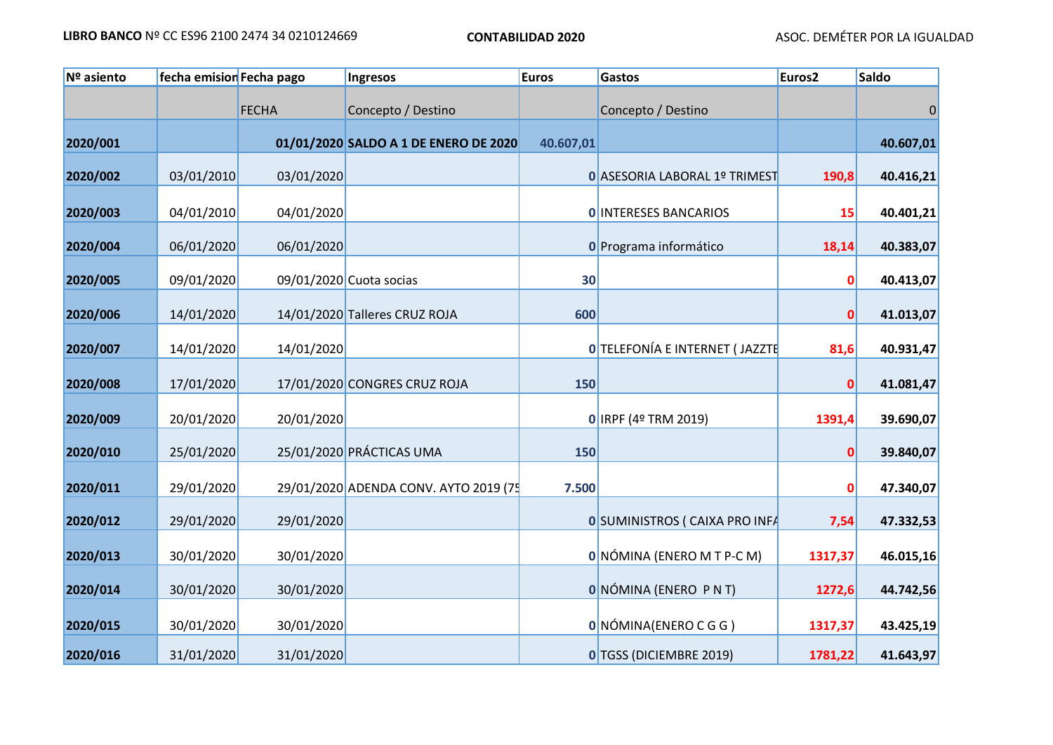| Nº asiento | fecha emision Fecha pago |              | Ingresos                              | <b>Euros</b> | Gastos                               | Euros <sub>2</sub> | <b>Saldo</b> |
|------------|--------------------------|--------------|---------------------------------------|--------------|--------------------------------------|--------------------|--------------|
|            |                          | <b>FECHA</b> | Concepto / Destino                    |              | Concepto / Destino                   |                    | $\mathbf{0}$ |
| 2020/001   |                          |              | 01/01/2020 SALDO A 1 DE ENERO DE 2020 | 40.607,01    |                                      |                    | 40.607,01    |
| 2020/002   | 03/01/2010               | 03/01/2020   |                                       |              | O ASESORIA LABORAL 1º TRIMEST        | 190,8              | 40.416,21    |
| 2020/003   | 04/01/2010               | 04/01/2020   |                                       |              | <b>O INTERESES BANCARIOS</b>         | 15                 | 40.401,21    |
| 2020/004   | 06/01/2020               | 06/01/2020   |                                       |              | O Programa informático               | 18,14              | 40.383,07    |
| 2020/005   | 09/01/2020               |              | 09/01/2020 Cuota socias               | 30           |                                      | $\mathbf{0}$       | 40.413,07    |
| 2020/006   | 14/01/2020               |              | 14/01/2020 Talleres CRUZ ROJA         | 600          |                                      | $\mathbf 0$        | 41.013,07    |
| 2020/007   | 14/01/2020               | 14/01/2020   |                                       |              | 0 TELEFONÍA E INTERNET (JAZZTE       | 81,6               | 40.931,47    |
| 2020/008   | 17/01/2020               |              | 17/01/2020 CONGRES CRUZ ROJA          | 150          |                                      | $\mathbf{0}$       | 41.081,47    |
| 2020/009   | 20/01/2020               | 20/01/2020   |                                       |              | 0 IRPF (4º TRM 2019)                 | 1391,4             | 39.690,07    |
| 2020/010   | 25/01/2020               |              | 25/01/2020 PRÁCTICAS UMA              | 150          |                                      | $\mathbf 0$        | 39.840,07    |
| 2020/011   | 29/01/2020               |              | 29/01/2020 ADENDA CONV. AYTO 2019 (75 | 7.500        |                                      | $\mathbf{0}$       | 47.340,07    |
| 2020/012   | 29/01/2020               | 29/01/2020   |                                       |              | <b>OSUMINISTROS ( CAIXA PRO INFA</b> | 7,54               | 47.332,53    |
| 2020/013   | 30/01/2020               | 30/01/2020   |                                       |              | 0 NÓMINA (ENERO M T P-C M)           | 1317,37            | 46.015,16    |
| 2020/014   | 30/01/2020               | 30/01/2020   |                                       |              | <b>ONÓMINA (ENERO PNT)</b>           | 1272,6             | 44.742,56    |
| 2020/015   | 30/01/2020               | 30/01/2020   |                                       |              | 0 NÓMINA (ENERO C G G )              | 1317,37            | 43.425,19    |
| 2020/016   | 31/01/2020               | 31/01/2020   |                                       |              | 0 TGSS (DICIEMBRE 2019)              | 1781,22            | 41.643,97    |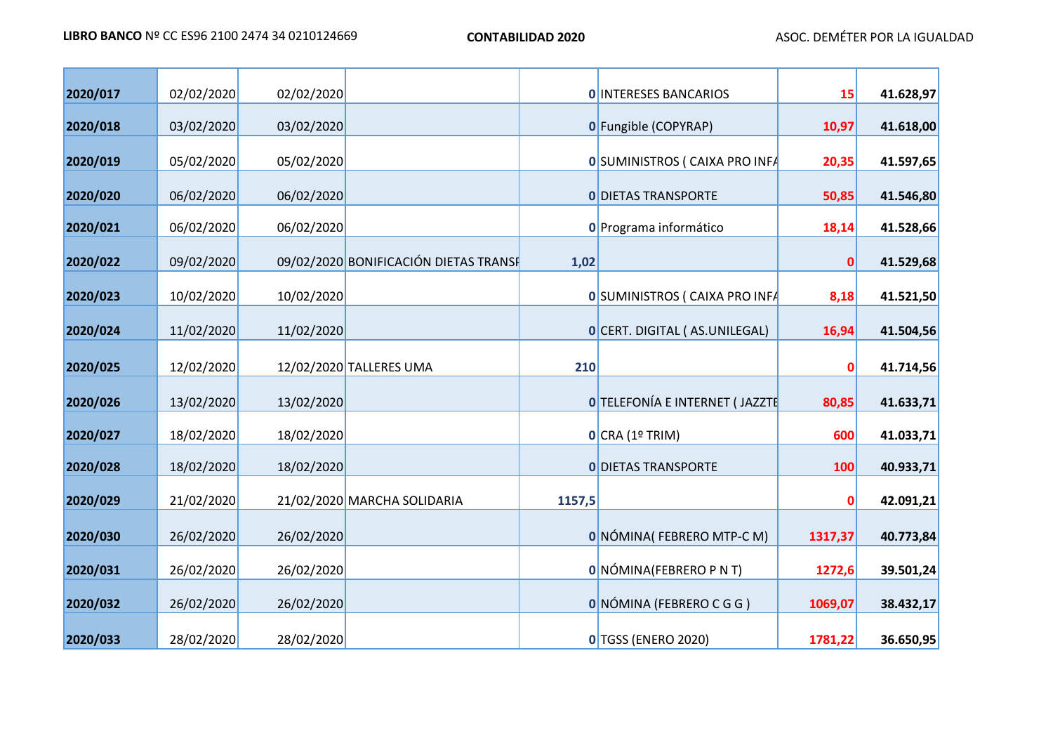т

÷

| LIBRO BANCO Nº CC ES96 2100 2474 34 0210124669 | <b>CONTABILIDAD 2020</b> | ASOC. DEMÉTER POR LA IGUALDAD |
|------------------------------------------------|--------------------------|-------------------------------|
|                                                |                          |                               |

| 2020/017 | 02/02/2020 | 02/02/2020 |                                       |        | <b>O INTERESES BANCARIOS</b>          | 15           | 41.628,97 |
|----------|------------|------------|---------------------------------------|--------|---------------------------------------|--------------|-----------|
| 2020/018 | 03/02/2020 | 03/02/2020 |                                       |        | 0 Fungible (COPYRAP)                  | 10,97        | 41.618,00 |
| 2020/019 | 05/02/2020 | 05/02/2020 |                                       |        | 0 SUMINISTROS ( CAIXA PRO INFA        | 20,35        | 41.597,65 |
| 2020/020 | 06/02/2020 | 06/02/2020 |                                       |        | <b>O DIETAS TRANSPORTE</b>            | 50,85        | 41.546,80 |
|          |            |            |                                       |        |                                       |              |           |
| 2020/021 | 06/02/2020 | 06/02/2020 |                                       |        | O Programa informático                | 18,14        | 41.528,66 |
| 2020/022 | 09/02/2020 |            | 09/02/2020 BONIFICACIÓN DIETAS TRANSE | 1,02   |                                       | $\mathbf{0}$ | 41.529,68 |
| 2020/023 | 10/02/2020 | 10/02/2020 |                                       |        | 0 SUMINISTROS ( CAIXA PRO INFA        | 8,18         | 41.521,50 |
| 2020/024 | 11/02/2020 | 11/02/2020 |                                       |        | O CERT. DIGITAL (AS.UNILEGAL)         | 16,94        | 41.504,56 |
| 2020/025 | 12/02/2020 |            | 12/02/2020 TALLERES UMA               | 210    |                                       | 0            | 41.714,56 |
| 2020/026 | 13/02/2020 | 13/02/2020 |                                       |        | <b>O</b> TELEFONÍA E INTERNET (JAZZTE | 80,85        | 41.633,71 |
| 2020/027 | 18/02/2020 | 18/02/2020 |                                       |        | O CRA (1° TRIM)                       | 600          | 41.033,71 |
| 2020/028 | 18/02/2020 | 18/02/2020 |                                       |        | <b>O DIETAS TRANSPORTE</b>            | 100          | 40.933,71 |
| 2020/029 | 21/02/2020 |            | 21/02/2020 MARCHA SOLIDARIA           | 1157,5 |                                       |              | 42.091,21 |
| 2020/030 | 26/02/2020 | 26/02/2020 |                                       |        | 0 NÓMINA (FEBRERO MTP-C M)            | 1317,37      | 40.773,84 |
| 2020/031 | 26/02/2020 | 26/02/2020 |                                       |        | 0 NÓMINA (FEBRERO P N T)              | 1272,6       | 39.501,24 |
| 2020/032 | 26/02/2020 | 26/02/2020 |                                       |        | O NÓMINA (FEBRERO C G G )             | 1069,07      | 38.432,17 |
| 2020/033 | 28/02/2020 | 28/02/2020 |                                       |        | 0 TGSS (ENERO 2020)                   | 1781,22      | 36.650,95 |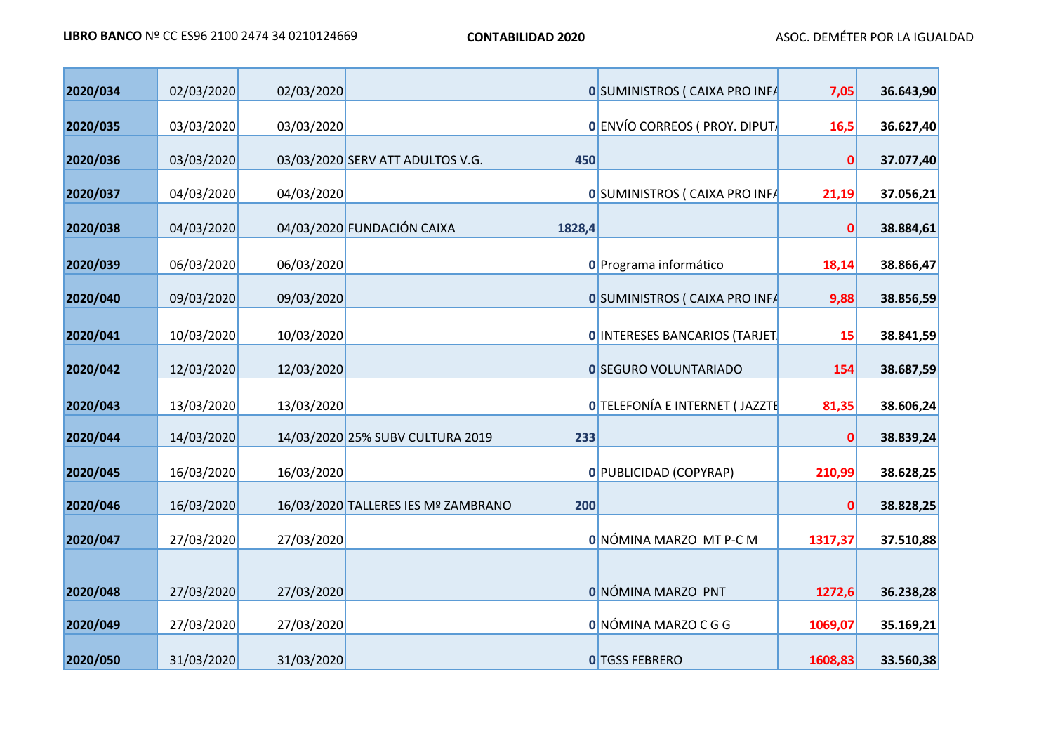| 2020/034 | 02/03/2020 | 02/03/2020 |                                     |        | <b>0 SUMINISTROS ( CAIXA PRO INFA</b> | 7,05         | 36.643,90 |
|----------|------------|------------|-------------------------------------|--------|---------------------------------------|--------------|-----------|
| 2020/035 | 03/03/2020 | 03/03/2020 |                                     |        | 0 ENVÍO CORREOS ( PROY. DIPUT.        | 16,5         | 36.627,40 |
| 2020/036 | 03/03/2020 |            | 03/03/2020 SERV ATT ADULTOS V.G.    | 450    |                                       | $\mathbf{0}$ | 37.077,40 |
| 2020/037 | 04/03/2020 | 04/03/2020 |                                     |        | <b>0 SUMINISTROS ( CAIXA PRO INFA</b> | 21,19        | 37.056,21 |
| 2020/038 | 04/03/2020 |            | 04/03/2020 FUNDACIÓN CAIXA          | 1828,4 |                                       | $\mathbf{0}$ | 38.884,61 |
| 2020/039 | 06/03/2020 | 06/03/2020 |                                     |        | O Programa informático                | 18,14        | 38.866,47 |
| 2020/040 | 09/03/2020 | 09/03/2020 |                                     |        | <b>0 SUMINISTROS ( CAIXA PRO INFA</b> | 9,88         | 38.856,59 |
|          |            |            |                                     |        |                                       |              |           |
| 2020/041 | 10/03/2020 | 10/03/2020 |                                     |        | 0 INTERESES BANCARIOS (TARJET         | 15           | 38.841,59 |
| 2020/042 | 12/03/2020 | 12/03/2020 |                                     |        | <b>0 SEGURO VOLUNTARIADO</b>          | 154          | 38.687,59 |
| 2020/043 | 13/03/2020 | 13/03/2020 |                                     |        | <b>O</b> TELEFONÍA E INTERNET (JAZZTE | 81,35        | 38.606,24 |
| 2020/044 | 14/03/2020 |            | 14/03/2020 25% SUBV CULTURA 2019    | 233    |                                       | 0            | 38.839,24 |
| 2020/045 | 16/03/2020 | 16/03/2020 |                                     |        | 0 PUBLICIDAD (COPYRAP)                | 210,99       | 38.628,25 |
| 2020/046 | 16/03/2020 |            | 16/03/2020 TALLERES IES Mº ZAMBRANO | 200    |                                       | 0            | 38.828,25 |
| 2020/047 | 27/03/2020 | 27/03/2020 |                                     |        | 0 NÓMINA MARZO MT P-C M               | 1317,37      | 37.510,88 |
|          |            |            |                                     |        |                                       |              |           |
| 2020/048 | 27/03/2020 | 27/03/2020 |                                     |        | 0 NÓMINA MARZO PNT                    | 1272,6       | 36.238,28 |
| 2020/049 | 27/03/2020 | 27/03/2020 |                                     |        | O NÓMINA MARZO C G G                  | 1069,07      | 35.169,21 |
| 2020/050 | 31/03/2020 | 31/03/2020 |                                     |        | <b>O</b> TGSS FEBRERO                 | 1608,83      | 33.560,38 |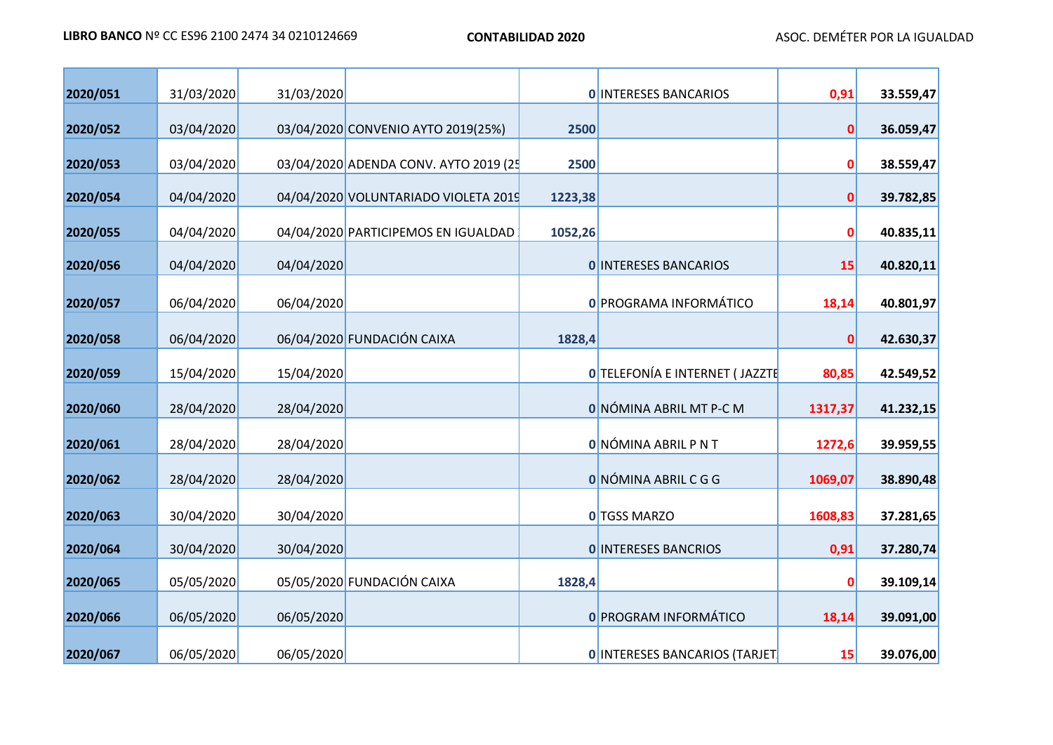| 2020/051 | 31/03/2020 | 31/03/2020 |                                       |         | <b>O INTERESES BANCARIOS</b>          | 0,91    | 33.559,47 |
|----------|------------|------------|---------------------------------------|---------|---------------------------------------|---------|-----------|
| 2020/052 | 03/04/2020 |            | 03/04/2020 CONVENIO AYTO 2019(25%)    | 2500    |                                       | 0       | 36.059,47 |
| 2020/053 | 03/04/2020 |            | 03/04/2020 ADENDA CONV. AYTO 2019 (25 | 2500    |                                       | 0       | 38.559,47 |
| 2020/054 | 04/04/2020 |            | 04/04/2020 VOLUNTARIADO VIOLETA 2019  | 1223,38 |                                       | 0       | 39.782,85 |
| 2020/055 | 04/04/2020 |            | 04/04/2020 PARTICIPEMOS EN IGUALDAD   | 1052,26 |                                       | 0       | 40.835,11 |
| 2020/056 | 04/04/2020 | 04/04/2020 |                                       |         | <b>O INTERESES BANCARIOS</b>          | 15      | 40.820,11 |
| 2020/057 | 06/04/2020 | 06/04/2020 |                                       |         | 0 PROGRAMA INFORMÁTICO                | 18,14   | 40.801,97 |
| 2020/058 | 06/04/2020 |            | 06/04/2020 FUNDACIÓN CAIXA            | 1828,4  |                                       | 0       | 42.630,37 |
| 2020/059 | 15/04/2020 | 15/04/2020 |                                       |         | <b>0 TELEFONÍA E INTERNET (JAZZTE</b> | 80,85   | 42.549,52 |
| 2020/060 | 28/04/2020 | 28/04/2020 |                                       |         | 0 NÓMINA ABRIL MT P-C M               | 1317,37 | 41.232,15 |
| 2020/061 | 28/04/2020 | 28/04/2020 |                                       |         | O NÓMINA ABRIL P N T                  | 1272,6  | 39.959,55 |
| 2020/062 | 28/04/2020 | 28/04/2020 |                                       |         | O NÓMINA ABRIL C G G                  | 1069,07 | 38.890,48 |
| 2020/063 | 30/04/2020 | 30/04/2020 |                                       |         | 0 TGSS MARZO                          | 1608,83 | 37.281,65 |
| 2020/064 | 30/04/2020 | 30/04/2020 |                                       |         | <b>O INTERESES BANCRIOS</b>           | 0,91    | 37.280,74 |
| 2020/065 | 05/05/2020 |            | 05/05/2020 FUNDACIÓN CAIXA            | 1828,4  |                                       | 0       | 39.109,14 |
| 2020/066 | 06/05/2020 | 06/05/2020 |                                       |         | <b>0 PROGRAM INFORMÁTICO</b>          | 18,14   | 39.091,00 |
| 2020/067 | 06/05/2020 | 06/05/2020 |                                       |         | <b>0 INTERESES BANCARIOS (TARJET)</b> | 15      | 39.076,00 |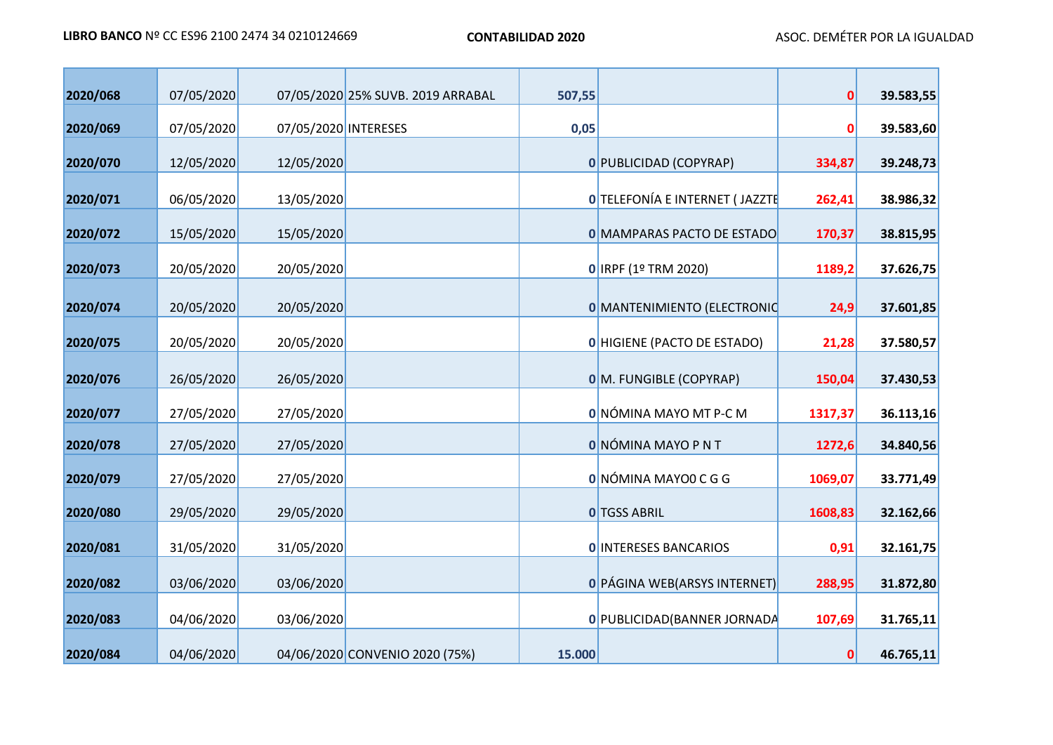| 2020/068 | 07/05/2020 |                      | 07/05/2020 25% SUVB. 2019 ARRABAL | 507,55 |                                       | $\mathbf{0}$ | 39.583,55 |
|----------|------------|----------------------|-----------------------------------|--------|---------------------------------------|--------------|-----------|
| 2020/069 | 07/05/2020 | 07/05/2020 INTERESES |                                   | 0,05   |                                       | 0            | 39.583,60 |
|          |            |                      |                                   |        |                                       |              |           |
| 2020/070 | 12/05/2020 | 12/05/2020           |                                   |        | 0 PUBLICIDAD (COPYRAP)                | 334,87       | 39.248,73 |
| 2020/071 | 06/05/2020 | 13/05/2020           |                                   |        | <b>O</b> TELEFONÍA E INTERNET (JAZZTE | 262,41       | 38.986,32 |
| 2020/072 | 15/05/2020 | 15/05/2020           |                                   |        | 0 MAMPARAS PACTO DE ESTADO            | 170,37       | 38.815,95 |
| 2020/073 | 20/05/2020 | 20/05/2020           |                                   |        | 0 IRPF (1º TRM 2020)                  | 1189,2       | 37.626,75 |
| 2020/074 | 20/05/2020 | 20/05/2020           |                                   |        | 0 MANTENIMIENTO (ELECTRONIC           | 24,9         | 37.601,85 |
| 2020/075 | 20/05/2020 | 20/05/2020           |                                   |        | 0 HIGIENE (PACTO DE ESTADO)           | 21,28        | 37.580,57 |
| 2020/076 | 26/05/2020 | 26/05/2020           |                                   |        | 0 M. FUNGIBLE (COPYRAP)               | 150,04       | 37.430,53 |
| 2020/077 | 27/05/2020 | 27/05/2020           |                                   |        | 0 NÓMINA MAYO MT P-C M                | 1317,37      | 36.113,16 |
| 2020/078 | 27/05/2020 | 27/05/2020           |                                   |        | <b>O</b> NÓMINA MAYO P N T            | 1272,6       | 34.840,56 |
| 2020/079 | 27/05/2020 | 27/05/2020           |                                   |        | 0 NÓMINA MAYOO C G G                  | 1069,07      | 33.771,49 |
| 2020/080 | 29/05/2020 | 29/05/2020           |                                   |        | <b>O</b> TGSS ABRIL                   | 1608,83      | 32.162,66 |
| 2020/081 | 31/05/2020 | 31/05/2020           |                                   |        | <b>O INTERESES BANCARIOS</b>          | 0,91         | 32.161,75 |
| 2020/082 | 03/06/2020 | 03/06/2020           |                                   |        | 0 PÁGINA WEB(ARSYS INTERNET)          | 288,95       | 31.872,80 |
| 2020/083 | 04/06/2020 | 03/06/2020           |                                   |        | 0 PUBLICIDAD (BANNER JORNADA          | 107,69       | 31.765,11 |
| 2020/084 | 04/06/2020 |                      | 04/06/2020 CONVENIO 2020 (75%)    | 15.000 |                                       | 0            | 46.765,11 |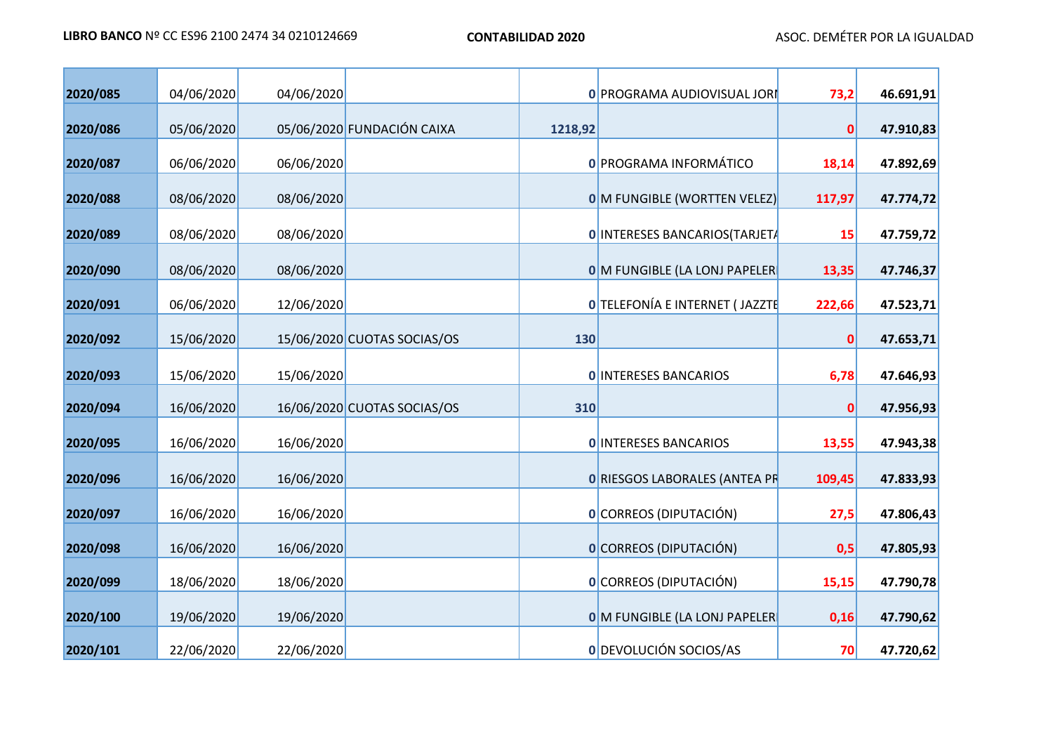| 2020/085 | 04/06/2020 | 04/06/2020 |                             |         | 0 PROGRAMA AUDIOVISUAL JORI           | 73,2     | 46.691,91 |
|----------|------------|------------|-----------------------------|---------|---------------------------------------|----------|-----------|
| 2020/086 | 05/06/2020 |            | 05/06/2020 FUNDACIÓN CAIXA  | 1218,92 |                                       | $\bf{0}$ | 47.910,83 |
| 2020/087 | 06/06/2020 | 06/06/2020 |                             |         | 0 PROGRAMA INFORMÁTICO                | 18,14    | 47.892,69 |
| 2020/088 | 08/06/2020 | 08/06/2020 |                             |         | <b>0 M FUNGIBLE (WORTTEN VELEZ)</b>   | 117,97   | 47.774,72 |
| 2020/089 | 08/06/2020 | 08/06/2020 |                             |         | 0 INTERESES BANCARIOS(TARJET/         | 15       | 47.759,72 |
| 2020/090 | 08/06/2020 | 08/06/2020 |                             |         | 0 M FUNGIBLE (LA LONJ PAPELER         | 13,35    | 47.746,37 |
| 2020/091 | 06/06/2020 |            |                             |         | <b>O</b> TELEFONÍA E INTERNET (JAZZTE |          |           |
|          |            | 12/06/2020 |                             |         |                                       | 222,66   | 47.523,71 |
| 2020/092 | 15/06/2020 |            | 15/06/2020 CUOTAS SOCIAS/OS | 130     |                                       | 0        | 47.653,71 |
| 2020/093 | 15/06/2020 | 15/06/2020 |                             |         | <b>O INTERESES BANCARIOS</b>          | 6,78     | 47.646,93 |
| 2020/094 | 16/06/2020 |            | 16/06/2020 CUOTAS SOCIAS/OS | 310     |                                       | 0        | 47.956,93 |
| 2020/095 | 16/06/2020 | 16/06/2020 |                             |         | <b>O INTERESES BANCARIOS</b>          | 13,55    | 47.943,38 |
| 2020/096 | 16/06/2020 | 16/06/2020 |                             |         | <b>0 RIESGOS LABORALES (ANTEA PR</b>  | 109,45   | 47.833,93 |
| 2020/097 |            |            |                             |         | 0 CORREOS (DIPUTACIÓN)                |          |           |
|          | 16/06/2020 | 16/06/2020 |                             |         |                                       | 27,5     | 47.806,43 |
| 2020/098 | 16/06/2020 | 16/06/2020 |                             |         | O CORREOS (DIPUTACIÓN)                | 0,5      | 47.805,93 |
| 2020/099 | 18/06/2020 | 18/06/2020 |                             |         | O CORREOS (DIPUTACIÓN)                | 15,15    | 47.790,78 |
| 2020/100 | 19/06/2020 | 19/06/2020 |                             |         | 0 M FUNGIBLE (LA LONJ PAPELER         | 0,16     | 47.790,62 |
| 2020/101 | 22/06/2020 | 22/06/2020 |                             |         | 0 DEVOLUCIÓN SOCIOS/AS                | 70       | 47.720,62 |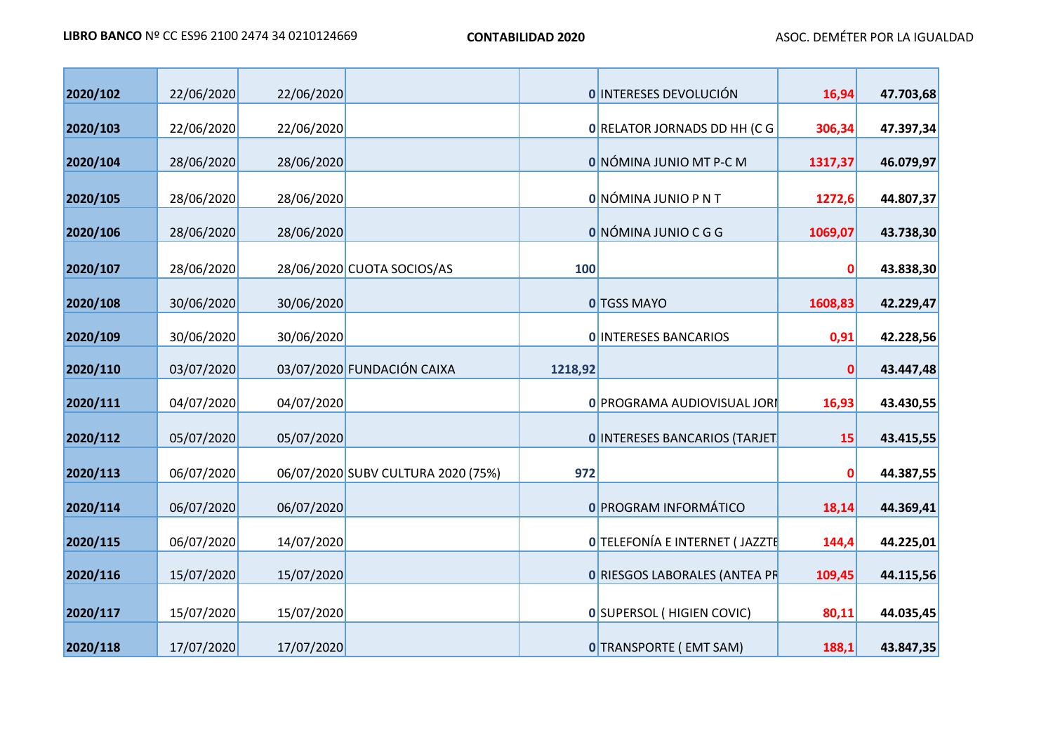| 2020/102 | 22/06/2020 | 22/06/2020 |                                    |         | <b>O INTERESES DEVOLUCIÓN</b>         | 16,94        | 47.703,68 |
|----------|------------|------------|------------------------------------|---------|---------------------------------------|--------------|-----------|
|          |            |            |                                    |         |                                       |              |           |
| 2020/103 | 22/06/2020 | 22/06/2020 |                                    |         | 0 RELATOR JORNADS DD HH (C G          | 306,34       | 47.397,34 |
| 2020/104 | 28/06/2020 | 28/06/2020 |                                    |         | 0 NÓMINA JUNIO MT P-C M               | 1317,37      | 46.079,97 |
| 2020/105 | 28/06/2020 | 28/06/2020 |                                    |         | <b>ONÓMINA JUNIO PNT</b>              | 1272,6       | 44.807,37 |
| 2020/106 | 28/06/2020 | 28/06/2020 |                                    |         | O NÓMINA JUNIO C G G                  | 1069,07      | 43.738,30 |
| 2020/107 | 28/06/2020 |            | 28/06/2020 CUOTA SOCIOS/AS         | 100     |                                       | 0            | 43.838,30 |
| 2020/108 | 30/06/2020 | 30/06/2020 |                                    |         | 0 TGSS MAYO                           | 1608,83      | 42.229,47 |
| 2020/109 | 30/06/2020 | 30/06/2020 |                                    |         | <b>O INTERESES BANCARIOS</b>          | 0,91         | 42.228,56 |
| 2020/110 | 03/07/2020 |            | 03/07/2020 FUNDACIÓN CAIXA         | 1218,92 |                                       | $\mathbf{0}$ | 43.447,48 |
| 2020/111 | 04/07/2020 | 04/07/2020 |                                    |         | 0 PROGRAMA AUDIOVISUAL JORI           | 16,93        | 43.430,55 |
| 2020/112 | 05/07/2020 | 05/07/2020 |                                    |         | <b>0 INTERESES BANCARIOS (TARJET</b>  | 15           | 43.415,55 |
| 2020/113 | 06/07/2020 |            | 06/07/2020 SUBV CULTURA 2020 (75%) | 972     |                                       | 0            | 44.387,55 |
| 2020/114 | 06/07/2020 | 06/07/2020 |                                    |         | 0 PROGRAM INFORMÁTICO                 | 18,14        | 44.369,41 |
| 2020/115 | 06/07/2020 | 14/07/2020 |                                    |         | <b>O</b> TELEFONÍA E INTERNET (JAZZTE | 144,4        | 44.225,01 |
| 2020/116 | 15/07/2020 | 15/07/2020 |                                    |         | <b>0 RIESGOS LABORALES (ANTEA PR</b>  | 109,45       | 44.115,56 |
| 2020/117 | 15/07/2020 | 15/07/2020 |                                    |         | 0 SUPERSOL (HIGIEN COVIC)             | 80,11        | 44.035,45 |
| 2020/118 | 17/07/2020 | 17/07/2020 |                                    |         | <b>0</b> TRANSPORTE (EMT SAM)         | 188,1        | 43.847,35 |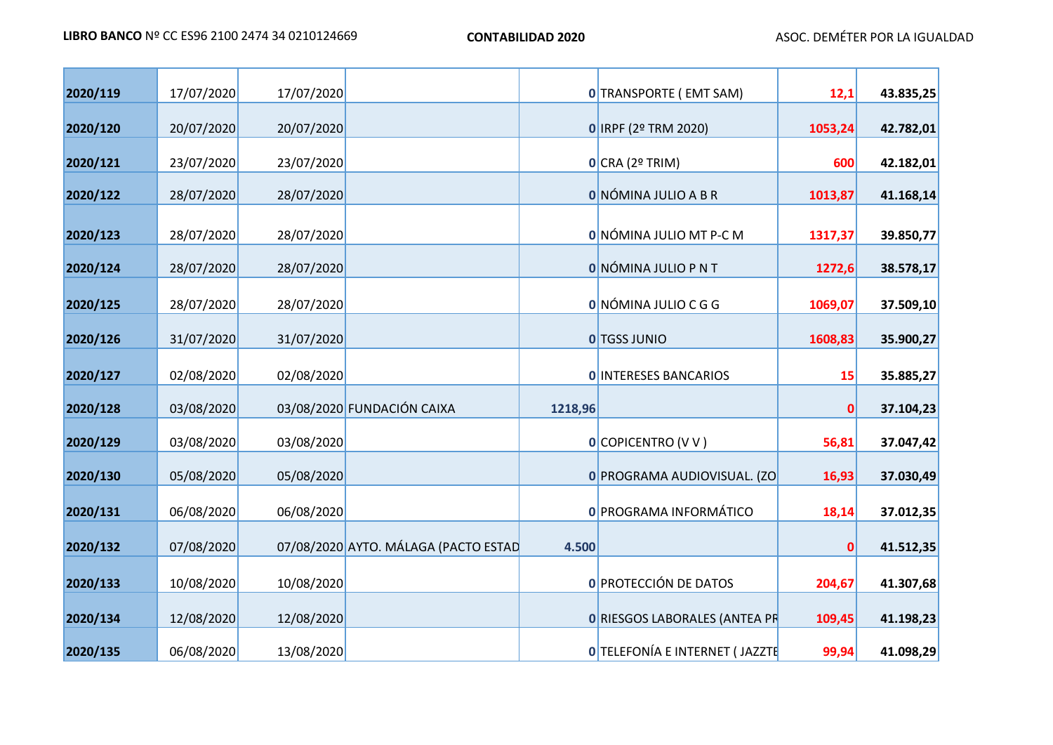| 2020/119 |            | 17/07/2020 |                                      |         |                                       |         |           |
|----------|------------|------------|--------------------------------------|---------|---------------------------------------|---------|-----------|
|          | 17/07/2020 |            |                                      |         | 0 TRANSPORTE (EMT SAM)                | 12,1    | 43.835,25 |
| 2020/120 | 20/07/2020 | 20/07/2020 |                                      |         | $0$ IRPF (2º TRM 2020)                | 1053,24 | 42.782,01 |
| 2020/121 | 23/07/2020 | 23/07/2020 |                                      |         | O CRA (2° TRIM)                       | 600     | 42.182,01 |
| 2020/122 | 28/07/2020 | 28/07/2020 |                                      |         | O NÓMINA JULIO A B R                  | 1013,87 | 41.168,14 |
| 2020/123 | 28/07/2020 | 28/07/2020 |                                      |         | 0 NÓMINA JULIO MT P-C M               | 1317,37 | 39.850,77 |
| 2020/124 | 28/07/2020 | 28/07/2020 |                                      |         | <b>O</b> NÓMINA JULIO P N T           | 1272,6  | 38.578,17 |
| 2020/125 | 28/07/2020 | 28/07/2020 |                                      |         | O NÓMINA JULIO C G G                  | 1069,07 | 37.509,10 |
| 2020/126 | 31/07/2020 | 31/07/2020 |                                      |         | <b>O</b> TGSS JUNIO                   | 1608,83 | 35.900,27 |
| 2020/127 | 02/08/2020 | 02/08/2020 |                                      |         | <b>O INTERESES BANCARIOS</b>          | 15      | 35.885,27 |
| 2020/128 | 03/08/2020 |            | 03/08/2020 FUNDACIÓN CAIXA           | 1218,96 |                                       | 0       | 37.104,23 |
| 2020/129 | 03/08/2020 | 03/08/2020 |                                      |         | <b>O</b> COPICENTRO (V V)             | 56,81   | 37.047,42 |
| 2020/130 | 05/08/2020 | 05/08/2020 |                                      |         | 0 PROGRAMA AUDIOVISUAL. (ZO           | 16,93   | 37.030,49 |
| 2020/131 | 06/08/2020 | 06/08/2020 |                                      |         | <b>0 PROGRAMA INFORMÁTICO</b>         | 18,14   | 37.012,35 |
| 2020/132 | 07/08/2020 |            | 07/08/2020 AYTO. MÁLAGA (PACTO ESTAD | 4.500   |                                       | 0       | 41.512,35 |
| 2020/133 | 10/08/2020 | 10/08/2020 |                                      |         | O PROTECCIÓN DE DATOS                 | 204,67  | 41.307,68 |
| 2020/134 | 12/08/2020 | 12/08/2020 |                                      |         | 0 RIESGOS LABORALES (ANTEA PR         | 109,45  | 41.198,23 |
| 2020/135 | 06/08/2020 | 13/08/2020 |                                      |         | <b>0 TELEFONÍA E INTERNET (JAZZTE</b> | 99,94   | 41.098,29 |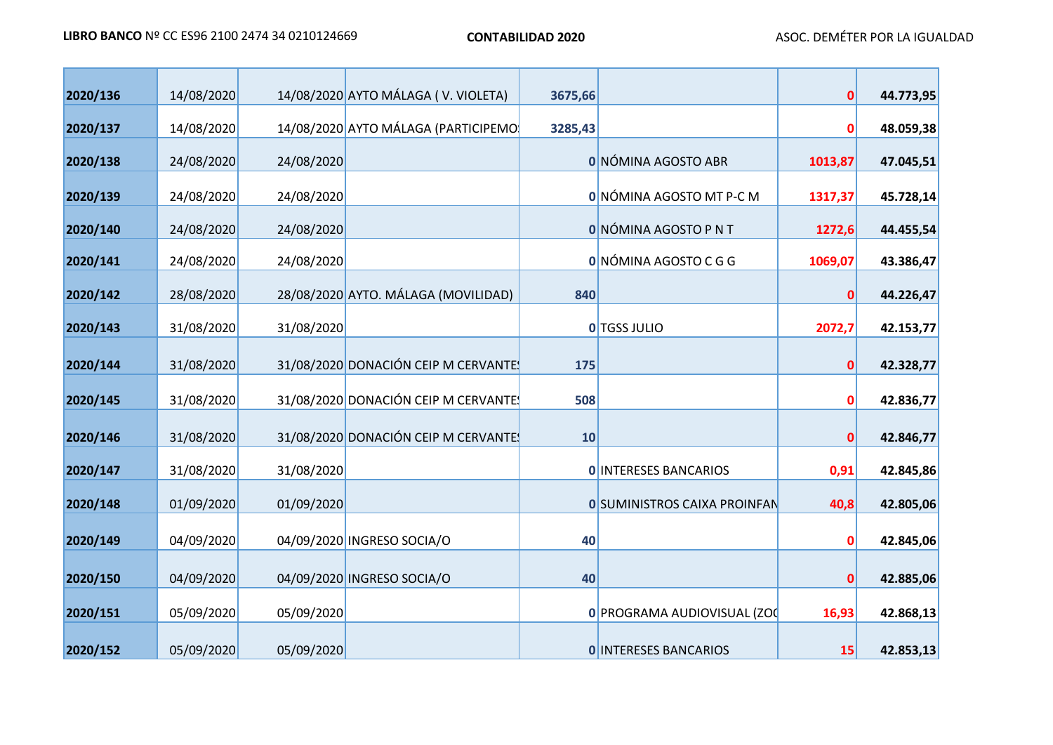| 2020/136 | 14/08/2020 |            | 14/08/2020 AYTO MÁLAGA (V. VIOLETA) | 3675,66 |                                     | $\mathbf{0}$ | 44.773,95 |
|----------|------------|------------|-------------------------------------|---------|-------------------------------------|--------------|-----------|
| 2020/137 | 14/08/2020 |            | 14/08/2020 AYTO MÁLAGA (PARTICIPEMO | 3285,43 |                                     | 0            | 48.059,38 |
| 2020/138 | 24/08/2020 | 24/08/2020 |                                     |         | 0 NÓMINA AGOSTO ABR                 | 1013,87      | 47.045,51 |
| 2020/139 | 24/08/2020 | 24/08/2020 |                                     |         | 0 NÓMINA AGOSTO MT P-C M            | 1317,37      | 45.728,14 |
| 2020/140 | 24/08/2020 | 24/08/2020 |                                     |         | 0 NÓMINA AGOSTO P N T               | 1272,6       | 44.455,54 |
| 2020/141 | 24/08/2020 | 24/08/2020 |                                     |         | 0 NÓMINA AGOSTO C G G               | 1069,07      | 43.386,47 |
| 2020/142 | 28/08/2020 |            | 28/08/2020 AYTO. MÁLAGA (MOVILIDAD) | 840     |                                     | $\mathbf{0}$ | 44.226,47 |
| 2020/143 | 31/08/2020 | 31/08/2020 |                                     |         | <b>O</b> TGSS JULIO                 | 2072,7       | 42.153,77 |
| 2020/144 | 31/08/2020 |            | 31/08/2020 DONACIÓN CEIP M CERVANTE | 175     |                                     | $\mathbf{0}$ | 42.328,77 |
| 2020/145 | 31/08/2020 |            | 31/08/2020 DONACIÓN CEIP M CERVANTE | 508     |                                     | 0            | 42.836,77 |
| 2020/146 | 31/08/2020 |            | 31/08/2020 DONACIÓN CEIP M CERVANTE | 10      |                                     | $\mathbf 0$  | 42.846,77 |
| 2020/147 | 31/08/2020 | 31/08/2020 |                                     |         | <b>O INTERESES BANCARIOS</b>        | 0,91         | 42.845,86 |
| 2020/148 | 01/09/2020 | 01/09/2020 |                                     |         | <b>0 SUMINISTROS CAIXA PROINFAN</b> | 40,8         | 42.805,06 |
|          |            |            |                                     |         |                                     |              |           |
| 2020/149 | 04/09/2020 |            | 04/09/2020 INGRESO SOCIA/O          | 40      |                                     | 0            | 42.845,06 |
| 2020/150 | 04/09/2020 |            | 04/09/2020 INGRESO SOCIA/O          | 40      |                                     | 0            | 42.885,06 |
| 2020/151 | 05/09/2020 | 05/09/2020 |                                     |         | 0 PROGRAMA AUDIOVISUAL (ZOC         | 16,93        | 42.868,13 |
| 2020/152 | 05/09/2020 | 05/09/2020 |                                     |         | <b>O INTERESES BANCARIOS</b>        | 15           | 42.853,13 |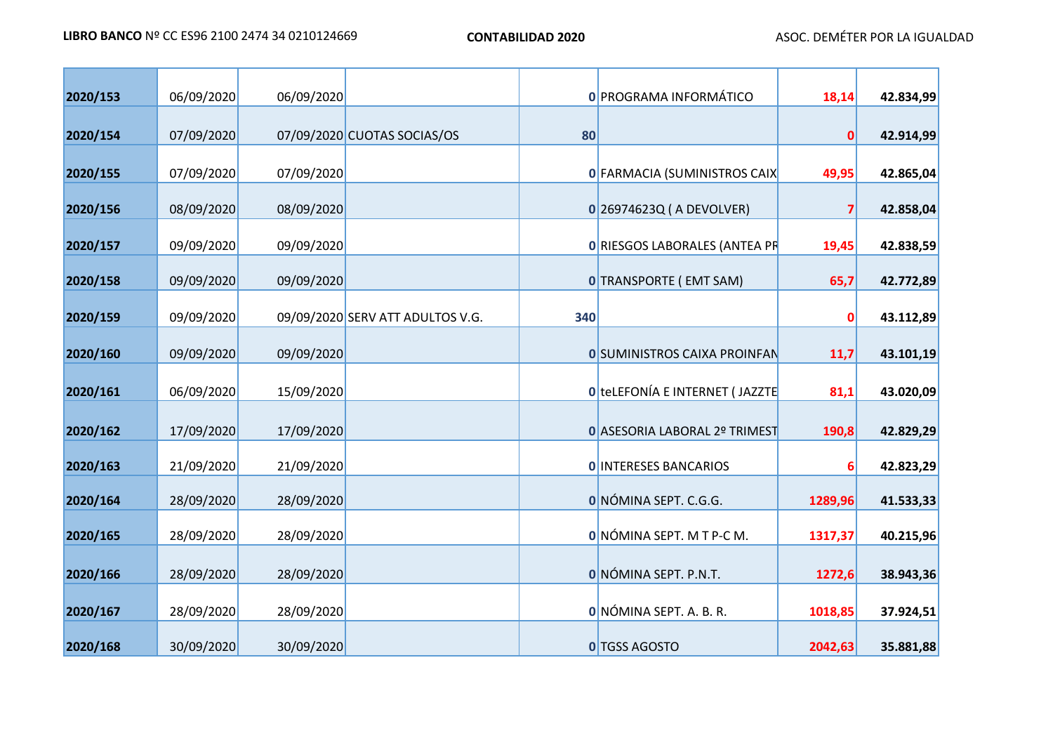| 2020/153 | 06/09/2020 | 06/09/2020 |                                  |     | 0 PROGRAMA INFORMÁTICO              | 18,14   | 42.834,99 |
|----------|------------|------------|----------------------------------|-----|-------------------------------------|---------|-----------|
| 2020/154 | 07/09/2020 |            | 07/09/2020 CUOTAS SOCIAS/OS      | 80  |                                     | 0       | 42.914,99 |
| 2020/155 | 07/09/2020 | 07/09/2020 |                                  |     | 0 FARMACIA (SUMINISTROS CAIX        | 49,95   | 42.865,04 |
| 2020/156 | 08/09/2020 | 08/09/2020 |                                  |     | $0$ 26974623Q (A DEVOLVER)          | 7       | 42.858,04 |
| 2020/157 | 09/09/2020 | 09/09/2020 |                                  |     | 0 RIESGOS LABORALES (ANTEA PR       | 19,45   | 42.838,59 |
| 2020/158 | 09/09/2020 | 09/09/2020 |                                  |     | <b>0 TRANSPORTE (EMT SAM)</b>       | 65,7    | 42.772,89 |
| 2020/159 | 09/09/2020 |            | 09/09/2020 SERV ATT ADULTOS V.G. | 340 |                                     | 0       | 43.112,89 |
| 2020/160 | 09/09/2020 | 09/09/2020 |                                  |     | <b>0 SUMINISTROS CAIXA PROINFAN</b> | 11,7    | 43.101,19 |
| 2020/161 | 06/09/2020 | 15/09/2020 |                                  |     | 0 telEFONÍA E INTERNET (JAZZTE      | 81,1    | 43.020,09 |
| 2020/162 | 17/09/2020 | 17/09/2020 |                                  |     | 0 ASESORIA LABORAL 2º TRIMEST       | 190,8   | 42.829,29 |
| 2020/163 | 21/09/2020 | 21/09/2020 |                                  |     | <b>O INTERESES BANCARIOS</b>        | 6       | 42.823,29 |
| 2020/164 | 28/09/2020 | 28/09/2020 |                                  |     | O NÓMINA SEPT. C.G.G.               | 1289,96 | 41.533,33 |
| 2020/165 | 28/09/2020 | 28/09/2020 |                                  |     | 0 NÓMINA SEPT. M T P-C M.           | 1317,37 | 40.215,96 |
|          |            |            |                                  |     | O NÓMINA SEPT. P.N.T.               |         |           |
| 2020/166 | 28/09/2020 | 28/09/2020 |                                  |     |                                     | 1272,6  | 38.943,36 |
| 2020/167 | 28/09/2020 | 28/09/2020 |                                  |     | O NÓMINA SEPT. A. B. R.             | 1018,85 | 37.924,51 |
| 2020/168 | 30/09/2020 | 30/09/2020 |                                  |     | 0 TGSS AGOSTO                       | 2042,63 | 35.881,88 |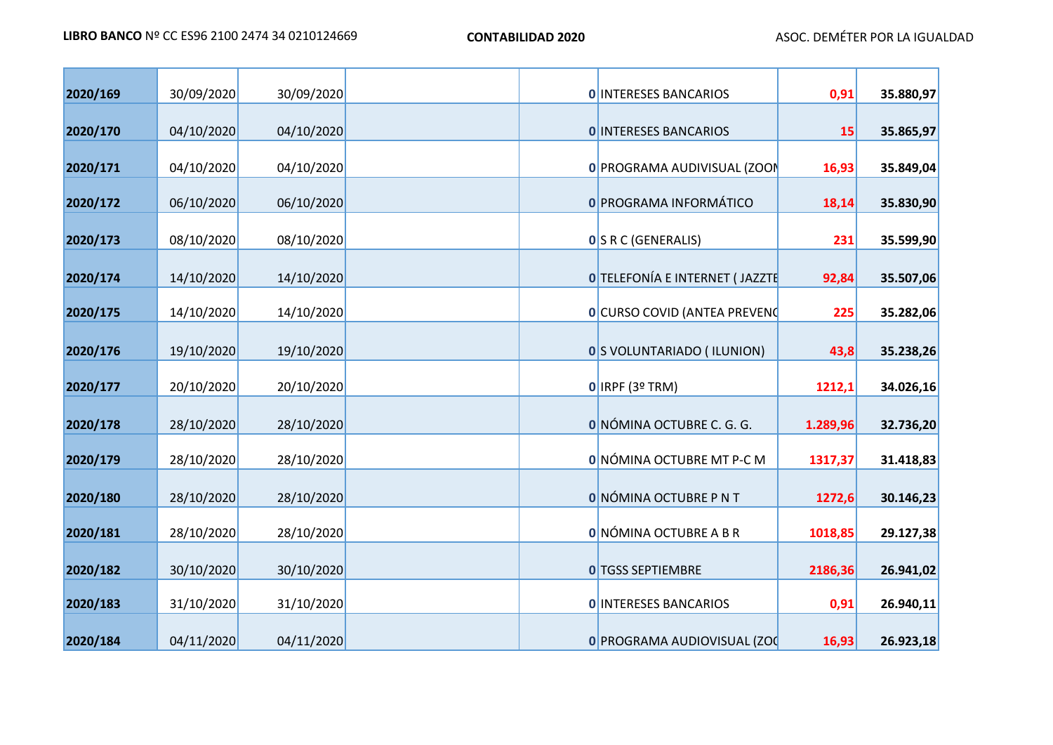| 2020/169 | 30/09/2020 | 30/09/2020 |  | <b>O INTERESES BANCARIOS</b>          | 0,91     | 35.880,97 |
|----------|------------|------------|--|---------------------------------------|----------|-----------|
| 2020/170 | 04/10/2020 | 04/10/2020 |  | <b>O INTERESES BANCARIOS</b>          | 15       | 35.865,97 |
| 2020/171 | 04/10/2020 | 04/10/2020 |  | 0 PROGRAMA AUDIVISUAL (ZOON           | 16,93    | 35.849,04 |
| 2020/172 | 06/10/2020 | 06/10/2020 |  | <b>0 PROGRAMA INFORMÁTICO</b>         | 18,14    | 35.830,90 |
| 2020/173 | 08/10/2020 | 08/10/2020 |  | <b>0</b> S R C (GENERALIS)            | 231      | 35.599,90 |
| 2020/174 | 14/10/2020 | 14/10/2020 |  | <b>O</b> TELEFONÍA E INTERNET (JAZZTE | 92,84    | 35.507,06 |
| 2020/175 | 14/10/2020 | 14/10/2020 |  | <b>0</b> CURSO COVID (ANTEA PREVENC   | 225      | 35.282,06 |
|          |            |            |  |                                       |          |           |
| 2020/176 | 19/10/2020 | 19/10/2020 |  | 0 S VOLUNTARIADO (ILUNION)            | 43,8     | 35.238,26 |
| 2020/177 | 20/10/2020 | 20/10/2020 |  | $O$ IRPF (3º TRM)                     | 1212,1   | 34.026,16 |
| 2020/178 | 28/10/2020 | 28/10/2020 |  | O NÓMINA OCTUBRE C. G. G.             | 1.289,96 | 32.736,20 |
| 2020/179 | 28/10/2020 | 28/10/2020 |  | 0 NÓMINA OCTUBRE MT P-C M             | 1317,37  | 31.418,83 |
| 2020/180 | 28/10/2020 | 28/10/2020 |  | O NÓMINA OCTUBRE P N T                | 1272,6   | 30.146,23 |
| 2020/181 | 28/10/2020 | 28/10/2020 |  | O NÓMINA OCTUBRE A B R                | 1018,85  | 29.127,38 |
| 2020/182 | 30/10/2020 | 30/10/2020 |  | <b>O</b> TGSS SEPTIEMBRE              | 2186,36  | 26.941,02 |
| 2020/183 | 31/10/2020 | 31/10/2020 |  | <b>O INTERESES BANCARIOS</b>          | 0,91     | 26.940,11 |
| 2020/184 | 04/11/2020 | 04/11/2020 |  | 0 PROGRAMA AUDIOVISUAL (ZOC           | 16,93    | 26.923,18 |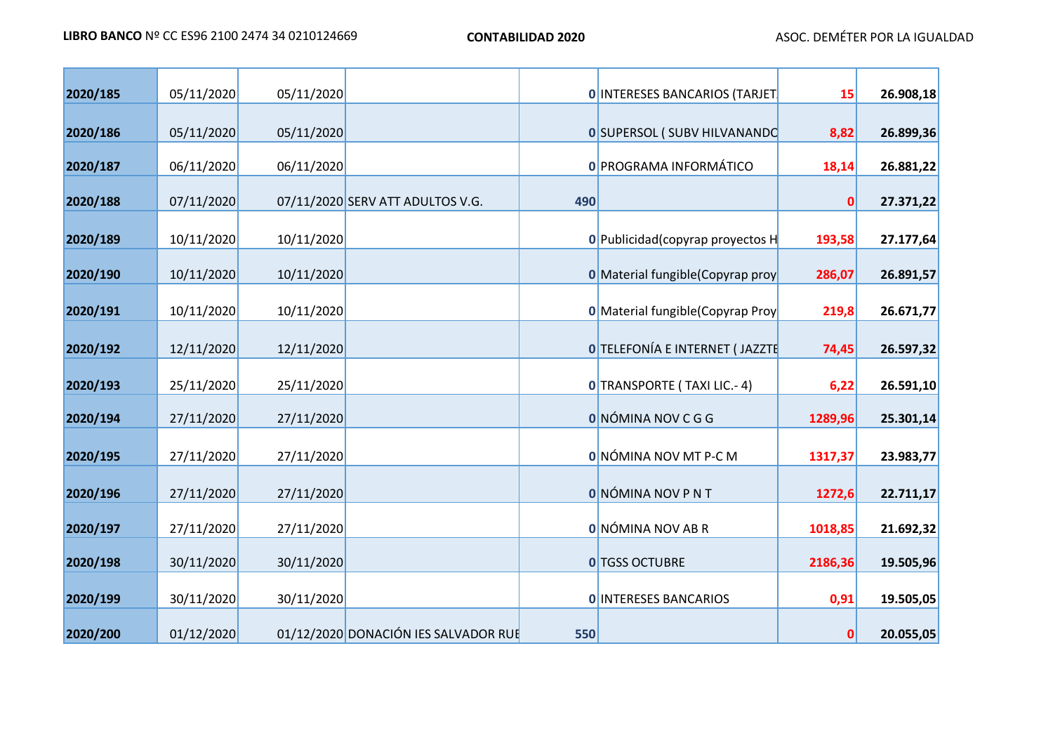| 2020/185 | 05/11/2020 | 05/11/2020 |                                      |     | <b>O INTERESES BANCARIOS (TARJET)</b>    | 15      | 26.908,18 |
|----------|------------|------------|--------------------------------------|-----|------------------------------------------|---------|-----------|
| 2020/186 | 05/11/2020 | 05/11/2020 |                                      |     | <b>0 SUPERSOL (SUBV HILVANANDO</b>       | 8,82    | 26.899,36 |
| 2020/187 | 06/11/2020 | 06/11/2020 |                                      |     | <b>0 PROGRAMA INFORMÁTICO</b>            | 18,14   | 26.881,22 |
| 2020/188 | 07/11/2020 |            | 07/11/2020 SERV ATT ADULTOS V.G.     | 490 |                                          | 0       | 27.371,22 |
| 2020/189 | 10/11/2020 | 10/11/2020 |                                      |     | 0 Publicidad (copyrap proyectos H        | 193,58  | 27.177,64 |
| 2020/190 | 10/11/2020 | 10/11/2020 |                                      |     | <b>0</b> Material fungible (Copyrap proy | 286,07  | 26.891,57 |
| 2020/191 | 10/11/2020 | 10/11/2020 |                                      |     | <b>0</b> Material fungible (Copyrap Proy | 219,8   | 26.671,77 |
| 2020/192 | 12/11/2020 | 12/11/2020 |                                      |     | O TELEFONÍA E INTERNET (JAZZTE           | 74,45   | 26.597,32 |
| 2020/193 | 25/11/2020 | 25/11/2020 |                                      |     | 0 TRANSPORTE (TAXI LIC.- 4)              | 6,22    | 26.591,10 |
| 2020/194 | 27/11/2020 | 27/11/2020 |                                      |     | O NÓMINA NOV C G G                       | 1289,96 | 25.301,14 |
|          |            |            |                                      |     |                                          |         |           |
| 2020/195 | 27/11/2020 | 27/11/2020 |                                      |     | 0 NÓMINA NOV MT P-C M                    | 1317,37 | 23.983,77 |
| 2020/196 | 27/11/2020 | 27/11/2020 |                                      |     | <b>O</b> NÓMINA NOV P N T                | 1272,6  | 22.711,17 |
| 2020/197 | 27/11/2020 | 27/11/2020 |                                      |     | O NÓMINA NOV AB R                        | 1018,85 | 21.692,32 |
| 2020/198 | 30/11/2020 | 30/11/2020 |                                      |     | <b>0 TGSS OCTUBRE</b>                    | 2186,36 | 19.505,96 |
| 2020/199 | 30/11/2020 | 30/11/2020 |                                      |     | <b>O INTERESES BANCARIOS</b>             | 0,91    | 19.505,05 |
| 2020/200 | 01/12/2020 |            | 01/12/2020 DONACIÓN IES SALVADOR RUE | 550 |                                          | 0       | 20.055,05 |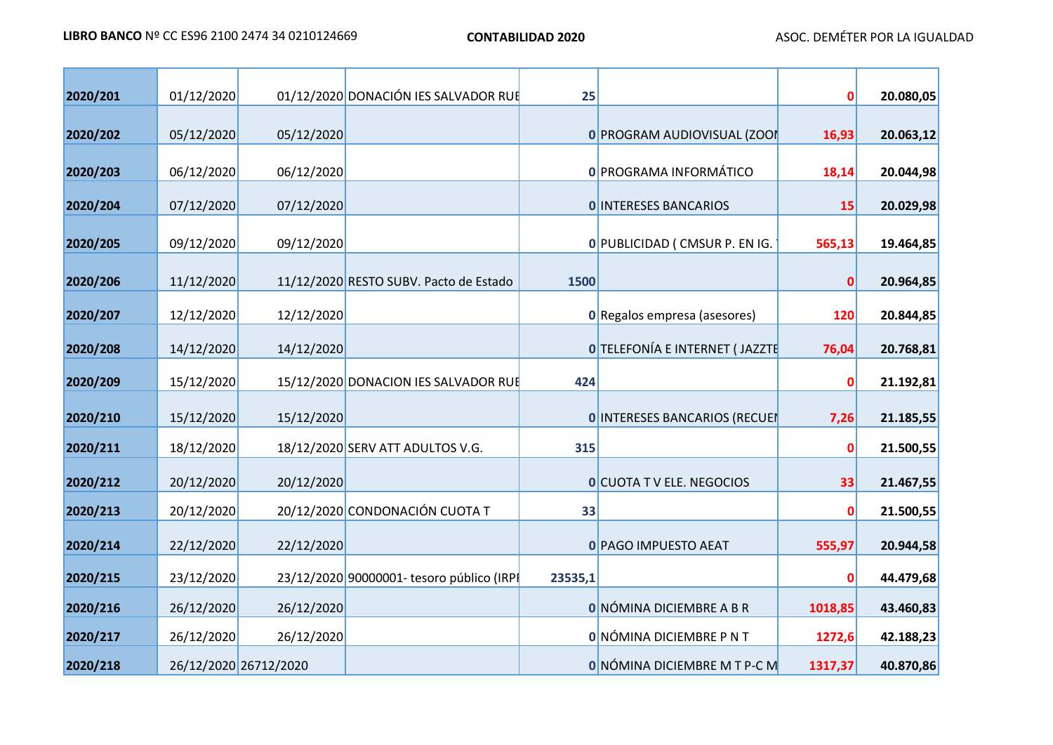| 2020/201 | 01/12/2020 |                       | 01/12/2020 DONACIÓN IES SALVADOR RUE      | 25      |                                      | 0       | 20.080,05 |
|----------|------------|-----------------------|-------------------------------------------|---------|--------------------------------------|---------|-----------|
| 2020/202 | 05/12/2020 | 05/12/2020            |                                           |         | 0 PROGRAM AUDIOVISUAL (ZOOI          | 16,93   | 20.063,12 |
| 2020/203 | 06/12/2020 | 06/12/2020            |                                           |         | <b>0 PROGRAMA INFORMÁTICO</b>        | 18,14   | 20.044,98 |
| 2020/204 | 07/12/2020 | 07/12/2020            |                                           |         | <b>O INTERESES BANCARIOS</b>         | 15      | 20.029,98 |
| 2020/205 | 09/12/2020 | 09/12/2020            |                                           |         | 0 PUBLICIDAD ( CMSUR P. EN IG.       | 565,13  | 19.464,85 |
| 2020/206 | 11/12/2020 |                       | 11/12/2020 RESTO SUBV. Pacto de Estado    | 1500    |                                      | 0       | 20.964,85 |
| 2020/207 | 12/12/2020 | 12/12/2020            |                                           |         | <b>0</b> Regalos empresa (asesores)  | 120     | 20.844,85 |
| 2020/208 | 14/12/2020 | 14/12/2020            |                                           |         | O TELEFONÍA E INTERNET (JAZZTE       | 76,04   | 20.768,81 |
| 2020/209 | 15/12/2020 |                       | 15/12/2020 DONACION IES SALVADOR RUE      | 424     |                                      | 0       | 21.192,81 |
| 2020/210 | 15/12/2020 | 15/12/2020            |                                           |         | <b>O INTERESES BANCARIOS (RECUEI</b> | 7,26    | 21.185,55 |
| 2020/211 | 18/12/2020 |                       | 18/12/2020 SERV ATT ADULTOS V.G.          | 315     |                                      | 0       | 21.500,55 |
| 2020/212 | 20/12/2020 | 20/12/2020            |                                           |         | <b>O</b> CUOTA T V ELE. NEGOCIOS     | 33      | 21.467,55 |
| 2020/213 | 20/12/2020 |                       | 20/12/2020 CONDONACIÓN CUOTA T            | 33      |                                      | 0       | 21.500,55 |
| 2020/214 | 22/12/2020 | 22/12/2020            |                                           |         | 0 PAGO IMPUESTO AEAT                 | 555,97  | 20.944,58 |
| 2020/215 | 23/12/2020 |                       | 23/12/2020 90000001- tesoro público (IRPI | 23535,1 |                                      | 0       | 44.479,68 |
| 2020/216 | 26/12/2020 | 26/12/2020            |                                           |         | O NÓMINA DICIEMBRE A B R             | 1018,85 | 43.460,83 |
| 2020/217 | 26/12/2020 | 26/12/2020            |                                           |         | O NÓMINA DICIEMBRE P N T             | 1272,6  | 42.188,23 |
| 2020/218 |            | 26/12/2020 26712/2020 |                                           |         | <b>ONÓMINA DICIEMBRE M T P-C M</b>   | 1317,37 | 40.870,86 |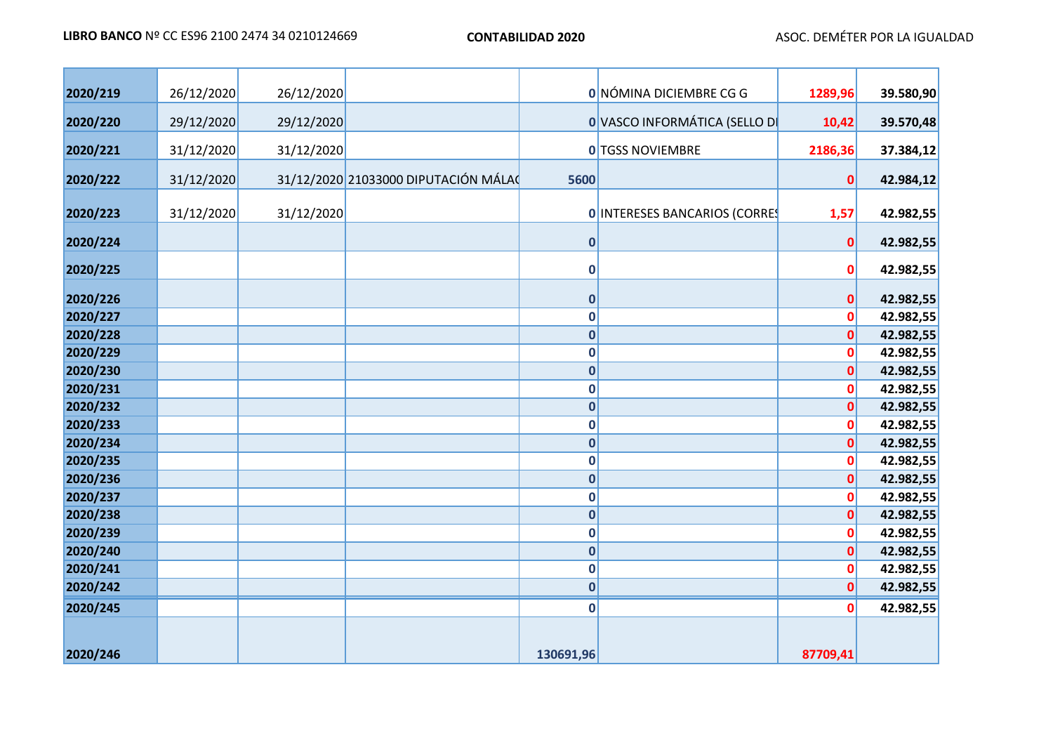| 2020/219 | 26/12/2020 | 26/12/2020 |                                     |             | 0 NÓMINA DICIEMBRE CG G       | 1289,96      | 39.580,90 |
|----------|------------|------------|-------------------------------------|-------------|-------------------------------|--------------|-----------|
| 2020/220 | 29/12/2020 | 29/12/2020 |                                     |             | O VASCO INFORMÁTICA (SELLO DI | 10,42        | 39.570,48 |
| 2020/221 | 31/12/2020 | 31/12/2020 |                                     |             | <b>0</b> TGSS NOVIEMBRE       | 2186,36      | 37.384,12 |
| 2020/222 | 31/12/2020 |            | 31/12/2020 21033000 DIPUTACIÓN MÁLA | 5600        |                               | $\mathbf 0$  | 42.984,12 |
| 2020/223 | 31/12/2020 | 31/12/2020 |                                     |             | 0 INTERESES BANCARIOS (CORRES | 1,57         | 42.982,55 |
| 2020/224 |            |            |                                     | $\bf{0}$    |                               | $\mathbf 0$  | 42.982,55 |
| 2020/225 |            |            |                                     | $\bf{0}$    |                               | $\mathbf 0$  | 42.982,55 |
| 2020/226 |            |            |                                     | $\bf{0}$    |                               | $\mathbf 0$  | 42.982,55 |
| 2020/227 |            |            |                                     | $\bf{0}$    |                               | 0            | 42.982,55 |
| 2020/228 |            |            |                                     | $\bf{0}$    |                               | $\mathbf{0}$ | 42.982,55 |
| 2020/229 |            |            |                                     | $\mathbf 0$ |                               | $\mathbf 0$  | 42.982,55 |
| 2020/230 |            |            |                                     | $\mathbf 0$ |                               | $\mathbf{0}$ | 42.982,55 |
| 2020/231 |            |            |                                     | $\bf{0}$    |                               | $\mathbf 0$  | 42.982,55 |
| 2020/232 |            |            |                                     | $\bf{0}$    |                               | $\mathbf{0}$ | 42.982,55 |
| 2020/233 |            |            |                                     | $\mathbf 0$ |                               | $\mathbf 0$  | 42.982,55 |
| 2020/234 |            |            |                                     | $\mathbf 0$ |                               | $\mathbf{0}$ | 42.982,55 |
| 2020/235 |            |            |                                     | $\mathbf 0$ |                               | $\mathbf{0}$ | 42.982,55 |
| 2020/236 |            |            |                                     | $\bf{0}$    |                               | $\mathbf{0}$ | 42.982,55 |
| 2020/237 |            |            |                                     | $\mathbf 0$ |                               | $\mathbf 0$  | 42.982,55 |
| 2020/238 |            |            |                                     | $\pmb{0}$   |                               | $\mathbf 0$  | 42.982,55 |
| 2020/239 |            |            |                                     | $\mathbf 0$ |                               | $\mathbf 0$  | 42.982,55 |
| 2020/240 |            |            |                                     | $\mathbf 0$ |                               | $\mathbf 0$  | 42.982,55 |
| 2020/241 |            |            |                                     | $\mathbf 0$ |                               | 0            | 42.982,55 |
| 2020/242 |            |            |                                     | $\pmb{0}$   |                               | $\mathbf{0}$ | 42.982,55 |
| 2020/245 |            |            |                                     | $\mathbf 0$ |                               | $\mathbf 0$  | 42.982,55 |
| 2020/246 |            |            |                                     | 130691,96   |                               | 87709,41     |           |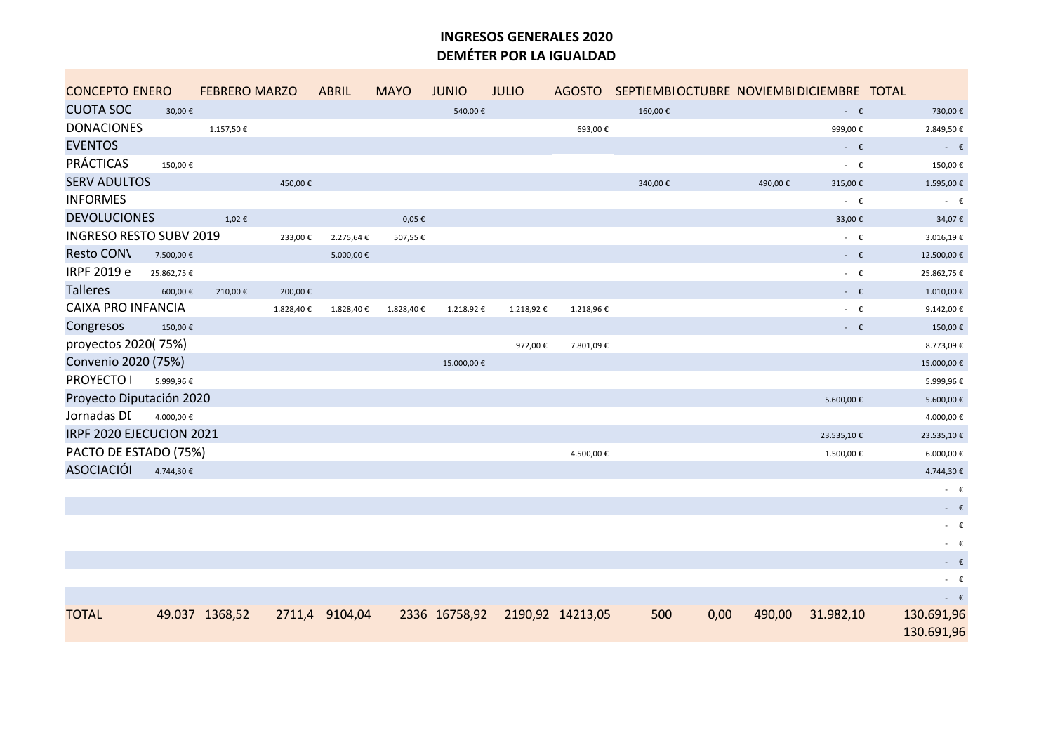#### **INGRESOS GENERALES 2020 DEMÉTER POR LA IGUALDAD**

| <b>CONCEPTO ENERO</b>          |            | <b>FEBRERO MARZO</b> |           | <b>ABRIL</b>   | <b>MAYO</b> | <b>JUNIO</b> | <b>JULIO</b>                   |            |         | AGOSTO SEPTIEMBIOCTUBRE NOVIEMBIDICIEMBRE TOTAL |                |                          |
|--------------------------------|------------|----------------------|-----------|----------------|-------------|--------------|--------------------------------|------------|---------|-------------------------------------------------|----------------|--------------------------|
| <b>CUOTA SOC</b>               | 30,00€     |                      |           |                |             | 540,00€      |                                |            | 160,00€ |                                                 | $ \epsilon$    | 730,00€                  |
| <b>DONACIONES</b>              |            | 1.157,50€            |           |                |             |              |                                | 693,00€    |         |                                                 | 999,00€        | 2.849,50€                |
| <b>EVENTOS</b>                 |            |                      |           |                |             |              |                                |            |         |                                                 | $ \epsilon$    | - $\epsilon$             |
| <b>PRÁCTICAS</b>               | 150,00€    |                      |           |                |             |              |                                |            |         |                                                 | - $\epsilon$   | 150,00€                  |
| <b>SERV ADULTOS</b>            |            |                      | 450,00€   |                |             |              |                                |            | 340,00€ | 490,00€                                         | 315,00€        | 1.595,00€                |
| <b>INFORMES</b>                |            |                      |           |                |             |              |                                |            |         |                                                 | $ \epsilon$    | - $\epsilon$             |
| <b>DEVOLUCIONES</b>            |            | 1,02€                |           |                | $0,05 \in$  |              |                                |            |         |                                                 | 33,00€         | 34,07€                   |
| <b>INGRESO RESTO SUBV 2019</b> |            |                      | 233,00€   | 2.275,64 €     | 507,55€     |              |                                |            |         |                                                 | $ \varepsilon$ | 3.016,19€                |
| <b>Resto CON\</b>              | 7.500,00 € |                      |           | 5.000,00 €     |             |              |                                |            |         |                                                 | - $\epsilon$   | 12.500,00€               |
| IRPF 2019 e                    | 25.862,75€ |                      |           |                |             |              |                                |            |         |                                                 | - $\epsilon$   | 25.862,75€               |
| <b>Talleres</b>                | 600,00€    | 210,00€              | 200,00€   |                |             |              |                                |            |         |                                                 | - $\epsilon$   | 1.010,00€                |
| <b>CAIXA PRO INFANCIA</b>      |            |                      | 1.828,40€ | 1.828,40€      | 1.828,40€   | 1.218,92€    | 1.218,92€                      | 1.218,96€  |         |                                                 | $ \epsilon$    | 9.142,00€                |
| Congresos                      | 150,00€    |                      |           |                |             |              |                                |            |         |                                                 | - $\epsilon$   | 150,00€                  |
| proyectos 2020(75%)            |            |                      |           |                |             |              | 972,00€                        | 7.801,09€  |         |                                                 |                | 8.773,09€                |
| Convenio 2020 (75%)            |            |                      |           |                |             | 15.000,00€   |                                |            |         |                                                 |                | 15.000,00€               |
| <b>PROYECTO</b>                | 5.999,96€  |                      |           |                |             |              |                                |            |         |                                                 |                | 5.999,96€                |
| Proyecto Diputación 2020       |            |                      |           |                |             |              |                                |            |         |                                                 | 5.600,00€      | 5.600,00€                |
| Jornadas DI                    | 4.000,00 € |                      |           |                |             |              |                                |            |         |                                                 |                | 4.000,00€                |
| IRPF 2020 EJECUCION 2021       |            |                      |           |                |             |              |                                |            |         |                                                 | 23.535,10€     | 23.535,10€               |
| PACTO DE ESTADO (75%)          |            |                      |           |                |             |              |                                | 4.500,00 € |         |                                                 | 1.500,00 €     | 6.000,00€                |
| <b>ASOCIACIÓI</b>              | 4.744,30€  |                      |           |                |             |              |                                |            |         |                                                 |                | 4.744,30€                |
|                                |            |                      |           |                |             |              |                                |            |         |                                                 |                | $ \epsilon$              |
|                                |            |                      |           |                |             |              |                                |            |         |                                                 |                | - $\epsilon$             |
|                                |            |                      |           |                |             |              |                                |            |         |                                                 |                | $ \epsilon$              |
|                                |            |                      |           |                |             |              |                                |            |         |                                                 |                | - $\epsilon$             |
|                                |            |                      |           |                |             |              |                                |            |         |                                                 |                | - $\epsilon$             |
|                                |            |                      |           |                |             |              |                                |            |         |                                                 |                | $ \epsilon$              |
|                                |            |                      |           |                |             |              |                                |            |         |                                                 |                | - $\epsilon$             |
| <b>TOTAL</b>                   |            | 49.037 1368,52       |           | 2711,4 9104,04 |             |              | 2336 16758,92 2190,92 14213,05 |            | 500     | 0,00<br>490,00                                  | 31.982,10      | 130.691,96<br>130.691,96 |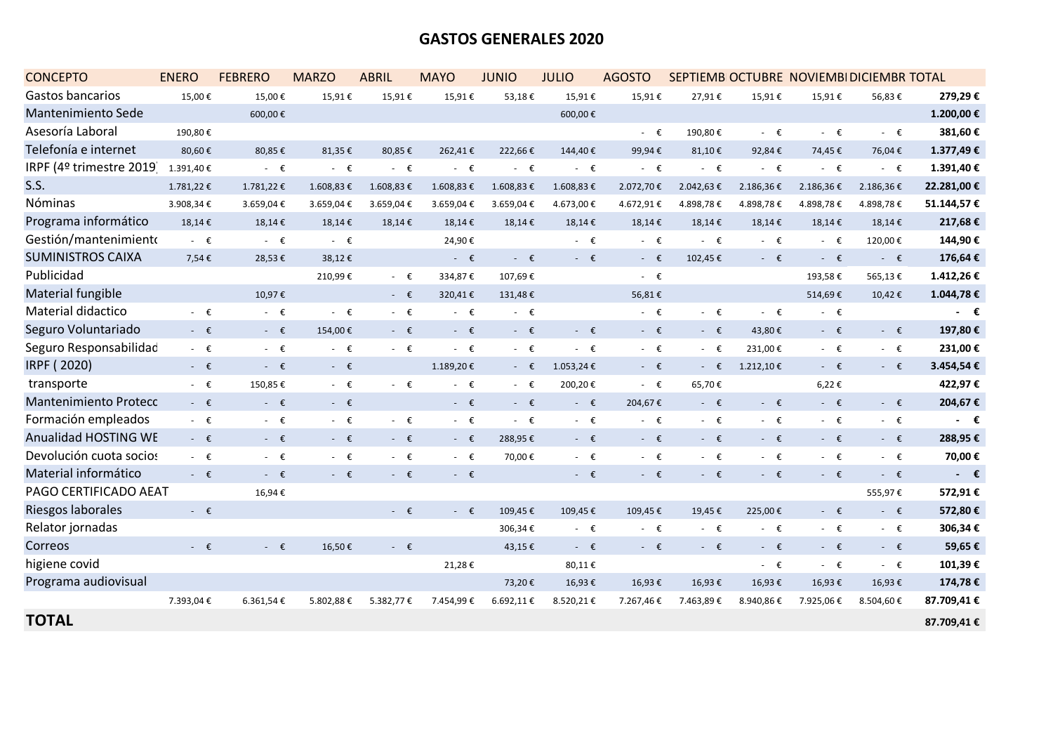### **GASTOS GENERALES 2020**

| <b>CONCEPTO</b>              | <b>ENERO</b> | <b>FEBRERO</b> | <b>MARZO</b>   | <b>ABRIL</b>   | <b>MAYO</b>    | <b>JUNIO</b>   | <b>JULIO</b> | <b>AGOSTO</b>  |                |                | SEPTIEMB OCTUBRE NOVIEMBI DICIEMBR TOTAL |                |              |
|------------------------------|--------------|----------------|----------------|----------------|----------------|----------------|--------------|----------------|----------------|----------------|------------------------------------------|----------------|--------------|
| Gastos bancarios             | 15,00€       | 15,00€         | 15,91€         | 15,91€         | 15,91€         | 53,18€         | 15,91€       | 15,91€         | 27,91€         | 15,91€         | 15,91€                                   | 56,83€         | 279,29€      |
| Mantenimiento Sede           |              | 600,00€        |                |                |                |                | 600,00€      |                |                |                |                                          |                | 1.200,00€    |
| Asesoría Laboral             | 190,80€      |                |                |                |                |                |              | - $\epsilon$   | 190,80€        | $ \epsilon$    | $ \epsilon$                              | - $\epsilon$   | 381,60€      |
| Telefonía e internet         | 80,60€       | 80,85€         | 81,35€         | 80,85€         | 262,41€        | 222,66€        | 144,40€      | 99,94€         | 81,10€         | 92,84€         | 74,45€                                   | 76,04€         | 1.377,49€    |
| IRPF (4º trimestre 2019)     | 1.391,40€    | - $\epsilon$   | $ \epsilon$    | - €            | $ \epsilon$    | $ \epsilon$    | $ \epsilon$  | $ \epsilon$    | $ \epsilon$    | $ \epsilon$    | $ \varepsilon$                           | - $\epsilon$   | 1.391,40€    |
| S.S.                         | 1.781,22€    | 1.781,22€      | 1.608,83€      | 1.608,83€      | 1.608,83€      | 1.608,83€      | 1.608,83€    | 2.072,70€      | 2.042,63€      | 2.186,36€      | 2.186,36€                                | 2.186,36€      | 22.281,00 €  |
| Nóminas                      | 3.908,34€    | 3.659,04€      | 3.659,04€      | 3.659,04€      | 3.659,04€      | 3.659,04€      | 4.673,00€    | 4.672,91€      | 4.898,78€      | 4.898,78€      | 4.898,78€                                | 4.898,78€      | 51.144,57€   |
| Programa informático         | 18,14€       | 18,14€         | 18,14€         | 18,14€         | 18,14€         | 18,14€         | 18,14€       | 18,14€         | 18,14€         | 18,14€         | 18,14€                                   | 18,14€         | 217,68€      |
| Gestión/mantenimiento        | $ \epsilon$  | $ \epsilon$    | $ \epsilon$    |                | 24,90€         |                | $ \epsilon$  | $ \epsilon$    | $ \varepsilon$ | $ \epsilon$    | $ \epsilon$                              | 120,00€        | 144,90€      |
| <b>SUMINISTROS CAIXA</b>     | 7,54€        | 28,53€         | 38,12€         |                | $ \epsilon$    | $ \varepsilon$ | $ \epsilon$  | $ \epsilon$    | 102,45€        | $ \epsilon$    | $ \epsilon$                              | $ \epsilon$    | 176,64€      |
| Publicidad                   |              |                | 210,99€        | $ \epsilon$    | 334,87€        | 107,69€        |              | $ \epsilon$    |                |                | 193,58€                                  | 565,13€        | 1.412,26€    |
| Material fungible            |              | 10,97€         |                | $ \epsilon$    | 320,41€        | 131,48€        |              | 56,81€         |                |                | 514,69€                                  | 10,42€         | 1.044,78€    |
| Material didactico           | $ \epsilon$  | - $\epsilon$   | - $\epsilon$   | $ \epsilon$    | $ \epsilon$    | $ \epsilon$    |              | $ \epsilon$    | $ \epsilon$    | $ \varepsilon$ | $ \epsilon$                              |                | $ \epsilon$  |
| Seguro Voluntariado          | - $\epsilon$ | - $\epsilon$   | 154,00€        | $ \varepsilon$ | $ \epsilon$    | $ \epsilon$    | $ \epsilon$  | $ \varepsilon$ | $ \varepsilon$ | 43,80€         | $ \varepsilon$                           | - $\epsilon$   | 197,80€      |
| Seguro Responsabilidad       | $ \epsilon$  | $ \epsilon$    | $ \varepsilon$ | $ \epsilon$    | - €            | $ \epsilon$    | - €          | $ \epsilon$    | - €            | 231,00€        | $ \epsilon$                              | - €            | 231,00€      |
| IRPF (2020)                  | - $\epsilon$ | - $\epsilon$   | $ \varepsilon$ |                | 1.189,20€      | $ \epsilon$    | 1.053,24€    | $ \epsilon$    | $ \varepsilon$ | 1.212,10€      | $ \epsilon$                              | - $\epsilon$   | 3.454,54€    |
| transporte                   | - $\epsilon$ | 150,85€        | $ \epsilon$    | $ \epsilon$    | - $\epsilon$   | $ \epsilon$    | 200,20€      | $ \epsilon$    | 65,70€         |                | 6,22€                                    |                | 422,97€      |
| <b>Mantenimiento Protecc</b> | $ \epsilon$  | $ \epsilon$    | $ \epsilon$    |                | $ \varepsilon$ | $ \varepsilon$ | $ \epsilon$  | 204,67€        | $ \varepsilon$ | $ \epsilon$    | $ \epsilon$                              | $ \epsilon$    | 204,67€      |
| Formación empleados          | - $\epsilon$ | - $\epsilon$   | $ \epsilon$    | $ \varepsilon$ | $ \epsilon$    | $ \epsilon$    | $ \epsilon$  | $ \epsilon$    | - $\epsilon$   | $ \epsilon$    | $ \epsilon$                              | - $\epsilon$   | $ \epsilon$  |
| <b>Anualidad HOSTING WE</b>  | - $\epsilon$ | $ \epsilon$    | $ \epsilon$    | $ \epsilon$    | $ \epsilon$    | 288,95€        | $ \epsilon$  | $ \epsilon$    | $ \epsilon$    | $ \epsilon$    | $ \epsilon$                              | - $\epsilon$   | 288,95€      |
| Devolución cuota socios      | $ \epsilon$  | - $\epsilon$   | - €            | $ \epsilon$    | $ \epsilon$    | 70,00€         | $ \epsilon$  | $ \epsilon$    | - $\epsilon$   | $ \epsilon$    | $ \epsilon$                              | - $\epsilon$   | 70,00€       |
| Material informático         | - $\epsilon$ | - $\epsilon$   | $ \epsilon$    | - $\epsilon$   | $ \varepsilon$ |                | $ \epsilon$  | $ \varepsilon$ | $ \epsilon$    | $ \epsilon$    | $ \varepsilon$                           | - $\epsilon$   | - $\epsilon$ |
| PAGO CERTIFICADO AEAT        |              | 16,94€         |                |                |                |                |              |                |                |                |                                          | 555,97€        | 572,91€      |
| Riesgos laborales            | $ \epsilon$  |                |                | $ \varepsilon$ | $ \varepsilon$ | 109,45€        | 109,45€      | 109,45€        | 19,45€         | 225,00€        | $ \varepsilon$                           | $ \varepsilon$ | 572,80€      |
| Relator jornadas             |              |                |                |                |                | 306,34€        | $ \epsilon$  | $ \epsilon$    | $ \epsilon$    | $ \epsilon$    | $ \epsilon$                              | - $\epsilon$   | 306,34€      |
| Correos                      | $ \epsilon$  | $ \epsilon$    | 16,50€         | $ \epsilon$    |                | 43,15€         | $ \epsilon$  | $ \epsilon$    | $ \varepsilon$ | $ \epsilon$    | $ \epsilon$                              | $ \epsilon$    | 59,65€       |
| higiene covid                |              |                |                |                | 21,28€         |                | 80,11€       |                |                | $ \epsilon$    | $ \epsilon$                              | - $\epsilon$   | 101,39€      |
| Programa audiovisual         |              |                |                |                |                | 73,20€         | 16,93€       | 16,93€         | 16,93€         | 16,93€         | 16,93€                                   | 16,93€         | 174,78€      |
|                              | 7.393,04€    | 6.361,54€      | 5.802,88€      | 5.382,77 €     | 7.454,99€      | 6.692,11€      | 8.520,21€    | 7.267,46€      | 7.463,89€      | 8.940,86€      | 7.925,06€                                | 8.504,60€      | 87.709,41€   |
| <b>TOTAL</b>                 |              |                |                |                |                |                |              |                |                |                |                                          |                | 87.709,41€   |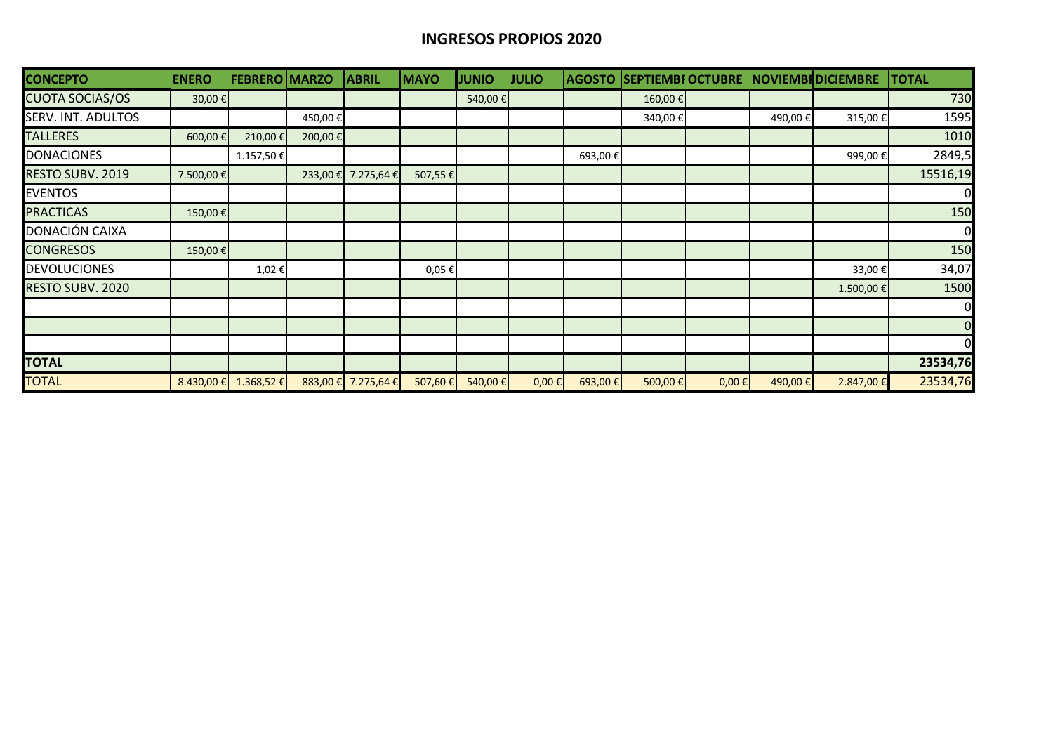### **INGRESOS PROPIOS 2020**

| <b>CONCEPTO</b>           | <b>ENERO</b> | <b>FEBRERO MARZO</b> |         | <b>ABRIL</b>        | <b>MAYO</b> | <b>JUNIO</b> | <b>JULIO</b> |         |         |            |          | AGOSTO SEPTIEMBI OCTUBRE NOVIEMBI DICIEMBRE | <b>TOTAL</b>   |
|---------------------------|--------------|----------------------|---------|---------------------|-------------|--------------|--------------|---------|---------|------------|----------|---------------------------------------------|----------------|
| <b>CUOTA SOCIAS/OS</b>    | 30,00€       |                      |         |                     |             | 540,00 €     |              |         | 160,00€ |            |          |                                             | 730            |
| <b>SERV. INT. ADULTOS</b> |              |                      | 450,00€ |                     |             |              |              |         | 340,00€ |            | 490,00€  | 315,00€                                     | 1595           |
| <b>TALLERES</b>           | 600,00€      | 210,00€              | 200,00€ |                     |             |              |              |         |         |            |          |                                             | 1010           |
| <b>DONACIONES</b>         |              | 1.157,50€            |         |                     |             |              |              | 693,00€ |         |            |          | 999,00€                                     | 2849,5         |
| <b>RESTO SUBV. 2019</b>   | 7.500,00 €   |                      |         | 233,00 € 7.275,64 € | 507,55 €    |              |              |         |         |            |          |                                             | 15516,19       |
| <b>EVENTOS</b>            |              |                      |         |                     |             |              |              |         |         |            |          |                                             | $\overline{0}$ |
| <b>PRACTICAS</b>          | 150,00€      |                      |         |                     |             |              |              |         |         |            |          |                                             | 150            |
| DONACIÓN CAIXA            |              |                      |         |                     |             |              |              |         |         |            |          |                                             | $\overline{0}$ |
| <b>CONGRESOS</b>          | 150,00€      |                      |         |                     |             |              |              |         |         |            |          |                                             | 150            |
| <b>DEVOLUCIONES</b>       |              | 1,02€                |         |                     | 0,05€       |              |              |         |         |            |          | 33,00€                                      | 34,07          |
| <b>RESTO SUBV. 2020</b>   |              |                      |         |                     |             |              |              |         |         |            |          | 1.500,00€                                   | 1500           |
|                           |              |                      |         |                     |             |              |              |         |         |            |          |                                             | $\overline{0}$ |
|                           |              |                      |         |                     |             |              |              |         |         |            |          |                                             | $\overline{0}$ |
|                           |              |                      |         |                     |             |              |              |         |         |            |          |                                             | $\mathbf{0}$   |
| <b>TOTAL</b>              |              |                      |         |                     |             |              |              |         |         |            |          |                                             | 23534,76       |
| <b>TOTAL</b>              | $8.430,00$ € | 1.368,52€            |         | 883,00 € 7.275,64 € | 507,60 €    | 540,00 €     | $0,00 \in$   | 693,00€ | 500,00€ | $0,00 \in$ | 490,00 € | 2.847,00 €                                  | 23534,76       |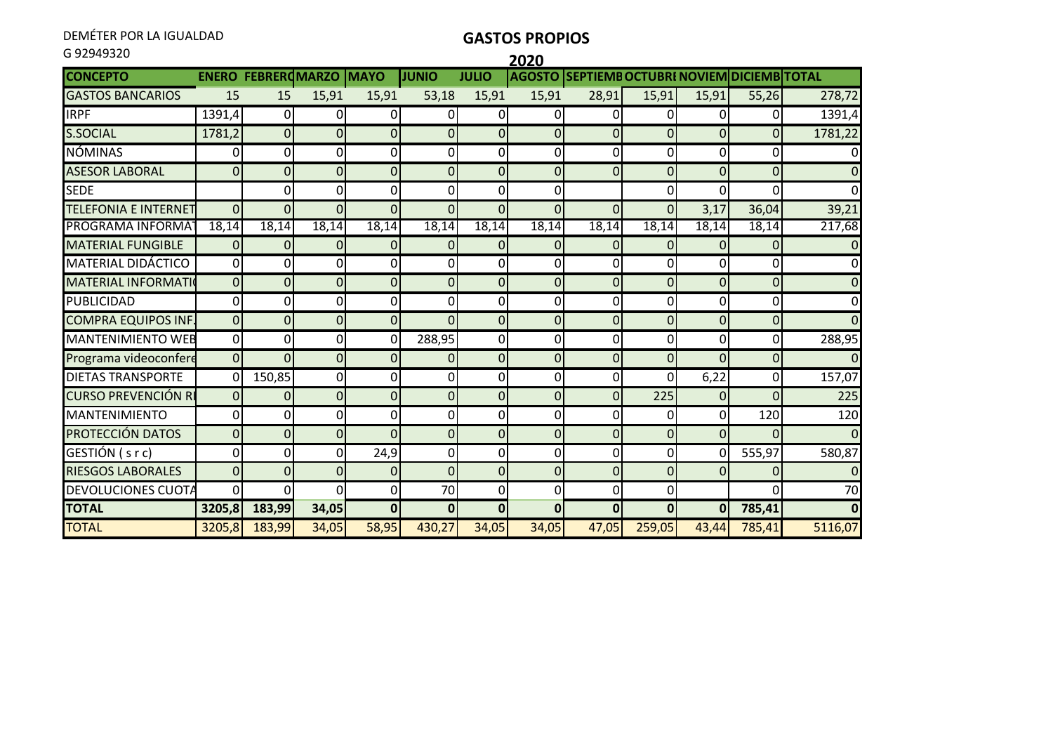DEMÉTER POR LA IGUALDAD

### **GASTOS PROPIOS**

| G92949320                   |                |                           |                |                |                |                | 2020           |                                              |                |                |                |                |
|-----------------------------|----------------|---------------------------|----------------|----------------|----------------|----------------|----------------|----------------------------------------------|----------------|----------------|----------------|----------------|
| <b>CONCEPTO</b>             |                | <b>ENERO FEBREROMARZO</b> |                | <b>MAYO</b>    | <b>JUNIO</b>   | <b>JULIO</b>   |                | AGOSTO SEPTIEMB OCTUBRI NOVIEM DICIEMB TOTAL |                |                |                |                |
| <b>GASTOS BANCARIOS</b>     | 15             | 15                        | 15,91          | 15,91          | 53,18          | 15,91          | 15,91          | 28,91                                        | 15,91          | 15,91          | 55,26          | 278,72         |
| <b>IRPF</b>                 | 1391,4         | $\overline{0}$            | 0l             | $\Omega$       | 0              | $\overline{0}$ | $\overline{0}$ | 0                                            | 0              | 0              | $\Omega$       | 1391,4         |
| <b>S.SOCIAL</b>             | 1781,2         | $\overline{0}$            | $\overline{0}$ | $\mathbf{0}$   | 0              | $\overline{0}$ | $\mathbf 0$    | $\overline{0}$                               | $\overline{0}$ | $\overline{0}$ | $\Omega$       | 1781,22        |
| <b>NÓMINAS</b>              | $\pmb{0}$      | 0                         | οI             | 0              | 0              | 0              | 0              | 0                                            | 0              | $\overline{0}$ | 0              | $\Omega$       |
| <b>ASESOR LABORAL</b>       | $\overline{0}$ | $\overline{0}$            | $\overline{0}$ | $\overline{0}$ | $\overline{0}$ | $\overline{0}$ | $\overline{0}$ | $\overline{0}$                               | $\overline{0}$ | $\overline{0}$ | $\overline{0}$ | $\overline{0}$ |
| <b>SEDE</b>                 |                | $\Omega$                  | οI             | 0              | 0              | $\Omega$       | 0              |                                              | Οl             | 0              | O              | $\Omega$       |
| <b>TELEFONIA E INTERNET</b> | $\overline{0}$ | $\Omega$                  | $\overline{0}$ | $\overline{0}$ | $\overline{0}$ | $\Omega$       | $\Omega$       | $\overline{0}$                               | $\overline{0}$ | 3,17           | 36,04          | 39,21          |
| PROGRAMA INFORMA            | 18,14          | 18,14                     | 18,14          | 18,14          | 18,14          | 18,14          | 18,14          | 18,14                                        | 18,14          | 18,14          | 18,14          | 217,68         |
| <b>MATERIAL FUNGIBLE</b>    | $\mathbf{0}$   | $\overline{0}$            | 0l             | $\mathbf{0}$   | 0              | $\overline{0}$ | $\mathbf{0}$   | $\Omega$                                     | 0              | $\Omega$       | 01             | $\Omega$       |
| <b>MATERIAL DIDÁCTICO</b>   | $\mathbf 0$    | $\overline{0}$            | Οl             | 0              | $\Omega$       | $\overline{0}$ | 0              | 0                                            | Οl             | οI             | $\Omega$       | $\overline{0}$ |
| <b>MATERIAL INFORMATIO</b>  | $\overline{0}$ | $\overline{0}$            | $\overline{0}$ | $\mathbf 0$    | $\mathbf 0$    | $\overline{0}$ | $\mathbf 0$    | $\overline{0}$                               | $\overline{0}$ | $\overline{0}$ | $\overline{0}$ | $\overline{0}$ |
| <b>PUBLICIDAD</b>           | $\pmb{0}$      | $\overline{0}$            | <sub>0</sub>   | 0              | 0              | $\overline{0}$ | $\mathbf 0$    | 0                                            | $\overline{0}$ | οI             | $\Omega$       | $\overline{0}$ |
| <b>COMPRA EQUIPOS INF.</b>  | $\overline{0}$ | $\overline{0}$            | $\overline{0}$ | $\overline{0}$ | $\Omega$       | $\overline{0}$ | $\mathbf 0$    | $\overline{0}$                               | $\overline{0}$ | $\overline{0}$ | $\Omega$       | $\overline{0}$ |
| <b>MANTENIMIENTO WEB</b>    | $\overline{0}$ | Οl                        | Οl             | $\Omega$       | 288,95         | $\overline{0}$ | 0              | 0                                            | Οl             | $\overline{0}$ | O              | 288,95         |
| Programa videoconfere       | $\overline{0}$ | $\overline{0}$            | $\overline{0}$ | 0              | 0              | $\overline{0}$ | $\mathbf 0$    | $\overline{0}$                               | $\overline{0}$ | $\overline{0}$ | $\overline{0}$ | $\Omega$       |
| <b>DIETAS TRANSPORTE</b>    | $\Omega$       | 150,85                    | οl             | 0              | 0              | $\overline{0}$ | 0              | $\mathbf 0$                                  | ΩI             | 6,22           | $\Omega$       | 157,07         |
| <b>CURSO PREVENCIÓN RI</b>  | $\mathbf 0$    | $\overline{0}$            | $\overline{0}$ | $\mathbf 0$    | $\overline{0}$ | $\overline{0}$ | $\mathbf 0$    | $\overline{0}$                               | 225            | $\overline{O}$ | $\Omega$       | 225            |
| <b>MANTENIMIENTO</b>        | 0              | $\Omega$                  | οl             | 0              | 0              | $\overline{0}$ | 0              | 0                                            | 0              | 0              | 120            | 120            |
| PROTECCIÓN DATOS            | $\mathbf 0$    | $\overline{0}$            | $\overline{0}$ | $\overline{0}$ | 0              | $\overline{0}$ | $\mathbf 0$    | $\overline{0}$                               | $\overline{0}$ | $\overline{0}$ | $\Omega$       | $\Omega$       |
| GESTIÓN (s r c)             | $\mathbf 0$    | Οl                        | οl             | 24,9           | 0              | Οl             | 0              | 0                                            | 0              | 0l             | 555,97         | 580,87         |
| <b>RIESGOS LABORALES</b>    | $\overline{0}$ | $\Omega$                  | $\overline{0}$ | $\Omega$       | $\overline{0}$ | $\overline{0}$ | $\mathbf 0$    | $\Omega$                                     | 0              | $\Omega$       | 0              | $\Omega$       |
| DEVOLUCIONES CUOTA          | $\mathbf 0$    | ΩI                        | ΩI             | 0              | 70             | $\overline{0}$ | 0              | $\overline{0}$                               | $\overline{0}$ |                | O              | 70             |
| <b>TOTAL</b>                | 3205,8         | 183,99                    | 34,05          | $\mathbf{0}$   | $\mathbf{0}$   | $\Omega$       | $\bf{0}$       | $\mathbf{0}$                                 | $\overline{0}$ | $\mathbf{0}$   | 785,41         | $\mathbf{0}$   |
| <b>TOTAL</b>                | 3205,8         | 183,99                    | 34,05          | 58,95          | 430,27         | 34,05          | 34,05          | 47,05                                        | 259,05         | 43,44          | 785,41         | 5116,07        |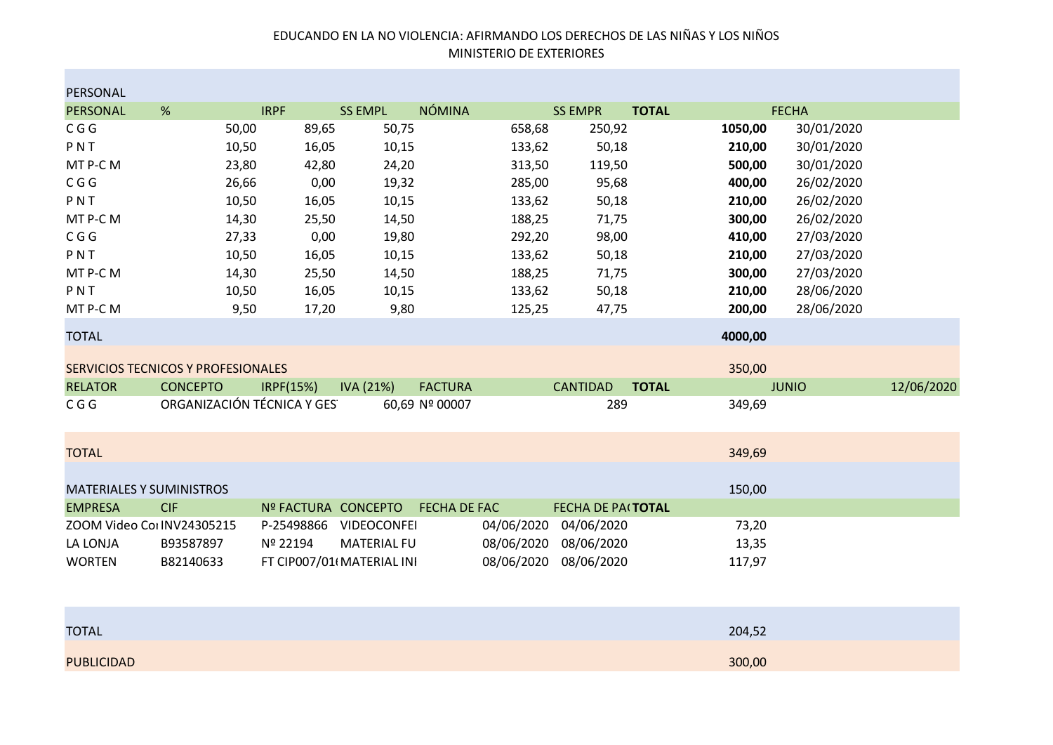#### EDUCANDO EN LA NO VIOLENCIA: AFIRMANDO LOS DERECHOS DE LAS NIÑAS Y LOS NIÑOS MINISTERIO DE EXTERIORES

| PERSONAL                        |                                    |                     |                           |                |            |                   |              |         |              |            |
|---------------------------------|------------------------------------|---------------------|---------------------------|----------------|------------|-------------------|--------------|---------|--------------|------------|
| PERSONAL                        | %                                  | <b>IRPF</b>         | <b>SS EMPL</b>            | <b>NÓMINA</b>  |            | <b>SS EMPR</b>    | <b>TOTAL</b> |         | <b>FECHA</b> |            |
| C G G                           | 50,00                              | 89,65               | 50,75                     |                | 658,68     | 250,92            |              | 1050,00 | 30/01/2020   |            |
| PNT                             | 10,50                              | 16,05               | 10,15                     |                | 133,62     | 50,18             |              | 210,00  | 30/01/2020   |            |
| MT P-C M                        | 23,80                              | 42,80               | 24,20                     |                | 313,50     | 119,50            |              | 500,00  | 30/01/2020   |            |
| C G G                           | 26,66                              | 0,00                | 19,32                     |                | 285,00     | 95,68             |              | 400,00  | 26/02/2020   |            |
| PNT                             | 10,50                              | 16,05               | 10,15                     |                | 133,62     | 50,18             |              | 210,00  | 26/02/2020   |            |
| MT P-C M                        | 14,30                              | 25,50               | 14,50                     |                | 188,25     | 71,75             |              | 300,00  | 26/02/2020   |            |
| C G G                           | 27,33                              | 0,00                | 19,80                     |                | 292,20     | 98,00             |              | 410,00  | 27/03/2020   |            |
| PNT                             | 10,50                              | 16,05               | 10,15                     |                | 133,62     | 50,18             |              | 210,00  | 27/03/2020   |            |
| MT P-C M                        | 14,30                              | 25,50               | 14,50                     |                | 188,25     | 71,75             |              | 300,00  | 27/03/2020   |            |
| PNT                             | 10,50                              | 16,05               | 10,15                     |                | 133,62     | 50,18             |              | 210,00  | 28/06/2020   |            |
| MT P-C M                        | 9,50                               | 17,20               | 9,80                      |                | 125,25     | 47,75             |              | 200,00  | 28/06/2020   |            |
| <b>TOTAL</b>                    |                                    |                     |                           |                |            |                   |              | 4000,00 |              |            |
|                                 | SERVICIOS TECNICOS Y PROFESIONALES |                     |                           |                |            |                   |              | 350,00  |              |            |
| <b>RELATOR</b>                  | <b>CONCEPTO</b>                    | IRPF(15%)           | IVA (21%)                 | <b>FACTURA</b> |            | <b>CANTIDAD</b>   | <b>TOTAL</b> |         | <b>JUNIO</b> | 12/06/2020 |
| C G G                           | ORGANIZACIÓN TÉCNICA Y GES         |                     |                           | 60,69 Nº 00007 |            | 289               |              | 349,69  |              |            |
| <b>TOTAL</b>                    |                                    |                     |                           |                |            |                   |              | 349,69  |              |            |
| <b>MATERIALES Y SUMINISTROS</b> |                                    |                     |                           |                |            |                   |              | 150,00  |              |            |
| <b>EMPRESA</b>                  | <b>CIF</b>                         | Nº FACTURA CONCEPTO |                           | FECHA DE FAC   |            | FECHA DE PAITOTAL |              |         |              |            |
| ZOOM Video CorINV24305215       |                                    | P-25498866          | <b>VIDEOCONFEI</b>        |                | 04/06/2020 | 04/06/2020        |              | 73,20   |              |            |
| LA LONJA                        | B93587897                          | Nº 22194            | <b>MATERIAL FU</b>        |                | 08/06/2020 | 08/06/2020        |              | 13,35   |              |            |
| <b>WORTEN</b>                   | B82140633                          |                     | FT CIP007/01 MATERIAL INI |                | 08/06/2020 | 08/06/2020        |              | 117,97  |              |            |
|                                 |                                    |                     |                           |                |            |                   |              |         |              |            |

| <b>TOTAL</b>      | 204,52 |
|-------------------|--------|
|                   |        |
| <b>PUBLICIDAD</b> | 300,00 |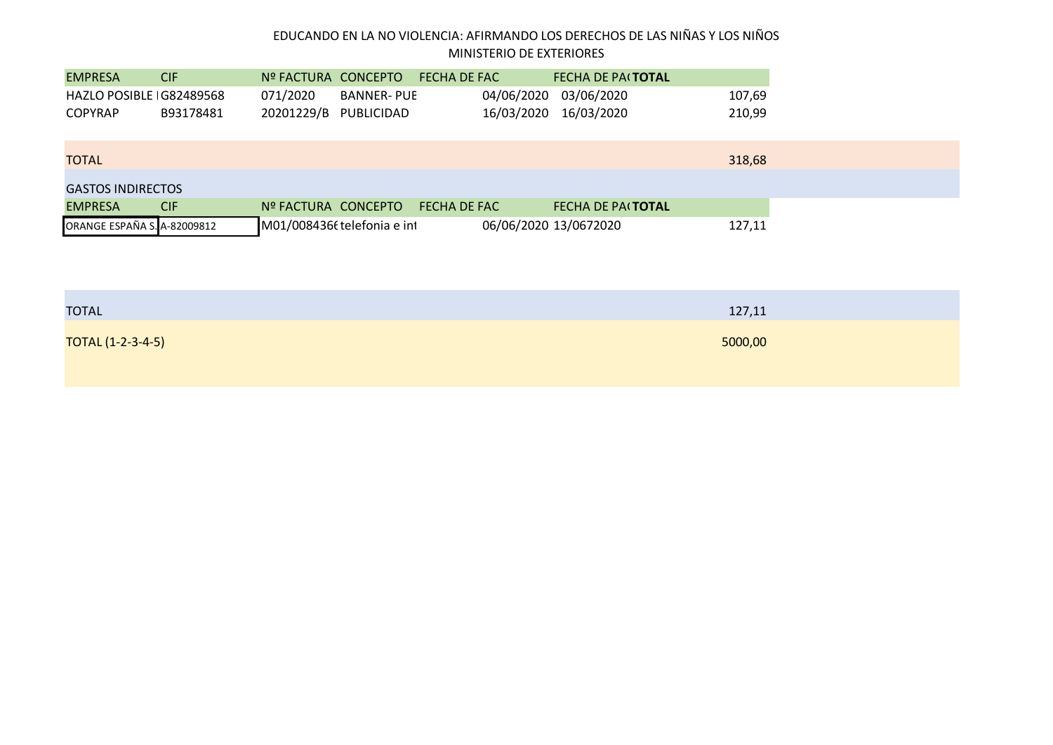### EDUCANDO EN LA NO VIOLENCIA: AFIRMANDO LOS DERECHOS DE LAS NIÑAS Y LOS NIÑOS MINISTERIO DE EXTERIORES

| 03/06/2020<br>071/2020<br>04/06/2020<br><b>BANNER- PUE</b><br>HAZLO POSIBLE IG82489568<br>107,69<br>16/03/2020<br>16/03/2020<br>20201229/B<br>PUBLICIDAD<br>210,99<br>B93178481<br><b>TOTAL</b><br><b>GASTOS INDIRECTOS</b><br><b>CIF</b><br>Nº FACTURA CONCEPTO<br><b>FECHA DE FAC</b><br><b>FECHA DE PACTOTAL</b><br>M01/008436t telefonia e int<br>06/06/2020 13/0672020 | <b>EMPRESA</b>              | <b>CIF</b> | Nº FACTURA CONCEPTO | FECHA DE FAC | <b>FECHA DE PACTOTAL</b> |        |
|-----------------------------------------------------------------------------------------------------------------------------------------------------------------------------------------------------------------------------------------------------------------------------------------------------------------------------------------------------------------------------|-----------------------------|------------|---------------------|--------------|--------------------------|--------|
| 318,68                                                                                                                                                                                                                                                                                                                                                                      |                             |            |                     |              |                          |        |
|                                                                                                                                                                                                                                                                                                                                                                             | <b>COPYRAP</b>              |            |                     |              |                          |        |
|                                                                                                                                                                                                                                                                                                                                                                             |                             |            |                     |              |                          |        |
|                                                                                                                                                                                                                                                                                                                                                                             |                             |            |                     |              |                          |        |
|                                                                                                                                                                                                                                                                                                                                                                             |                             |            |                     |              |                          |        |
|                                                                                                                                                                                                                                                                                                                                                                             |                             |            |                     |              |                          |        |
|                                                                                                                                                                                                                                                                                                                                                                             | <b>EMPRESA</b>              |            |                     |              |                          |        |
|                                                                                                                                                                                                                                                                                                                                                                             | ORANGE ESPAÑA S. A-82009812 |            |                     |              |                          | 127,11 |

| <b>TOTAL</b>             | 127,11  |
|--------------------------|---------|
| <b>TOTAL (1-2-3-4-5)</b> | 5000,00 |
|                          |         |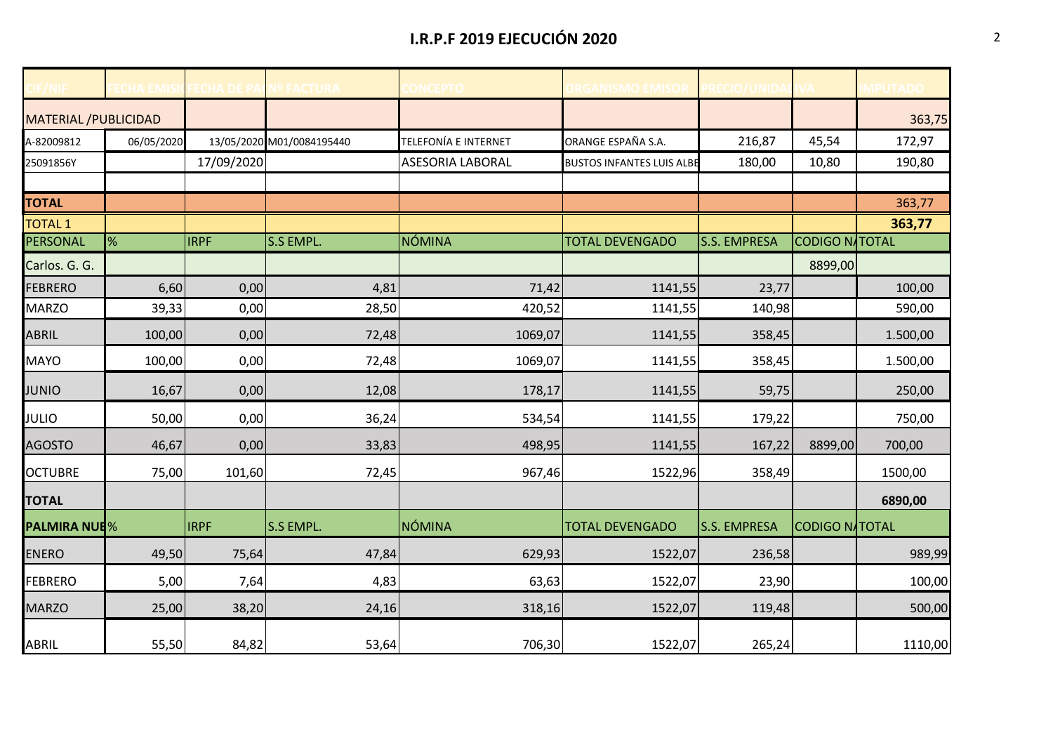# **I.R.P.F 2019 EJECUCIÓN 2020** 2

|                              | HA FMIS    | <b>FCHA DE P.</b> | <b>Iº FACTURA</b>         | <b>CONCEPTO</b>         | <b>DRGANISMO EMISOR PRECIO/UNID</b> |                     |                       | <b>MPUTADO</b> |
|------------------------------|------------|-------------------|---------------------------|-------------------------|-------------------------------------|---------------------|-----------------------|----------------|
| <b>MATERIAL / PUBLICIDAD</b> |            |                   |                           |                         |                                     |                     |                       | 363,75         |
| A-82009812                   | 06/05/2020 |                   | 13/05/2020 M01/0084195440 | TELEFONÍA E INTERNET    | ORANGE ESPAÑA S.A.                  | 216,87              | 45,54                 | 172,97         |
| 25091856Y                    |            | 17/09/2020        |                           | <b>ASESORIA LABORAL</b> | <b>BUSTOS INFANTES LUIS ALBE</b>    | 180,00              | 10,80                 | 190,80         |
|                              |            |                   |                           |                         |                                     |                     |                       |                |
| <b>TOTAL</b>                 |            |                   |                           |                         |                                     |                     |                       | 363,77         |
| <b>TOTAL 1</b>               |            |                   |                           |                         |                                     |                     |                       | 363,77         |
| PERSONAL                     | %          | <b>IRPF</b>       | S.S EMPL.                 | <b>NÓMINA</b>           | <b>TOTAL DEVENGADO</b>              | <b>S.S. EMPRESA</b> | <b>CODIGO NATOTAL</b> |                |
| Carlos. G. G.                |            |                   |                           |                         |                                     |                     | 8899,00               |                |
| <b>FEBRERO</b>               | 6,60       | 0,00              | 4,81                      | 71,42                   | 1141,55                             | 23,77               |                       | 100,00         |
| <b>MARZO</b>                 | 39,33      | 0,00              | 28,50                     | 420,52                  | 1141,55                             | 140,98              |                       | 590,00         |
| ABRIL                        | 100,00     | 0,00              | 72,48                     | 1069,07                 | 1141,55                             | 358,45              |                       | 1.500,00       |
| <b>MAYO</b>                  | 100,00     | 0,00              | 72,48                     | 1069,07                 | 1141,55                             | 358,45              |                       | 1.500,00       |
| <b>JUNIO</b>                 | 16,67      | 0,00              | 12,08                     | 178,17                  | 1141,55                             | 59,75               |                       | 250,00         |
| <b>JULIO</b>                 | 50,00      | 0,00              | 36,24                     | 534,54                  | 1141,55                             | 179,22              |                       | 750,00         |
| <b>AGOSTO</b>                | 46,67      | 0,00              | 33,83                     | 498,95                  | 1141,55                             | 167,22              | 8899,00               | 700,00         |
| <b>OCTUBRE</b>               | 75,00      | 101,60            | 72,45                     | 967,46                  | 1522,96                             | 358,49              |                       | 1500,00        |
| <b>TOTAL</b>                 |            |                   |                           |                         |                                     |                     |                       | 6890,00        |
| <b>PALMIRA NUE%</b>          |            | <b>IRPF</b>       | <b>S.S EMPL.</b>          | NÓMINA                  | <b>TOTAL DEVENGADO</b>              | <b>S.S. EMPRESA</b> | <b>CODIGO NATOTAL</b> |                |
| <b>ENERO</b>                 | 49,50      | 75,64             | 47,84                     | 629,93                  | 1522,07                             | 236,58              |                       | 989,99         |
| <b>FEBRERO</b>               | 5,00       | 7,64              | 4,83                      | 63,63                   | 1522,07                             | 23,90               |                       | 100,00         |
| <b>MARZO</b>                 | 25,00      | 38,20             | 24,16                     | 318,16                  | 1522,07                             | 119,48              |                       | 500,00         |
| ABRIL                        | 55,50      | 84,82             | 53,64                     | 706,30                  | 1522,07                             | 265,24              |                       | 1110,00        |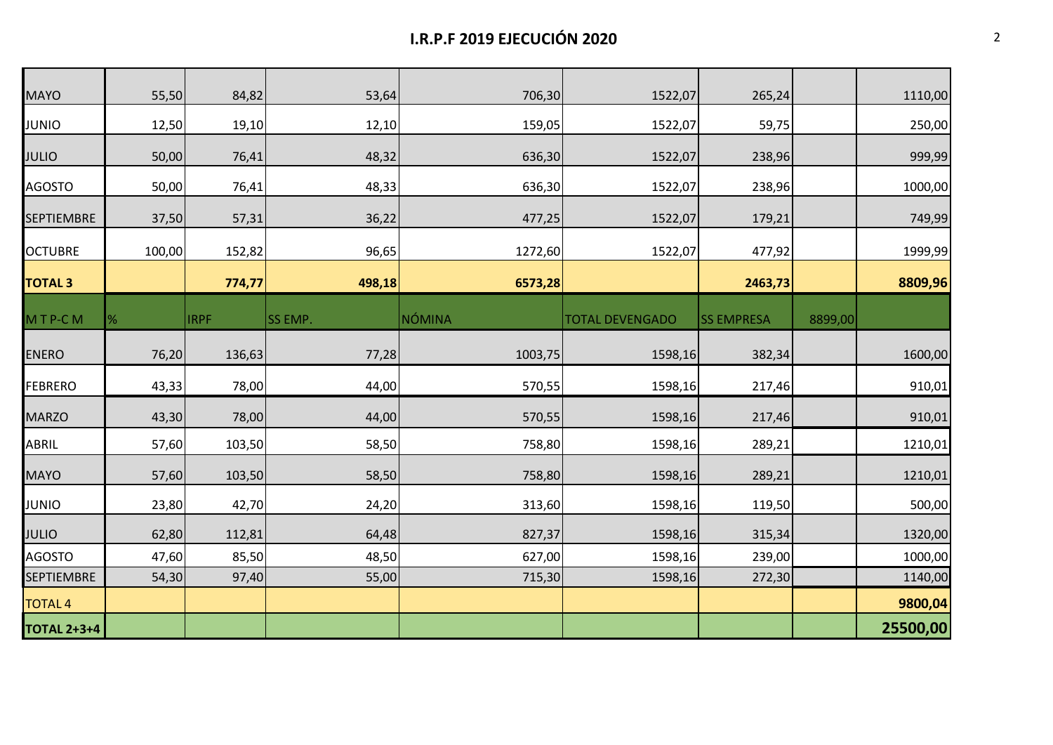| <b>MAYO</b>        | 55,50  | 84,82       | 53,64          | 706,30  | 1522,07                | 265,24            |         | 1110,00  |
|--------------------|--------|-------------|----------------|---------|------------------------|-------------------|---------|----------|
| <b>JUNIO</b>       | 12,50  | 19,10       | 12,10          | 159,05  | 1522,07                | 59,75             |         | 250,00   |
| <b>JULIO</b>       | 50,00  | 76,41       | 48,32          | 636,30  | 1522,07                | 238,96            |         | 999,99   |
| <b>AGOSTO</b>      | 50,00  | 76,41       | 48,33          | 636,30  | 1522,07                | 238,96            |         | 1000,00  |
| <b>SEPTIEMBRE</b>  | 37,50  | 57,31       | 36,22          | 477,25  | 1522,07                | 179,21            |         | 749,99   |
| <b>OCTUBRE</b>     | 100,00 | 152,82      | 96,65          | 1272,60 | 1522,07                | 477,92            |         | 1999,99  |
| <b>TOTAL 3</b>     |        | 774,77      | 498,18         | 6573,28 |                        | 2463,73           |         | 8809,96  |
| MTP-CM             | %      | <b>IRPF</b> | <b>SS EMP.</b> | NÓMINA  | <b>TOTAL DEVENGADO</b> | <b>SS EMPRESA</b> | 8899,00 |          |
| <b>ENERO</b>       | 76,20  | 136,63      | 77,28          | 1003,75 | 1598,16                | 382,34            |         | 1600,00  |
| <b>FEBRERO</b>     | 43,33  | 78,00       | 44,00          | 570,55  | 1598,16                | 217,46            |         | 910,01   |
| <b>MARZO</b>       | 43,30  | 78,00       | 44,00          | 570,55  | 1598,16                | 217,46            |         | 910,01   |
| ABRIL              | 57,60  | 103,50      | 58,50          | 758,80  | 1598,16                | 289,21            |         | 1210,01  |
| MAYO               | 57,60  | 103,50      | 58,50          | 758,80  | 1598,16                | 289,21            |         | 1210,01  |
| JUNIO              | 23,80  | 42,70       | 24,20          | 313,60  | 1598,16                | 119,50            |         | 500,00   |
| <b>JULIO</b>       | 62,80  | 112,81      | 64,48          | 827,37  | 1598,16                | 315,34            |         | 1320,00  |
| <b>AGOSTO</b>      | 47,60  | 85,50       | 48,50          | 627,00  | 1598,16                | 239,00            |         | 1000,00  |
| <b>SEPTIEMBRE</b>  | 54,30  | 97,40       | 55,00          | 715,30  | 1598,16                | 272,30            |         | 1140,00  |
| <b>TOTAL 4</b>     |        |             |                |         |                        |                   |         | 9800,04  |
| <b>TOTAL 2+3+4</b> |        |             |                |         |                        |                   |         | 25500,00 |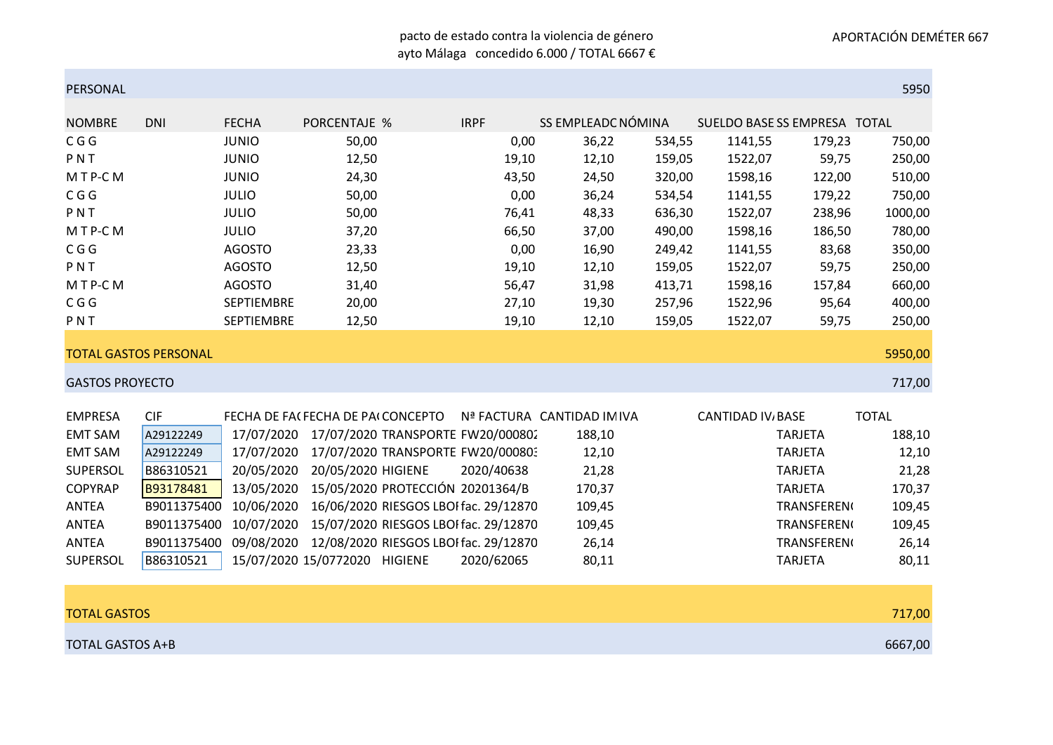#### pacto de estado contra la violencia de género ayto Málaga concedido 6.000 / TOTAL 6667 €

| PERSONAL               |                              |                   |                                    |                                  |                                       |                            |        |                              |                    | 5950         |
|------------------------|------------------------------|-------------------|------------------------------------|----------------------------------|---------------------------------------|----------------------------|--------|------------------------------|--------------------|--------------|
| <b>NOMBRE</b>          | <b>DNI</b>                   | <b>FECHA</b>      | <b>PORCENTAJE %</b>                |                                  | <b>IRPF</b>                           | SS EMPLEADC NÓMINA         |        | SUELDO BASE SS EMPRESA TOTAL |                    |              |
| C G G                  |                              | <b>JUNIO</b>      | 50,00                              |                                  | 0,00                                  | 36,22                      | 534,55 | 1141,55                      | 179,23             | 750,00       |
| PNT                    |                              | <b>JUNIO</b>      | 12,50                              |                                  | 19,10                                 | 12,10                      | 159,05 | 1522,07                      | 59,75              | 250,00       |
| MTP-CM                 |                              | <b>JUNIO</b>      | 24,30                              |                                  | 43,50                                 | 24,50                      | 320,00 | 1598,16                      | 122,00             | 510,00       |
| C G G                  |                              | <b>JULIO</b>      | 50,00                              |                                  | 0,00                                  | 36,24                      | 534,54 | 1141,55                      | 179,22             | 750,00       |
| PNT                    |                              | <b>JULIO</b>      | 50,00                              |                                  | 76,41                                 | 48,33                      | 636,30 | 1522,07                      | 238,96             | 1000,00      |
| MTP-CM                 |                              | <b>JULIO</b>      | 37,20                              |                                  | 66,50                                 | 37,00                      | 490,00 | 1598,16                      | 186,50             | 780,00       |
| C G G                  |                              | <b>AGOSTO</b>     | 23,33                              |                                  | 0,00                                  | 16,90                      | 249,42 | 1141,55                      | 83,68              | 350,00       |
| PNT                    |                              | <b>AGOSTO</b>     | 12,50                              |                                  | 19,10                                 | 12,10                      | 159,05 | 1522,07                      | 59,75              | 250,00       |
| MTP-CM                 |                              | <b>AGOSTO</b>     | 31,40                              |                                  | 56,47                                 | 31,98                      | 413,71 | 1598,16                      | 157,84             | 660,00       |
| C G G                  |                              | SEPTIEMBRE        | 20,00                              |                                  | 27,10                                 | 19,30                      | 257,96 | 1522,96                      | 95,64              | 400,00       |
| PNT                    |                              | <b>SEPTIEMBRE</b> | 12,50                              |                                  | 19,10                                 | 12,10                      | 159,05 | 1522,07                      | 59,75              | 250,00       |
|                        | <b>TOTAL GASTOS PERSONAL</b> |                   |                                    |                                  |                                       |                            |        |                              |                    | 5950,00      |
| <b>GASTOS PROYECTO</b> |                              |                   |                                    |                                  |                                       |                            |        |                              |                    | 717,00       |
|                        |                              |                   |                                    |                                  |                                       |                            |        |                              |                    |              |
| <b>EMPRESA</b>         | <b>CIF</b>                   |                   | FECHA DE FAI FECHA DE PAI CONCEPTO |                                  |                                       | Nª FACTURA CANTIDAD IM IVA |        | <b>CANTIDAD IV, BASE</b>     |                    | <b>TOTAL</b> |
| <b>EMT SAM</b>         | A29122249                    | 17/07/2020        |                                    |                                  | 17/07/2020 TRANSPORTE FW20/000802     | 188,10                     |        |                              | <b>TARJETA</b>     | 188,10       |
| <b>EMT SAM</b>         | A29122249                    | 17/07/2020        |                                    |                                  | 17/07/2020 TRANSPORTE FW20/000803     | 12,10                      |        |                              | <b>TARJETA</b>     | 12,10        |
| <b>SUPERSOL</b>        | B86310521                    | 20/05/2020        | 20/05/2020 HIGIENE                 |                                  | 2020/40638                            | 21,28                      |        |                              | <b>TARJETA</b>     | 21,28        |
| <b>COPYRAP</b>         | B93178481                    | 13/05/2020        |                                    | 15/05/2020 PROTECCIÓN 20201364/B |                                       | 170,37                     |        |                              | <b>TARJETA</b>     | 170,37       |
| <b>ANTEA</b>           | B9011375400                  | 10/06/2020        |                                    |                                  | 16/06/2020 RIESGOS LBOI fac. 29/12870 | 109,45                     |        |                              | <b>TRANSFEREN(</b> | 109,45       |
| <b>ANTEA</b>           | B9011375400                  | 10/07/2020        |                                    |                                  | 15/07/2020 RIESGOS LBOI fac. 29/12870 | 109,45                     |        |                              | <b>TRANSFEREN(</b> | 109,45       |
| <b>ANTEA</b>           | B9011375400                  | 09/08/2020        |                                    |                                  | 12/08/2020 RIESGOS LBOI fac. 29/12870 | 26,14                      |        |                              | <b>TRANSFEREN</b>  | 26,14        |
| <b>SUPERSOL</b>        | B86310521                    |                   | 15/07/2020 15/0772020 HIGIENE      |                                  | 2020/62065                            | 80,11                      |        |                              | <b>TARJETA</b>     | 80,11        |
|                        |                              |                   |                                    |                                  |                                       |                            |        |                              |                    |              |
|                        |                              |                   |                                    |                                  |                                       |                            |        |                              |                    |              |

| <b>TOTAL GASTOS</b> | 717,00  |
|---------------------|---------|
| TOTAL GASTOS A+B    | 6667,00 |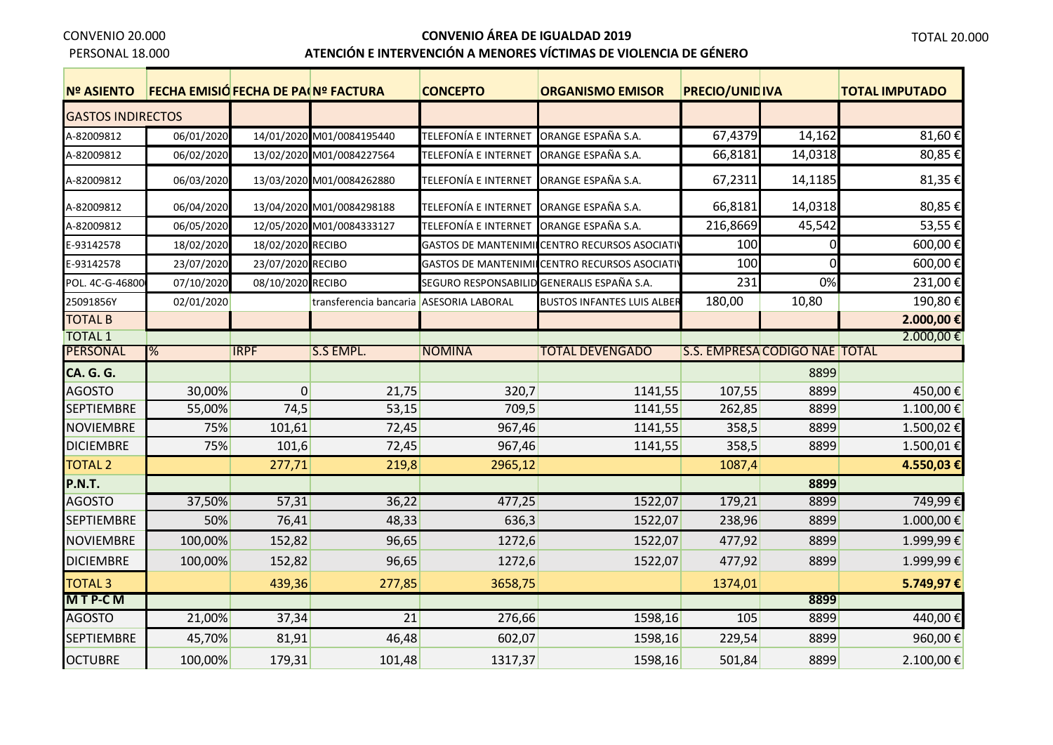PERSONAL 18.000

ř.

# **CONVENIO ÁREA DE IGUALDAD 2019**

## **ATENCIÓN E INTERVENCIÓN A MENORES VÍCTIMAS DE VIOLENCIA DE GÉNERO**

| <b>Nº ASIENTO</b>        | FECHA EMISIÓ FECHA DE PA(Nº FACTURA |                   |                                         | <b>CONCEPTO</b>                            | <b>ORGANISMO EMISOR</b>                      | <b>PRECIO/UNID IVA</b> |                               | <b>TOTAL IMPUTADO</b> |
|--------------------------|-------------------------------------|-------------------|-----------------------------------------|--------------------------------------------|----------------------------------------------|------------------------|-------------------------------|-----------------------|
| <b>GASTOS INDIRECTOS</b> |                                     |                   |                                         |                                            |                                              |                        |                               |                       |
| A-82009812               | 06/01/2020                          |                   | 14/01/2020 M01/0084195440               | TELEFONÍA E INTERNET                       | ORANGE ESPAÑA S.A.                           | 67,4379                | 14,162                        | 81,60€                |
| A-82009812               | 06/02/2020                          |                   | 13/02/2020 M01/0084227564               | TELEFONÍA E INTERNET                       | ORANGE ESPAÑA S.A.                           | 66,8181                | 14,0318                       | 80,85€                |
| A-82009812               | 06/03/2020                          |                   | 13/03/2020 M01/0084262880               | TELEFONÍA E INTERNET                       | ORANGE ESPAÑA S.A.                           | 67,2311                | 14,1185                       | 81,35€                |
| A-82009812               | 06/04/2020                          |                   | 13/04/2020 M01/0084298188               | TELEFONÍA E INTERNET ORANGE ESPAÑA S.A.    |                                              | 66,8181                | 14,0318                       | 80,85€                |
| A-82009812               | 06/05/2020                          |                   | 12/05/2020 M01/0084333127               | TELEFONÍA E INTERNET                       | ORANGE ESPAÑA S.A.                           | 216,8669               | 45,542                        | 53,55€                |
| E-93142578               | 18/02/2020                          | 18/02/2020 RECIBO |                                         |                                            | GASTOS DE MANTENIMI CENTRO RECURSOS ASOCIATI | 100                    | $\Omega$                      | 600,00€               |
| E-93142578               | 23/07/2020                          | 23/07/2020 RECIBO |                                         |                                            | GASTOS DE MANTENIMI CENTRO RECURSOS ASOCIATI | 100                    | $\Omega$                      | 600,00€               |
| POL. 4C-G-46800          | 07/10/2020                          | 08/10/2020 RECIBO |                                         | SEGURO RESPONSABILID GENERALIS ESPAÑA S.A. |                                              | 231                    | 0%                            | 231,00€               |
| 25091856Y                | 02/01/2020                          |                   | transferencia bancaria ASESORIA LABORAL |                                            | <b>BUSTOS INFANTES LUIS ALBER</b>            | 180,00                 | 10,80                         | 190,80€               |
| <b>TOTAL B</b>           |                                     |                   |                                         |                                            |                                              |                        |                               | 2.000,00€             |
| <b>TOTAL 1</b>           |                                     |                   |                                         |                                            |                                              |                        |                               | 2.000,00€             |
| <b>PERSONAL</b>          | %                                   | <b>IRPF</b>       | <b>S.S EMPL.</b>                        | <b>NOMINA</b>                              | <b>TOTAL DEVENGADO</b>                       |                        | S.S. EMPRESA CODIGO NAE TOTAL |                       |
| <b>CA. G. G.</b>         |                                     |                   |                                         |                                            |                                              |                        | 8899                          |                       |
| <b>AGOSTO</b>            | 30,00%                              | $\overline{0}$    | 21,75                                   | 320,7                                      | 1141,55                                      | 107,55                 | 8899                          | 450,00€               |
| <b>SEPTIEMBRE</b>        | 55,00%                              | 74,5              | 53,15                                   | 709,5                                      | 1141,55                                      | 262,85                 | 8899                          | 1.100,00€             |
| <b>NOVIEMBRE</b>         | 75%                                 | 101,61            | 72,45                                   | 967,46                                     | 1141,55                                      | 358,5                  | 8899                          | 1.500,02€             |
| <b>DICIEMBRE</b>         | 75%                                 | 101,6             | 72,45                                   | 967,46                                     | 1141,55                                      | 358,5                  | 8899                          | 1.500,01€             |
| <b>TOTAL 2</b>           |                                     | 277,71            | 219,8                                   | 2965,12                                    |                                              | 1087,4                 |                               | 4.550,03€             |
| <b>P.N.T.</b>            |                                     |                   |                                         |                                            |                                              |                        | 8899                          |                       |
| <b>AGOSTO</b>            | 37,50%                              | 57,31             | 36,22                                   | 477,25                                     | 1522,07                                      | 179,21                 | 8899                          | 749,99€               |
| <b>SEPTIEMBRE</b>        | 50%                                 | 76,41             | 48,33                                   | 636,3                                      | 1522,07                                      | 238,96                 | 8899                          | 1.000,00€             |
| <b>NOVIEMBRE</b>         | 100,00%                             | 152,82            | 96,65                                   | 1272,6                                     | 1522,07                                      | 477,92                 | 8899                          | 1.999,99€             |
| <b>DICIEMBRE</b>         | 100,00%                             | 152,82            | 96,65                                   | 1272,6                                     | 1522,07                                      | 477,92                 | 8899                          | 1.999,99€             |
| <b>TOTAL 3</b>           |                                     | 439,36            | 277,85                                  | 3658,75                                    |                                              | 1374,01                |                               | 5.749,97€             |
| MTP-CM                   |                                     |                   |                                         |                                            |                                              |                        | 8899                          |                       |
| <b>AGOSTO</b>            | 21,00%                              | 37,34             | $\overline{21}$                         | 276,66                                     | 1598,16                                      | 105                    | 8899                          | 440,00€               |
| <b>SEPTIEMBRE</b>        | 45,70%                              | 81,91             | 46,48                                   | 602,07                                     | 1598,16                                      | 229,54                 | 8899                          | 960,00€               |
| <b>OCTUBRE</b>           | 100,00%                             | 179,31            | 101,48                                  | 1317,37                                    | 1598,16                                      | 501,84                 | 8899                          | 2.100,00€             |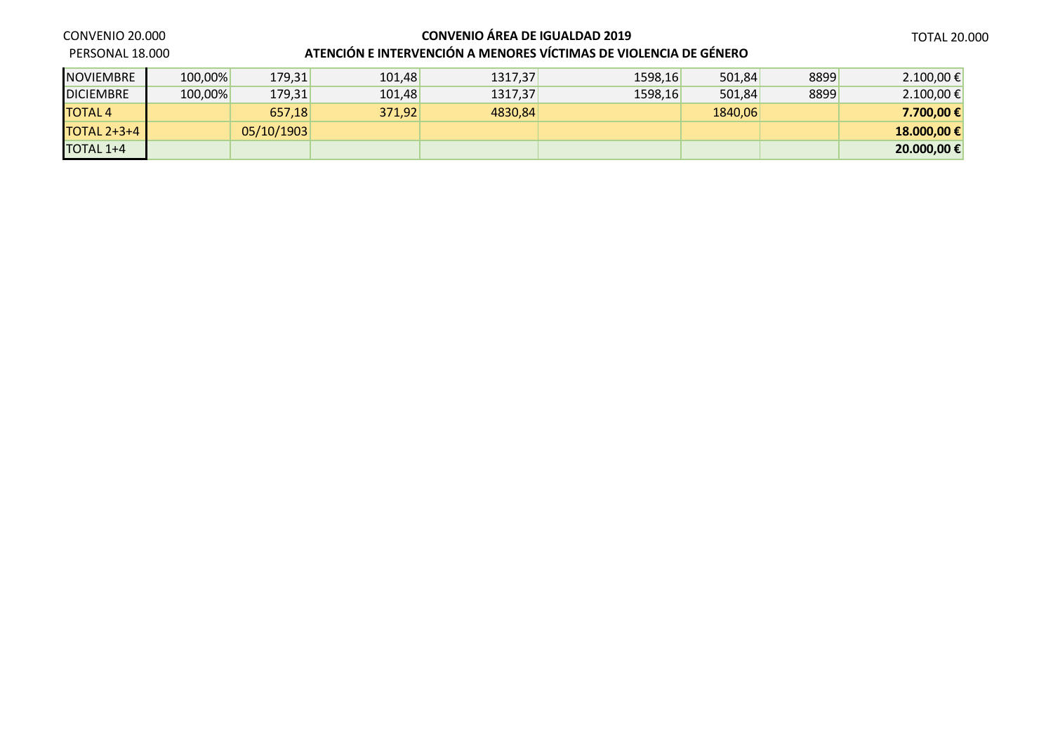**CONVENIO ÁREA DE IGUALDAD 2019 ATENCIÓN E INTERVENCIÓN A MENORES VÍCTIMAS DE VIOLENCIA DE GÉNERO**

#### CONVENIO 20.000

PERSONAL 18.000

| <b>NOVIEMBRE</b> | 100,00% | 179,31     | 101,48 | 1317,37 | 1598,16 | 501,84  | 8899 | 2.100,00€   |
|------------------|---------|------------|--------|---------|---------|---------|------|-------------|
| <b>DICIEMBRE</b> | 100,00% | 179,31     | 101,48 | 1317,37 | 1598,16 | 501,84  | 8899 | 2.100,00€   |
| <b>TOTAL 4</b>   |         | 657,18     | 371,92 | 4830,84 |         | 1840,06 |      | 7.700.00 €  |
| TOTAL $2+3+4$    |         | 05/10/1903 |        |         |         |         |      | 18.000,00€  |
| TOTAL 1+4        |         |            |        |         |         |         |      | 20.000,00 € |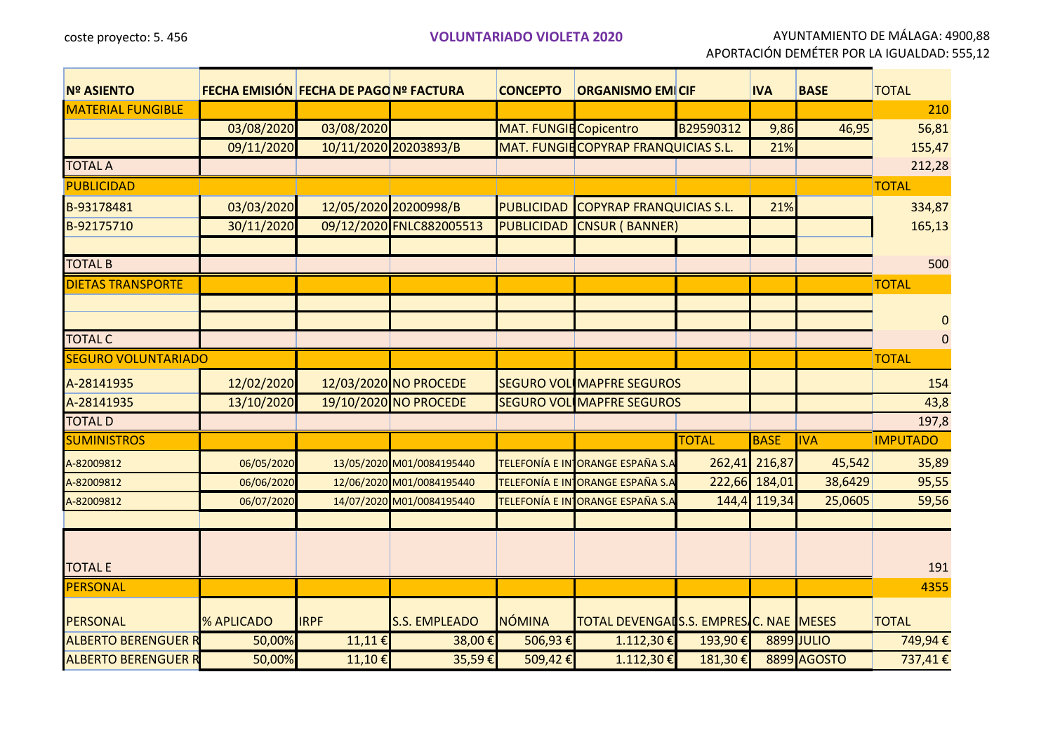coste proyecto: 5. 456 **VOLUNTARIADO VIOLETA 2020** AYUNTAMIENTO DE MÁLAGA: 4900,88 APORTACIÓN DEMÉTER POR LA IGUALDAD: 555,12

| <b>Nº ASIENTO</b>          |                   | <b>FECHA EMISIÓN FECHA DE PAGO Nº FACTURA</b> |                           | <b>CONCEPTO</b>               | <b>ORGANISMO EMICIF</b>                |              | <b>IVA</b>    | <b>BASE</b>        | <b>TOTAL</b>    |
|----------------------------|-------------------|-----------------------------------------------|---------------------------|-------------------------------|----------------------------------------|--------------|---------------|--------------------|-----------------|
| <b>MATERIAL FUNGIBLE</b>   |                   |                                               |                           |                               |                                        |              |               |                    | 210             |
|                            | 03/08/2020        | 03/08/2020                                    |                           | <b>MAT. FUNGIE Copicentro</b> |                                        | B29590312    | 9,86          | 46,95              | 56,81           |
|                            | 09/11/2020        |                                               | 10/11/2020 20203893/B     |                               | MAT. FUNGIE COPYRAP FRANQUICIAS S.L.   |              | 21%           |                    | 155,47          |
| <b>TOTAL A</b>             |                   |                                               |                           |                               |                                        |              |               |                    | 212,28          |
| <b>PUBLICIDAD</b>          |                   |                                               |                           |                               |                                        |              |               |                    | <b>TOTAL</b>    |
| B-93178481                 | 03/03/2020        |                                               | 12/05/2020 20200998/B     | <b>PUBLICIDAD</b>             | <b>COPYRAP FRANQUICIAS S.L.</b>        |              | 21%           |                    | 334,87          |
| B-92175710                 | 30/11/2020        |                                               | 09/12/2020 FNLC882005513  | <b>PUBLICIDAD</b>             | <b>CNSUR (BANNER)</b>                  |              |               |                    | 165,13          |
|                            |                   |                                               |                           |                               |                                        |              |               |                    |                 |
| <b>TOTAL B</b>             |                   |                                               |                           |                               |                                        |              |               |                    | 500             |
| <b>DIETAS TRANSPORTE</b>   |                   |                                               |                           |                               |                                        |              |               |                    | <b>TOTAL</b>    |
|                            |                   |                                               |                           |                               |                                        |              |               |                    |                 |
|                            |                   |                                               |                           |                               |                                        |              |               |                    | $\mathbf{0}$    |
| <b>TOTAL C</b>             |                   |                                               |                           |                               |                                        |              |               |                    | $\mathbf{0}$    |
| <b>SEGURO VOLUNTARIADO</b> |                   |                                               |                           |                               |                                        |              |               |                    | <b>TOTAL</b>    |
| A-28141935                 | 12/02/2020        |                                               | 12/03/2020 NO PROCEDE     |                               | <b>SEGURO VOL MAPFRE SEGUROS</b>       |              |               |                    | 154             |
| A-28141935                 | 13/10/2020        |                                               | 19/10/2020 NO PROCEDE     |                               | <b>SEGURO VOL MAPFRE SEGUROS</b>       |              |               |                    | 43,8            |
| <b>TOTAL D</b>             |                   |                                               |                           |                               |                                        |              |               |                    | 197,8           |
| <b>SUMINISTROS</b>         |                   |                                               |                           |                               |                                        | <b>TOTAL</b> | <b>BASE</b>   | <b>IVA</b>         | <b>IMPUTADO</b> |
| A-82009812                 | 06/05/2020        |                                               | 13/05/2020 M01/0084195440 |                               | TELEFONÍA E IN ORANGE ESPAÑA S.A       |              | 262,41 216,87 | 45,542             | 35,89           |
| A-82009812                 | 06/06/2020        |                                               | 12/06/2020 M01/0084195440 | <b>TELEFONÍA E IN</b>         | <b>ORANGE ESPAÑA S.A</b>               |              | 222,66 184,01 | 38,6429            | 95,55           |
| A-82009812                 | 06/07/2020        |                                               | 14/07/2020 M01/0084195440 | <b>TELEFONÍA E IN</b>         | ORANGE ESPAÑA S.A                      | 144,4        | 119,34        | 25,0605            | 59,56           |
|                            |                   |                                               |                           |                               |                                        |              |               |                    |                 |
|                            |                   |                                               |                           |                               |                                        |              |               |                    |                 |
| <b>TOTAL E</b>             |                   |                                               |                           |                               |                                        |              |               |                    | 191             |
| PERSONAL                   |                   |                                               |                           |                               |                                        |              |               |                    | 4355            |
|                            |                   |                                               |                           |                               |                                        |              |               |                    |                 |
| <b>PERSONAL</b>            | <b>% APLICADO</b> | <b>IRPF</b>                                   | <b>S.S. EMPLEADO</b>      | <b>NÓMINA</b>                 | TOTAL DEVENGALS.S. EMPRES.C. NAE MESES |              |               |                    | <b>TOTAL</b>    |
| <b>ALBERTO BERENGUER R</b> | 50,00%            | 11,11€                                        | 38,00€                    | 506,93€                       | 1.112,30€                              | 193,90€      |               | 8899 JULIO         | 749,94€         |
| <b>ALBERTO BERENGUER R</b> | 50,00%            | 11,10€                                        | 35,59€                    | 509,42€                       | 1.112,30€                              | 181,30€      |               | <b>8899 AGOSTO</b> | 737,41€         |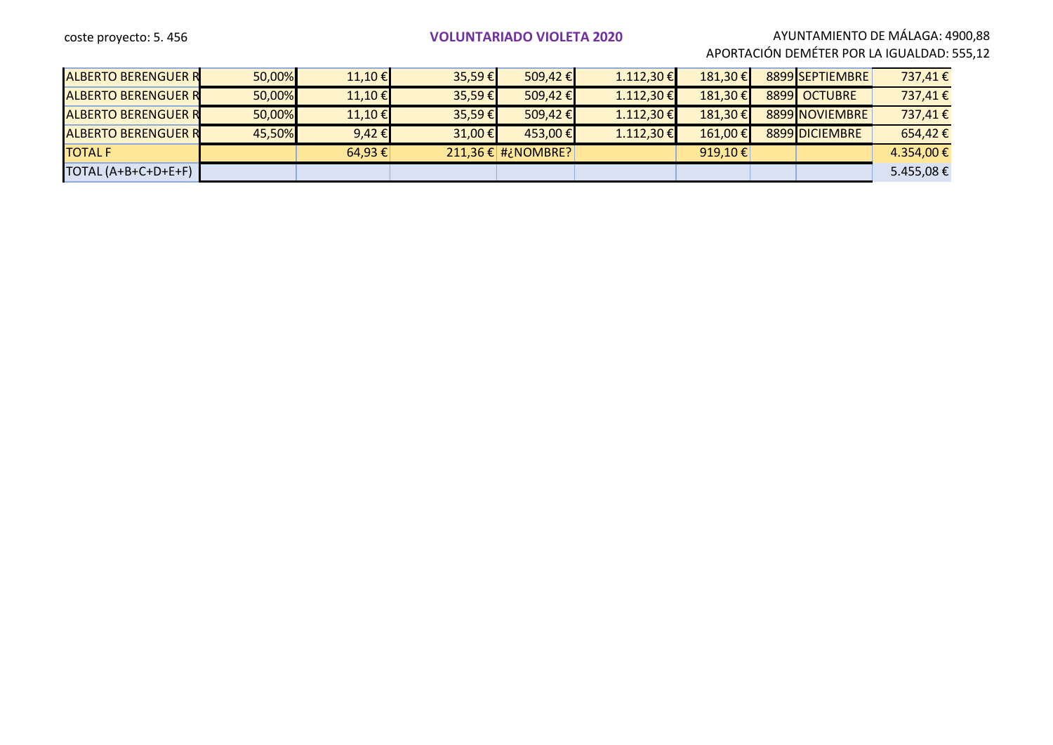#### coste proyecto: 5. 456 **VOLUNTARIADO VIOLETA 2020** AYUNTAMIENTO DE MÁLAGA: 4900,88

APORTACIÓN DEMÉTER POR LA IGUALDAD: 555,12

| <b>ALBERTO BERENGUER R</b> | 50,00% | $11,10$ €       | $35,59 \in$      | $509,42 \in$             | $1.112,30$ € | 181,30€              | 8899 SEPTIEMBRE | 737,41€    |
|----------------------------|--------|-----------------|------------------|--------------------------|--------------|----------------------|-----------------|------------|
| <b>ALBERTO BERENGUER R</b> | 50,00% | $11,10$ €       | $35,59 \in$      | 509,42 €                 | 1.112,30€    | 181,30€              | 8899 OCTUBRE    | 737,41€    |
| <b>ALBERTO BERENGUER R</b> | 50,00% | $11,10$ €       | $35,59 \in$      | 509,42 €                 | 1.112,30€    | 181,30€              | 8899 NOVIEMBRE  | 737,41€    |
| <b>ALBERTO BERENGUER R</b> | 45,50% | 9,42 $\epsilon$ | 31,00 $\epsilon$ | $453,00$ €               | $1.112,30$ € | 161,00€              | 8899 DICIEMBRE  | 654,42€    |
| <b>TOTAL F</b>             |        | $64,93 \notin$  |                  | $211,36 \in  $ #¿NOMBRE? |              | 919,10 $\varepsilon$ |                 | 4.354,00 € |
| TOTAL (A+B+C+D+E+F)        |        |                 |                  |                          |              |                      |                 | 5.455,08€  |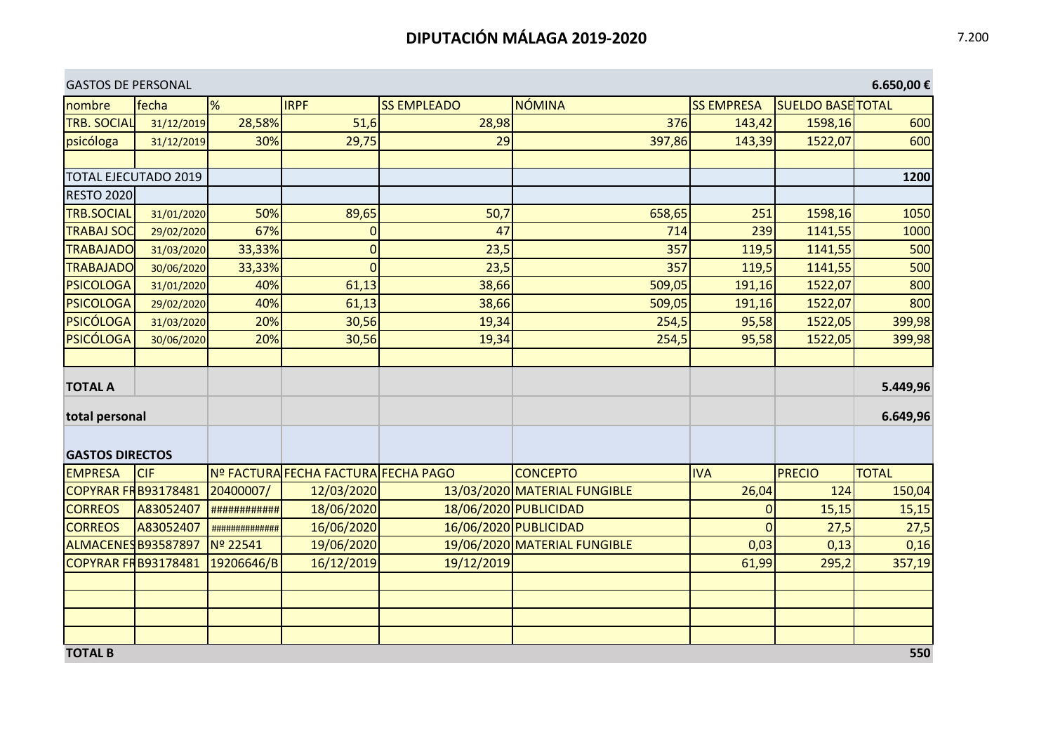| <b>GASTOS DE PERSONAL</b>   |            |                |                                     |                    |                              |                   |                          | 6.650,00€    |
|-----------------------------|------------|----------------|-------------------------------------|--------------------|------------------------------|-------------------|--------------------------|--------------|
| nombre                      | fecha      | %              | <b>IRPF</b>                         | <b>SS EMPLEADO</b> | <b>NÓMINA</b>                | <b>SS EMPRESA</b> | <b>SUELDO BASE TOTAL</b> |              |
| <b>TRB. SOCIAL</b>          | 31/12/2019 | 28,58%         | 51,6                                | 28,98              | 376                          | 143,42            | 1598,16                  | 600          |
| psicóloga                   | 31/12/2019 | 30%            | 29,75                               | 29                 | 397,86                       | 143,39            | 1522,07                  | 600          |
|                             |            |                |                                     |                    |                              |                   |                          |              |
| <b>TOTAL EJECUTADO 2019</b> |            |                |                                     |                    |                              |                   |                          | 1200         |
| <b>RESTO 2020</b>           |            |                |                                     |                    |                              |                   |                          |              |
| <b>TRB.SOCIAL</b>           | 31/01/2020 | 50%            | 89,65                               | 50,7               | 658,65                       | 251               | 1598,16                  | 1050         |
| <b>TRABAJ SOC</b>           | 29/02/2020 | 67%            | $\mathbf 0$                         | 47                 | 714                          | 239               | 1141,55                  | 1000         |
| <b>TRABAJADO</b>            | 31/03/2020 | 33,33%         | $\mathbf 0$                         | 23,5               | 357                          | 119,5             | 1141,55                  | 500          |
| <b>TRABAJADO</b>            | 30/06/2020 | 33,33%         | $\overline{0}$                      | 23,5               | 357                          | 119,5             | 1141,55                  | 500          |
| <b>PSICOLOGA</b>            | 31/01/2020 | 40%            | 61,13                               | 38,66              | 509,05                       | 191,16            | 1522,07                  | 800          |
| <b>PSICOLOGA</b>            | 29/02/2020 | 40%            | 61,13                               | 38,66              | 509,05                       | 191,16            | 1522,07                  | 800          |
| <b>PSICÓLOGA</b>            | 31/03/2020 | 20%            | 30,56                               | 19,34              | 254,5                        | 95,58             | 1522,05                  | 399,98       |
| <b>PSICÓLOGA</b>            | 30/06/2020 | 20%            | 30,56                               | 19,34              | 254,5                        | 95,58             | 1522,05                  | 399,98       |
|                             |            |                |                                     |                    |                              |                   |                          |              |
| <b>TOTAL A</b>              |            |                |                                     |                    |                              |                   |                          | 5.449,96     |
|                             |            |                |                                     |                    |                              |                   |                          |              |
| total personal              |            |                |                                     |                    |                              |                   |                          | 6.649,96     |
|                             |            |                |                                     |                    |                              |                   |                          |              |
| <b>GASTOS DIRECTOS</b>      |            |                |                                     |                    |                              |                   |                          |              |
| <b>EMPRESA</b>              | <b>CIF</b> |                | Nº FACTURA FECHA FACTURA FECHA PAGO |                    | <b>CONCEPTO</b>              | <b>IVA</b>        | <b>PRECIO</b>            | <b>TOTAL</b> |
| <b>COPYRAR FRB93178481</b>  |            | 20400007/      | 12/03/2020                          |                    | 13/03/2020 MATERIAL FUNGIBLE | 26,04             | 124                      | 150,04       |
| <b>CORREOS</b>              | A83052407  | ############   | 18/06/2020                          |                    | 18/06/2020 PUBLICIDAD        | $\mathbf{0}$      | 15,15                    | 15,15        |
| <b>CORREOS</b>              | A83052407  | ############## | 16/06/2020                          |                    | 16/06/2020 PUBLICIDAD        | $\overline{0}$    | 27,5                     | 27,5         |
| ALMACENES B93587897         |            | Nº 22541       | 19/06/2020                          |                    | 19/06/2020 MATERIAL FUNGIBLE | 0,03              | 0,13                     | 0,16         |
| <b>COPYRAR FRB93178481</b>  |            | 19206646/B     | 16/12/2019                          | 19/12/2019         |                              | 61,99             | 295,2                    | 357,19       |
|                             |            |                |                                     |                    |                              |                   |                          |              |
|                             |            |                |                                     |                    |                              |                   |                          |              |
|                             |            |                |                                     |                    |                              |                   |                          |              |
|                             |            |                |                                     |                    |                              |                   |                          |              |
| <b>TOTAL B</b>              |            |                |                                     |                    |                              |                   |                          | 550          |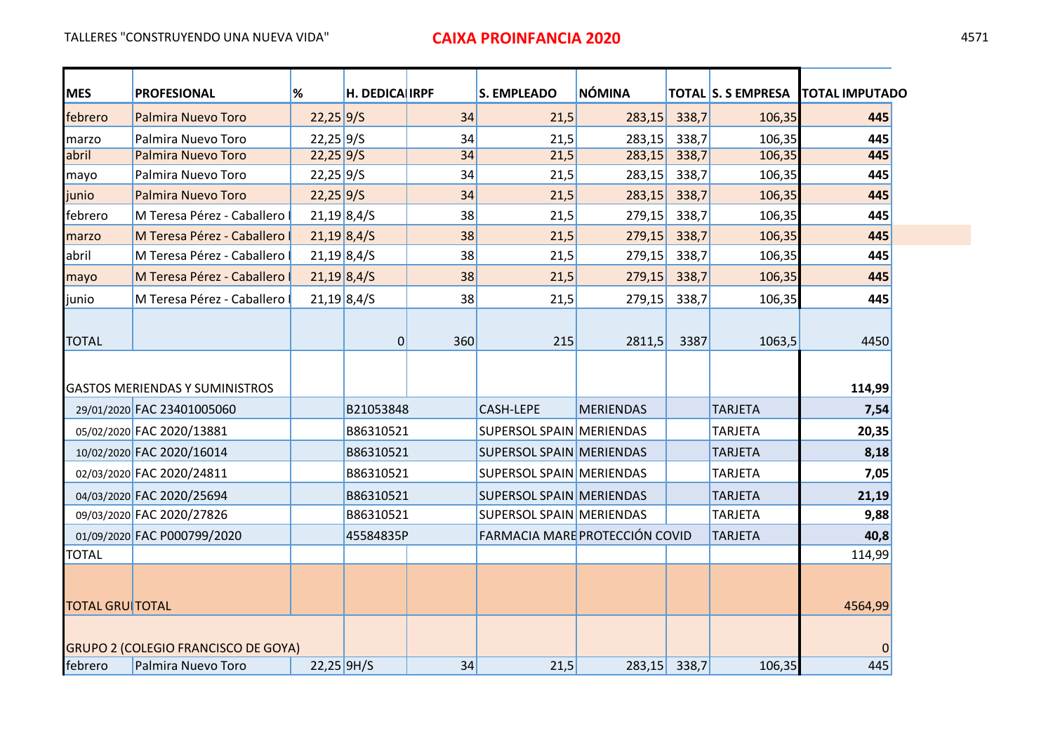| <b>MES</b>             | <b>PROFESIONAL</b>                         | $\frac{9}{6}$ | H. DEDICA IRPF |                 | <b>S. EMPLEADO</b>              | <b>NÓMINA</b>    |       | <b>TOTAL S. S EMPRESA</b> | <b>TOTAL IMPUTADO</b> |
|------------------------|--------------------------------------------|---------------|----------------|-----------------|---------------------------------|------------------|-------|---------------------------|-----------------------|
| febrero                | <b>Palmira Nuevo Toro</b>                  | $22,25$ 9/S   |                | 34              | 21,5                            | 283,15           | 338,7 | 106,35                    | 445                   |
| marzo                  | Palmira Nuevo Toro                         | $22,25$ 9/5   |                | 34              | 21,5                            | 283,15           | 338,7 | 106,35                    | 445                   |
| abril                  | <b>Palmira Nuevo Toro</b>                  | $22,25$ 9/5   |                | $\overline{34}$ | 21,5                            | 283,15           | 338,7 | 106,35                    | 445                   |
| mayo                   | Palmira Nuevo Toro                         | $22,25$ 9/S   |                | 34              | 21,5                            | 283,15           | 338,7 | 106,35                    | 445                   |
| junio                  | <b>Palmira Nuevo Toro</b>                  | $22,25$ 9/5   |                | 34              | 21,5                            | 283,15           | 338,7 | 106,35                    | 445                   |
| febrero                | M Teresa Pérez - Caballero                 |               | $21,19$ 8,4/S  | 38              | 21,5                            | 279,15           | 338,7 | 106,35                    | 445                   |
| marzo                  | M Teresa Pérez - Caballero                 | $21,19$ 8,4/S |                | 38              | 21,5                            | 279,15           | 338,7 | 106,35                    | 445                   |
| abril                  | M Teresa Pérez - Caballero                 |               | $21,19$ 8,4/S  | 38              | 21,5                            | 279,15           | 338,7 | 106,35                    | 445                   |
| mayo                   | M Teresa Pérez - Caballero                 |               | $21,19$ 8,4/S  | 38              | 21,5                            | 279,15           | 338,7 | 106,35                    | 445                   |
| junio                  | M Teresa Pérez - Caballero                 | $21,19$ 8,4/S |                | 38              | 21,5                            | 279,15           | 338,7 | 106,35                    | 445                   |
| <b>TOTAL</b>           |                                            |               | 0              | 360             | 215                             | 2811,5           | 3387  | 1063,5                    | 4450                  |
|                        | <b>GASTOS MERIENDAS Y SUMINISTROS</b>      |               |                |                 |                                 |                  |       |                           | 114,99                |
|                        | 29/01/2020 FAC 23401005060                 |               | B21053848      |                 | <b>CASH-LEPE</b>                | <b>MERIENDAS</b> |       | <b>TARJETA</b>            | 7,54                  |
|                        | 05/02/2020 FAC 2020/13881                  |               | B86310521      |                 | <b>SUPERSOL SPAIN MERIENDAS</b> |                  |       | <b>TARJETA</b>            | 20,35                 |
|                        | 10/02/2020 FAC 2020/16014                  |               | B86310521      |                 | <b>SUPERSOL SPAIN MERIENDAS</b> |                  |       | <b>TARJETA</b>            | 8,18                  |
|                        | 02/03/2020 FAC 2020/24811                  |               | B86310521      |                 | <b>SUPERSOL SPAIN MERIENDAS</b> |                  |       | <b>TARJETA</b>            | 7,05                  |
|                        | 04/03/2020 FAC 2020/25694                  |               | B86310521      |                 | <b>SUPERSOL SPAIN MERIENDAS</b> |                  |       | <b>TARJETA</b>            | 21,19                 |
|                        | 09/03/2020 FAC 2020/27826                  |               | B86310521      |                 | <b>SUPERSOL SPAIN MERIENDAS</b> |                  |       | <b>TARJETA</b>            | 9,88                  |
|                        | 01/09/2020 FAC P000799/2020                |               | 45584835P      |                 | FARMACIA MARE PROTECCIÓN COVID  |                  |       | <b>TARJETA</b>            | 40,8                  |
| <b>TOTAL</b>           |                                            |               |                |                 |                                 |                  |       |                           | 114,99                |
| <b>TOTAL GRUITOTAL</b> |                                            |               |                |                 |                                 |                  |       |                           | 4564,99               |
|                        | <b>GRUPO 2 (COLEGIO FRANCISCO DE GOYA)</b> |               |                |                 |                                 |                  |       |                           |                       |
| febrero                | Palmira Nuevo Toro                         | $22,25$ 9H/S  |                | 34              | 21,5                            | 283,15           | 338,7 | 106,35                    | 445                   |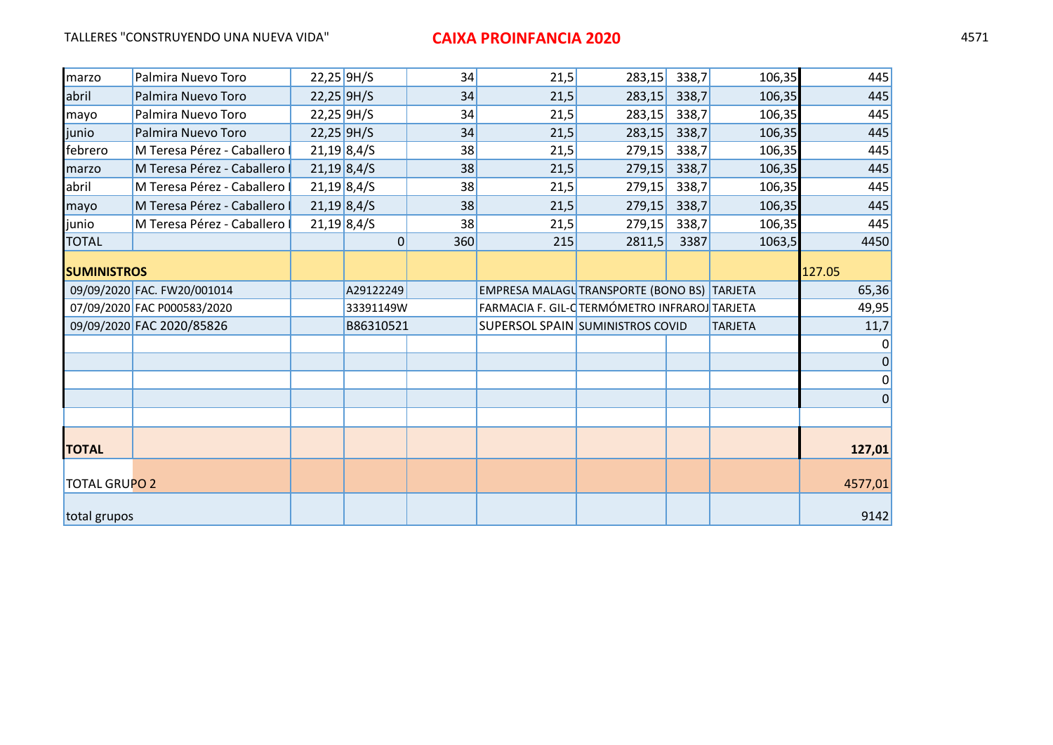| marzo                | Palmira Nuevo Toro           | $22,25$ 9H/S |               | 34  | 21,5                                         | 283,15 | 338,7 | 106,35         | 445         |
|----------------------|------------------------------|--------------|---------------|-----|----------------------------------------------|--------|-------|----------------|-------------|
| abril                | Palmira Nuevo Toro           |              | $22,25$ 9H/S  | 34  | 21,5                                         | 283,15 | 338,7 | 106,35         | 445         |
| mayo                 | Palmira Nuevo Toro           |              | $22,25$ 9H/S  | 34  | 21,5                                         | 283,15 | 338,7 | 106,35         | 445         |
| junio                | Palmira Nuevo Toro           | $22,25$ 9H/S |               | 34  | 21,5                                         | 283,15 | 338,7 | 106,35         | 445         |
| febrero              | M Teresa Pérez - Caballero   |              | $21,19$ 8,4/S | 38  | 21,5                                         | 279,15 | 338,7 | 106,35         | 445         |
| marzo                | M Teresa Pérez - Caballero I |              | $21,19$ 8,4/S | 38  | 21,5                                         | 279,15 | 338,7 | 106,35         | 445         |
| abril                | M Teresa Pérez - Caballero I |              | $21,19$ 8,4/S | 38  | 21,5                                         | 279,15 | 338,7 | 106,35         | 445         |
| mayo                 | M Teresa Pérez - Caballero I |              | $21,19$ 8,4/S | 38  | 21,5                                         | 279,15 | 338,7 | 106,35         | 445         |
| junio                | M Teresa Pérez - Caballero   |              | $21,19$ 8,4/S | 38  | 21,5                                         | 279,15 | 338,7 | 106,35         | 445         |
| <b>TOTAL</b>         |                              |              | 0             | 360 | 215                                          | 2811,5 | 3387  | 1063,5         | 4450        |
| <b>SUMINISTROS</b>   |                              |              |               |     |                                              |        |       |                | 127.05      |
|                      | 09/09/2020 FAC. FW20/001014  |              | A29122249     |     | EMPRESA MALAGU TRANSPORTE (BONO BS) TARJETA  |        |       |                | 65,36       |
|                      | 07/09/2020 FAC P000583/2020  |              | 33391149W     |     | FARMACIA F. GIL-CTERMÓMETRO INFRAROJ TARJETA |        |       |                | 49,95       |
|                      | 09/09/2020 FAC 2020/85826    |              | B86310521     |     | SUPERSOL SPAIN SUMINISTROS COVID             |        |       | <b>TARJETA</b> | 11,7        |
|                      |                              |              |               |     |                                              |        |       |                |             |
|                      |                              |              |               |     |                                              |        |       |                | $\mathbf 0$ |
|                      |                              |              |               |     |                                              |        |       |                | 0           |
|                      |                              |              |               |     |                                              |        |       |                | $\Omega$    |
|                      |                              |              |               |     |                                              |        |       |                |             |
| <b>TOTAL</b>         |                              |              |               |     |                                              |        |       |                | 127,01      |
| <b>TOTAL GRUPO 2</b> |                              |              |               |     |                                              |        |       |                | 4577,01     |
| total grupos         |                              |              |               |     |                                              |        |       |                | 9142        |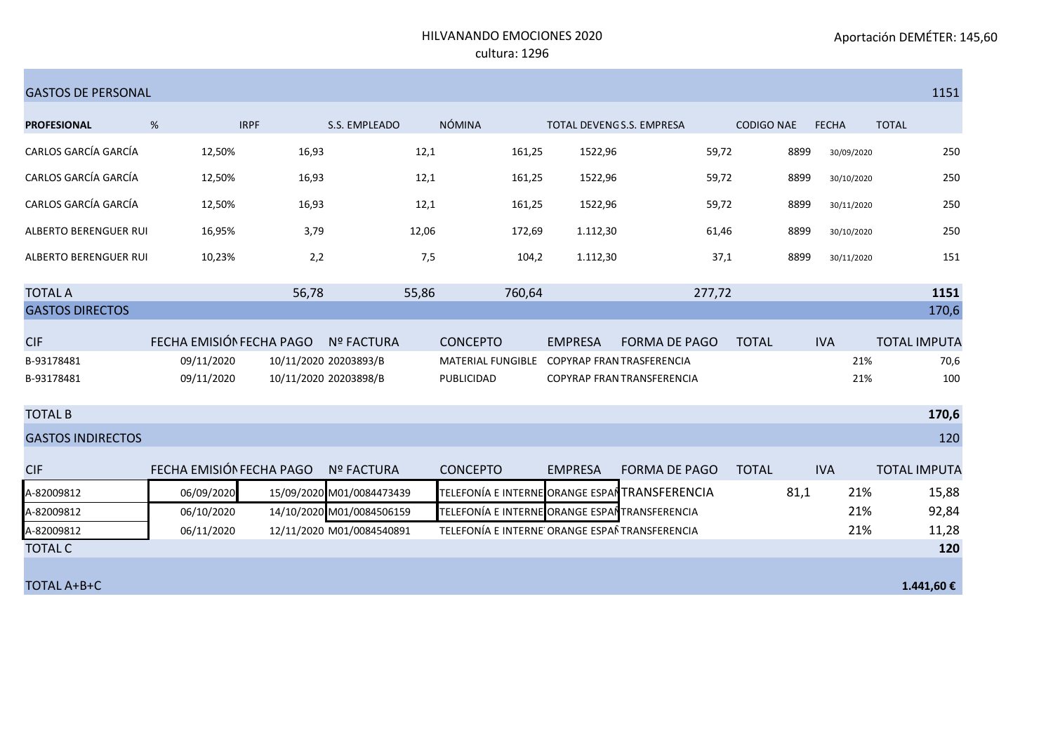#### HILVANANDO EMOCIONES 2020 cultura: 1296

| <b>GASTOS DE PERSONAL</b>    |                          |                       |                           |                                                |                                  |                            |                   |              | 1151                |
|------------------------------|--------------------------|-----------------------|---------------------------|------------------------------------------------|----------------------------------|----------------------------|-------------------|--------------|---------------------|
| <b>PROFESIONAL</b>           | %                        | <b>IRPF</b>           | S.S. EMPLEADO             | NÓMINA                                         | TOTAL DEVENGS.S. EMPRESA         |                            | <b>CODIGO NAE</b> | <b>FECHA</b> | <b>TOTAL</b>        |
| CARLOS GARCÍA GARCÍA         | 12,50%                   | 16,93                 | 12,1                      | 161,25                                         | 1522,96                          | 59,72                      | 8899              | 30/09/2020   | 250                 |
| CARLOS GARCÍA GARCÍA         | 12,50%                   | 16,93                 | 12,1                      | 161,25                                         | 1522,96                          | 59,72                      | 8899              | 30/10/2020   | 250                 |
| CARLOS GARCÍA GARCÍA         | 12,50%                   | 16,93                 | 12,1                      | 161,25                                         | 1522,96                          | 59,72                      | 8899              | 30/11/2020   | 250                 |
| ALBERTO BERENGUER RUI        | 16,95%                   | 3,79                  | 12,06                     | 172,69                                         | 1.112,30                         | 61,46                      | 8899              | 30/10/2020   | 250                 |
| <b>ALBERTO BERENGUER RUI</b> | 10,23%                   | 2,2                   | 7,5                       | 104,2                                          | 1.112,30                         | 37,1                       | 8899              | 30/11/2020   | 151                 |
| <b>TOTAL A</b>               |                          | 56,78                 | 55,86                     | 760,64                                         |                                  | 277,72                     |                   |              | 1151                |
| <b>GASTOS DIRECTOS</b>       |                          |                       |                           |                                                |                                  |                            |                   |              | 170,6               |
| <b>CIF</b>                   | FECHA EMISIÓN FECHA PAGO |                       | <b>Nº FACTURA</b>         | <b>CONCEPTO</b>                                | <b>EMPRESA</b>                   | <b>FORMA DE PAGO</b>       | <b>TOTAL</b>      | <b>IVA</b>   | <b>TOTAL IMPUTA</b> |
| B-93178481                   | 09/11/2020               | 10/11/2020 20203893/B |                           | MATERIAL FUNGIBLE                              | <b>COPYRAP FRAN TRASFERENCIA</b> |                            |                   | 21%          | 70,6                |
| B-93178481                   | 09/11/2020               | 10/11/2020 20203898/B |                           | PUBLICIDAD                                     |                                  | COPYRAP FRAN TRANSFERENCIA |                   | 21%          | 100                 |
| <b>TOTAL B</b>               |                          |                       |                           |                                                |                                  |                            |                   |              | 170,6               |
| <b>GASTOS INDIRECTOS</b>     |                          |                       |                           |                                                |                                  |                            |                   |              | 120                 |
| <b>CIF</b>                   | FECHA EMISIÓN FECHA PAGO |                       | <b>Nº FACTURA</b>         | <b>CONCEPTO</b>                                | <b>EMPRESA</b>                   | <b>FORMA DE PAGO</b>       | <b>TOTAL</b>      | <b>IVA</b>   | <b>TOTAL IMPUTA</b> |
| A-82009812                   | 06/09/2020               |                       | 15/09/2020 M01/0084473439 | TELEFONÍA E INTERNE ORANGE ESPAÍ TRANSFERENCIA |                                  |                            | 81,1              | 21%          | 15,88               |
| A-82009812                   | 06/10/2020               |                       | 14/10/2020 M01/0084506159 | TELEFONÍA E INTERNE ORANGE ESPAÍ TRANSFERENCIA |                                  |                            |                   | 21%          | 92,84               |
| A-82009812                   | 06/11/2020               |                       | 12/11/2020 M01/0084540891 | TELEFONÍA E INTERNE ORANGE ESPAÑ TRANSFERENCIA |                                  |                            |                   | 21%          | 11,28               |
| <b>TOTAL C</b>               |                          |                       |                           |                                                |                                  |                            |                   |              | 120                 |
|                              |                          |                       |                           |                                                |                                  |                            |                   |              |                     |
| TOTAL A+B+C                  |                          |                       |                           |                                                |                                  |                            |                   |              | 1.441,60 €          |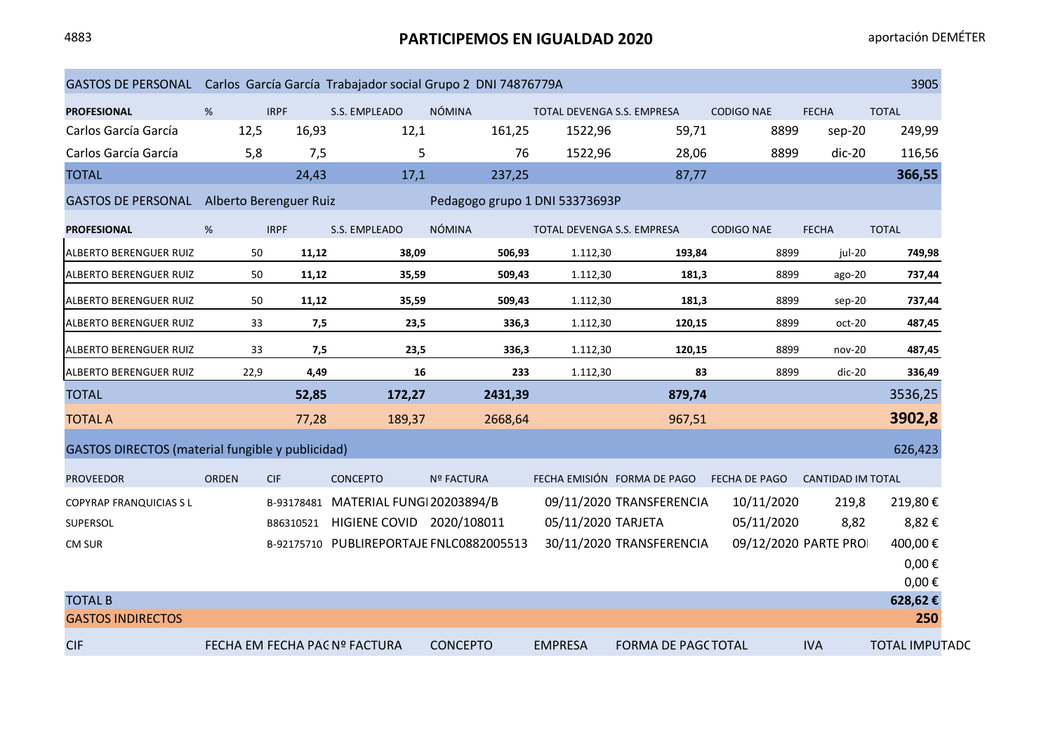# 4883 **PARTICIPEMOS EN IGUALDAD 2020** aportación DEMÉTER

| GASTOS DE PERSONAL Carlos García García Trabajador social Grupo 2 DNI 74876779A |              |             |                                      |                                          |                                   |                             |                   |                          | 3905                  |
|---------------------------------------------------------------------------------|--------------|-------------|--------------------------------------|------------------------------------------|-----------------------------------|-----------------------------|-------------------|--------------------------|-----------------------|
| <b>PROFESIONAL</b>                                                              | %            | <b>IRPF</b> | S.S. EMPLEADO                        | <b>NÓMINA</b>                            | TOTAL DEVENGA S.S. EMPRESA        |                             | <b>CODIGO NAE</b> | <b>FECHA</b>             | <b>TOTAL</b>          |
| Carlos García García                                                            | 12,5         | 16,93       | 12,1                                 | 161,25                                   | 1522,96                           | 59,71                       | 8899              | sep-20                   | 249,99                |
| Carlos García García                                                            | 5,8          | 7,5         | 5                                    | 76                                       | 1522,96                           | 28,06                       | 8899              | $dic-20$                 | 116,56                |
| <b>TOTAL</b>                                                                    |              | 24,43       | 17,1                                 | 237,25                                   |                                   | 87,77                       |                   |                          | 366,55                |
| GASTOS DE PERSONAL Alberto Berenguer Ruiz                                       |              |             |                                      | Pedagogo grupo 1 DNI 53373693P           |                                   |                             |                   |                          |                       |
| <b>PROFESIONAL</b>                                                              | %            | <b>IRPF</b> | S.S. EMPLEADO                        | <b>NÓMINA</b>                            | <b>TOTAL DEVENGA S.S. EMPRESA</b> |                             | <b>CODIGO NAE</b> | <b>FECHA</b>             | <b>TOTAL</b>          |
| <b>ALBERTO BERENGUER RUIZ</b>                                                   | 50           | 11,12       | 38,09                                | 506,93                                   | 1.112,30                          | 193,84                      | 8899              | jul-20                   | 749,98                |
| ALBERTO BERENGUER RUIZ                                                          | 50           | 11,12       | 35,59                                | 509,43                                   | 1.112,30                          | 181,3                       | 8899              | ago-20                   | 737,44                |
| ALBERTO BERENGUER RUIZ                                                          | 50           | 11,12       | 35,59                                | 509,43                                   | 1.112,30                          | 181,3                       | 8899              | $sep-20$                 | 737,44                |
| ALBERTO BERENGUER RUIZ                                                          | 33           | 7,5         | 23,5                                 | 336,3                                    | 1.112,30                          | 120,15                      | 8899              | oct-20                   | 487,45                |
| ALBERTO BERENGUER RUIZ                                                          | 33           | 7,5         | 23,5                                 | 336,3                                    | 1.112,30                          | 120,15                      | 8899              | $nov-20$                 | 487,45                |
| <b>ALBERTO BERENGUER RUIZ</b>                                                   | 22,9         | 4,49        | 16                                   | 233                                      | 1.112,30                          | 83                          | 8899              | $dic-20$                 | 336,49                |
| <b>TOTAL</b>                                                                    |              | 52,85       | 172,27                               | 2431,39                                  |                                   | 879,74                      |                   |                          | 3536,25               |
| <b>TOTAL A</b>                                                                  |              | 77,28       | 189,37                               | 2668,64                                  |                                   | 967,51                      |                   |                          | 3902,8                |
| GASTOS DIRECTOS (material fungible y publicidad)                                |              |             |                                      |                                          |                                   |                             |                   |                          | 626,423               |
| <b>PROVEEDOR</b>                                                                | <b>ORDEN</b> | <b>CIF</b>  | <b>CONCEPTO</b>                      | <b>Nº FACTURA</b>                        |                                   | FECHA EMISIÓN FORMA DE PAGO | FECHA DE PAGO     | <b>CANTIDAD IM TOTAL</b> |                       |
| <b>COPYRAP FRANQUICIAS SL</b>                                                   |              |             | B-93178481 MATERIAL FUNGI 20203894/B |                                          |                                   | 09/11/2020 TRANSFERENCIA    | 10/11/2020        | 219,8                    | 219,80€               |
| SUPERSOL                                                                        |              | B86310521   | HIGIENE COVID 2020/108011            |                                          | 05/11/2020 TARJETA                |                             | 05/11/2020        | 8,82                     | 8,82€                 |
| CM SUR                                                                          |              |             |                                      | B-92175710 PUBLIREPORTAJE FNLC0882005513 |                                   | 30/11/2020 TRANSFERENCIA    |                   | 09/12/2020 PARTE PROI    | 400,00€               |
|                                                                                 |              |             |                                      |                                          |                                   |                             |                   |                          | $0,00 \in$            |
|                                                                                 |              |             |                                      |                                          |                                   |                             |                   |                          | $0,00 \in$            |
| <b>TOTAL B</b>                                                                  |              |             |                                      |                                          |                                   |                             |                   |                          | 628,62€               |
| <b>GASTOS INDIRECTOS</b>                                                        |              |             |                                      |                                          |                                   |                             |                   |                          | 250                   |
| <b>CIF</b>                                                                      |              |             | FECHA EM FECHA PAC Nº FACTURA        | <b>CONCEPTO</b>                          | <b>EMPRESA</b>                    | <b>FORMA DE PAGC TOTAL</b>  |                   | <b>IVA</b>               | <b>TOTAL IMPUTADC</b> |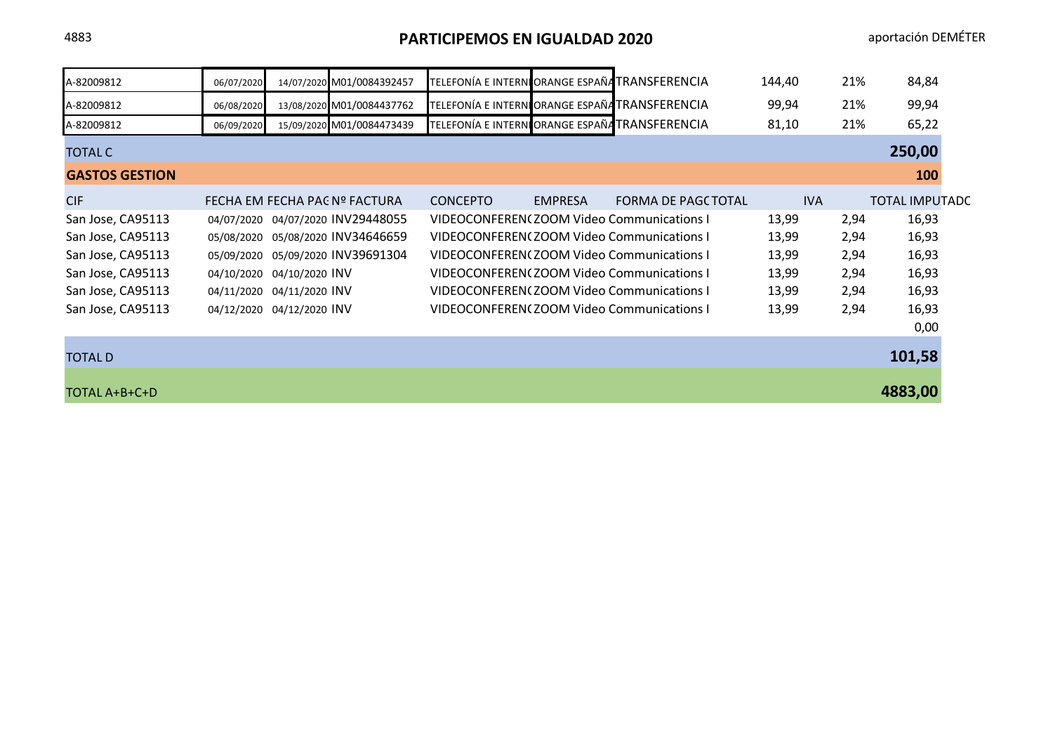4883 **PARTICIPEMOS EN IGUALDAD 2020** aportación DEMÉTER

| A-82009812            | 06/07/2020 |                           | 14/07/2020 M01/0084392457         |                 |                | TELEFONÍA E INTERNIORANGE ESPAÑATRANSFERENCIA    | 144,40 | 21%  | 84,84                 |
|-----------------------|------------|---------------------------|-----------------------------------|-----------------|----------------|--------------------------------------------------|--------|------|-----------------------|
| A-82009812            | 06/08/2020 |                           | 13/08/2020 M01/0084437762         |                 |                | TELEFONÍA E INTERNIORANGE ESPAÑATRANSFERENCIA    | 99,94  | 21%  | 99,94                 |
| A-82009812            | 06/09/2020 |                           | 15/09/2020 M01/0084473439         |                 |                | TELEFONÍA E INTERNIORANGE ESPAÑATRANSFERENCIA    | 81,10  | 21%  | 65,22                 |
| <b>TOTAL C</b>        |            |                           |                                   |                 |                |                                                  |        |      | 250,00                |
| <b>GASTOS GESTION</b> |            |                           |                                   |                 |                |                                                  |        |      | 100                   |
| <b>CIF</b>            |            |                           | FECHA EM FECHA PAC Nº FACTURA     | <b>CONCEPTO</b> | <b>EMPRESA</b> | FORMA DE PAGC TOTAL                              | IVA    |      | <b>TOTAL IMPUTADC</b> |
| San Jose, CA95113     |            |                           | 04/07/2020 04/07/2020 INV29448055 |                 |                | VIDEOCONFERENCZOOM Video Communications I        | 13,99  | 2,94 | 16,93                 |
| San Jose, CA95113     | 05/08/2020 |                           | 05/08/2020 INV34646659            |                 |                | VIDEOCONFERENCZOOM Video Communications I        | 13,99  | 2,94 | 16,93                 |
| San Jose, CA95113     | 05/09/2020 |                           | 05/09/2020 INV39691304            |                 |                | VIDEOCONFERENCZOOM Video Communications I        | 13,99  | 2,94 | 16,93                 |
| San Jose, CA95113     | 04/10/2020 | 04/10/2020 INV            |                                   |                 |                | VIDEOCONFEREN(ZOOM Video Communications I        | 13,99  | 2,94 | 16,93                 |
| San Jose, CA95113     |            | 04/11/2020 04/11/2020 INV |                                   |                 |                | VIDEOCONFEREN(ZOOM Video Communications I        | 13,99  | 2,94 | 16,93                 |
| San Jose, CA95113     |            | 04/12/2020 04/12/2020 INV |                                   |                 |                | <b>VIDEOCONFEREN(ZOOM Video Communications I</b> | 13,99  | 2,94 | 16,93                 |
|                       |            |                           |                                   |                 |                |                                                  |        |      | 0,00                  |
| <b>TOTAL D</b>        |            |                           |                                   |                 |                |                                                  |        |      | 101,58                |
| TOTAL A+B+C+D         |            |                           |                                   |                 |                |                                                  |        |      | 4883,00               |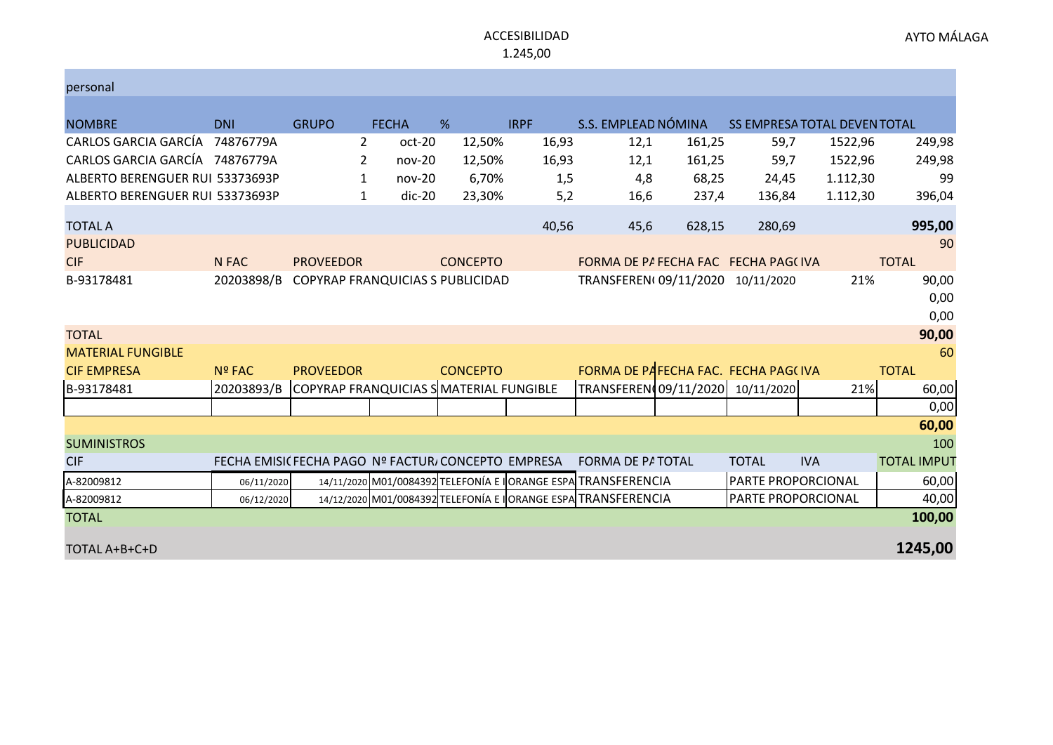#### AYTO MÁLAGA

#### ACCESIBILIDAD 1.245,00

| personal                        |               |                                                    |              |                 |             |                                                                |        |                           |                              |                    |
|---------------------------------|---------------|----------------------------------------------------|--------------|-----------------|-------------|----------------------------------------------------------------|--------|---------------------------|------------------------------|--------------------|
| <b>NOMBRE</b>                   | <b>DNI</b>    | <b>GRUPO</b>                                       | <b>FECHA</b> | %               | <b>IRPF</b> | S.S. EMPLEAD NÓMINA                                            |        |                           | SS EMPRESA TOTAL DEVEN TOTAL |                    |
| CARLOS GARCIA GARCÍA            | 74876779A     | $\overline{2}$                                     | oct-20       | 12,50%          | 16,93       | 12,1                                                           | 161,25 | 59,7                      | 1522,96                      | 249,98             |
| CARLOS GARCIA GARCÍA 74876779A  |               | $\mathbf{2}^{\prime}$                              | $nov-20$     | 12,50%          | 16,93       | 12,1                                                           | 161,25 | 59,7                      | 1522,96                      | 249,98             |
| ALBERTO BERENGUER RUI 53373693P |               | 1                                                  | $nov-20$     | 6,70%           | 1,5         | 4,8                                                            | 68,25  | 24,45                     | 1.112,30                     | 99                 |
| ALBERTO BERENGUER RUI 53373693P |               | 1                                                  | $dic-20$     | 23,30%          | 5,2         | 16,6                                                           | 237,4  | 136,84                    | 1.112,30                     | 396,04             |
| <b>TOTAL A</b>                  |               |                                                    |              |                 | 40,56       | 45,6                                                           | 628,15 | 280,69                    |                              | 995,00             |
| <b>PUBLICIDAD</b>               |               |                                                    |              |                 |             |                                                                |        |                           |                              | 90                 |
| <b>CIF</b>                      | N FAC         | <b>PROVEEDOR</b>                                   |              | <b>CONCEPTO</b> |             | FORMA DE PA FECHA FAC FECHA PAGCIVA                            |        |                           |                              | <b>TOTAL</b>       |
| B-93178481                      | 20203898/B    | COPYRAP FRANQUICIAS S PUBLICIDAD                   |              |                 |             | TRANSFEREN(09/11/2020                                          |        | 10/11/2020                | 21%                          | 90,00              |
|                                 |               |                                                    |              |                 |             |                                                                |        |                           |                              | 0,00               |
|                                 |               |                                                    |              |                 |             |                                                                |        |                           |                              | 0,00               |
| <b>TOTAL</b>                    |               |                                                    |              |                 |             |                                                                |        |                           |                              | 90,00              |
| <b>MATERIAL FUNGIBLE</b>        |               |                                                    |              |                 |             |                                                                |        |                           |                              | 60                 |
| <b>CIF EMPRESA</b>              | <b>Nº FAC</b> | <b>PROVEEDOR</b>                                   |              | <b>CONCEPTO</b> |             | FORMA DE PAFECHA FAC. FECHA PAG(IVA                            |        |                           |                              | <b>TOTAL</b>       |
| B-93178481                      | 20203893/B    | COPYRAP FRANQUICIAS SMATERIAL FUNGIBLE             |              |                 |             | TRANSFEREN(09/11/2020)                                         |        | 10/11/2020                | 21%                          | 60,00              |
|                                 |               |                                                    |              |                 |             |                                                                |        |                           |                              | 0,00               |
|                                 |               |                                                    |              |                 |             |                                                                |        |                           |                              | 60,00              |
| <b>SUMINISTROS</b>              |               |                                                    |              |                 |             |                                                                |        |                           |                              | 100                |
| <b>CIF</b>                      |               | FECHA EMISIC FECHA PAGO Nº FACTUR/CONCEPTO EMPRESA |              |                 |             | FORMA DE PATOTAL                                               |        | <b>TOTAL</b>              | <b>IVA</b>                   | <b>TOTAL IMPUT</b> |
| A-82009812                      | 06/11/2020    |                                                    |              |                 |             | 14/11/2020 M01/0084392 TELEFONÍA E ORANGE ESPA TRANSFERENCIA   |        | <b>PARTE PROPORCIONAL</b> |                              | 60,00              |
| A-82009812                      | 06/12/2020    |                                                    |              |                 |             | 14/12/2020 M01/0084392 TELEFONÍA E   ORANGE ESPA TRANSFERENCIA |        | <b>PARTE PROPORCIONAL</b> |                              | 40,00              |
| <b>TOTAL</b>                    |               |                                                    |              |                 |             |                                                                |        |                           |                              | 100,00             |
| TOTAL A+B+C+D                   |               |                                                    |              |                 |             |                                                                |        |                           |                              | 1245,00            |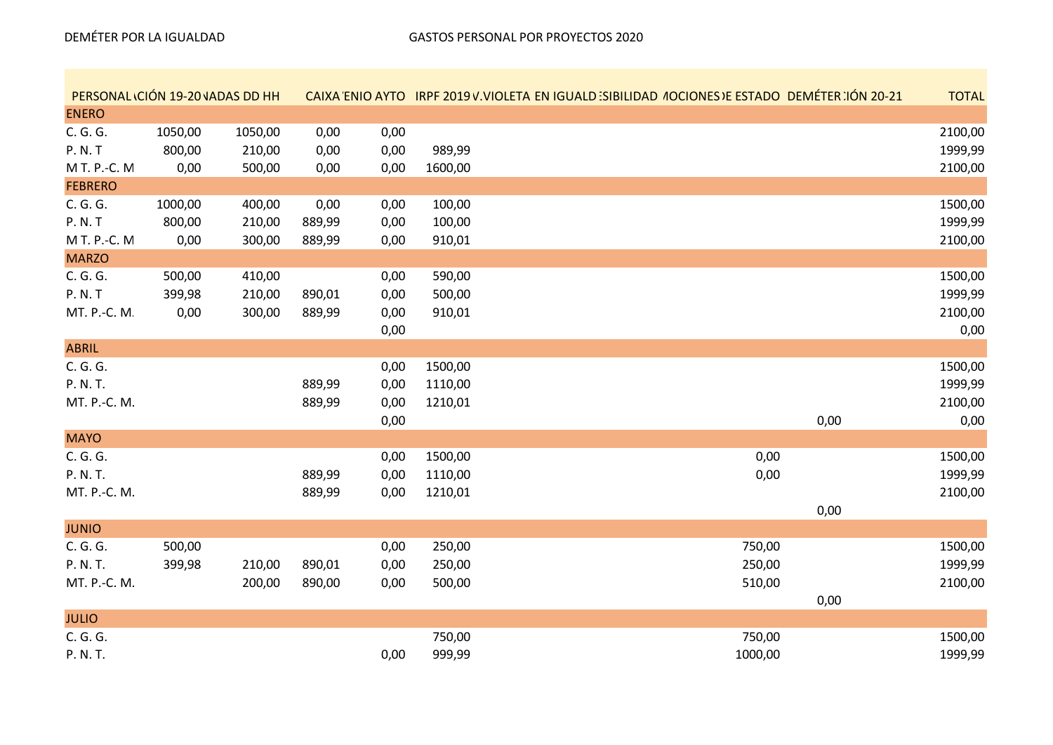| PERSONAL ICIÓN 19-20 JADAS DD HH |         |         |        |      |         | <b>CAIXA ENIO AYTO IRPF 2019 V.VIOLETA EN IGUALD SIBILIDAD 4OCIONES DE ESTADO DEMÉTER 100 20-21</b> | <b>TOTAL</b> |
|----------------------------------|---------|---------|--------|------|---------|-----------------------------------------------------------------------------------------------------|--------------|
| <b>ENERO</b>                     |         |         |        |      |         |                                                                                                     |              |
| C. G. G.                         | 1050,00 | 1050,00 | 0,00   | 0,00 |         |                                                                                                     | 2100,00      |
| P. N. T                          | 800,00  | 210,00  | 0,00   | 0,00 | 989,99  |                                                                                                     | 1999,99      |
| M T. P.-C. M                     | 0,00    | 500,00  | 0,00   | 0,00 | 1600,00 |                                                                                                     | 2100,00      |
| <b>FEBRERO</b>                   |         |         |        |      |         |                                                                                                     |              |
| C. G. G.                         | 1000,00 | 400,00  | 0,00   | 0,00 | 100,00  |                                                                                                     | 1500,00      |
| P. N. T                          | 800,00  | 210,00  | 889,99 | 0,00 | 100,00  |                                                                                                     | 1999,99      |
| M T. P.-C. M                     | 0,00    | 300,00  | 889,99 | 0,00 | 910,01  |                                                                                                     | 2100,00      |
| <b>MARZO</b>                     |         |         |        |      |         |                                                                                                     |              |
| C. G. G.                         | 500,00  | 410,00  |        | 0,00 | 590,00  |                                                                                                     | 1500,00      |
| <b>P. N. T</b>                   | 399,98  | 210,00  | 890,01 | 0,00 | 500,00  |                                                                                                     | 1999,99      |
| MT. P.-C. M.                     | 0,00    | 300,00  | 889,99 | 0,00 | 910,01  |                                                                                                     | 2100,00      |
|                                  |         |         |        | 0,00 |         |                                                                                                     | 0,00         |
| <b>ABRIL</b>                     |         |         |        |      |         |                                                                                                     |              |
| C. G. G.                         |         |         |        | 0,00 | 1500,00 |                                                                                                     | 1500,00      |
| P. N. T.                         |         |         | 889,99 | 0,00 | 1110,00 |                                                                                                     | 1999,99      |
| MT. P.-C. M.                     |         |         | 889,99 | 0,00 | 1210,01 |                                                                                                     | 2100,00      |
|                                  |         |         |        | 0,00 |         | 0,00                                                                                                | 0,00         |
| <b>MAYO</b>                      |         |         |        |      |         |                                                                                                     |              |
| C. G. G.                         |         |         |        | 0,00 | 1500,00 | 0,00                                                                                                | 1500,00      |
| P. N. T.                         |         |         | 889,99 | 0,00 | 1110,00 | 0,00                                                                                                | 1999,99      |
| MT. P.-C. M.                     |         |         | 889,99 | 0,00 | 1210,01 |                                                                                                     | 2100,00      |
|                                  |         |         |        |      |         | 0,00                                                                                                |              |
| <b>JUNIO</b>                     |         |         |        |      |         |                                                                                                     |              |
| C. G. G.                         | 500,00  |         |        | 0,00 | 250,00  | 750,00                                                                                              | 1500,00      |
| P. N. T.                         | 399,98  | 210,00  | 890,01 | 0,00 | 250,00  | 250,00                                                                                              | 1999,99      |
| MT. P.-C. M.                     |         | 200,00  | 890,00 | 0,00 | 500,00  | 510,00                                                                                              | 2100,00      |
|                                  |         |         |        |      |         | 0,00                                                                                                |              |
| <b>JULIO</b>                     |         |         |        |      |         |                                                                                                     |              |
| C. G. G.                         |         |         |        |      | 750,00  | 750,00                                                                                              | 1500,00      |
| P. N. T.                         |         |         |        | 0,00 | 999,99  | 1000,00                                                                                             | 1999,99      |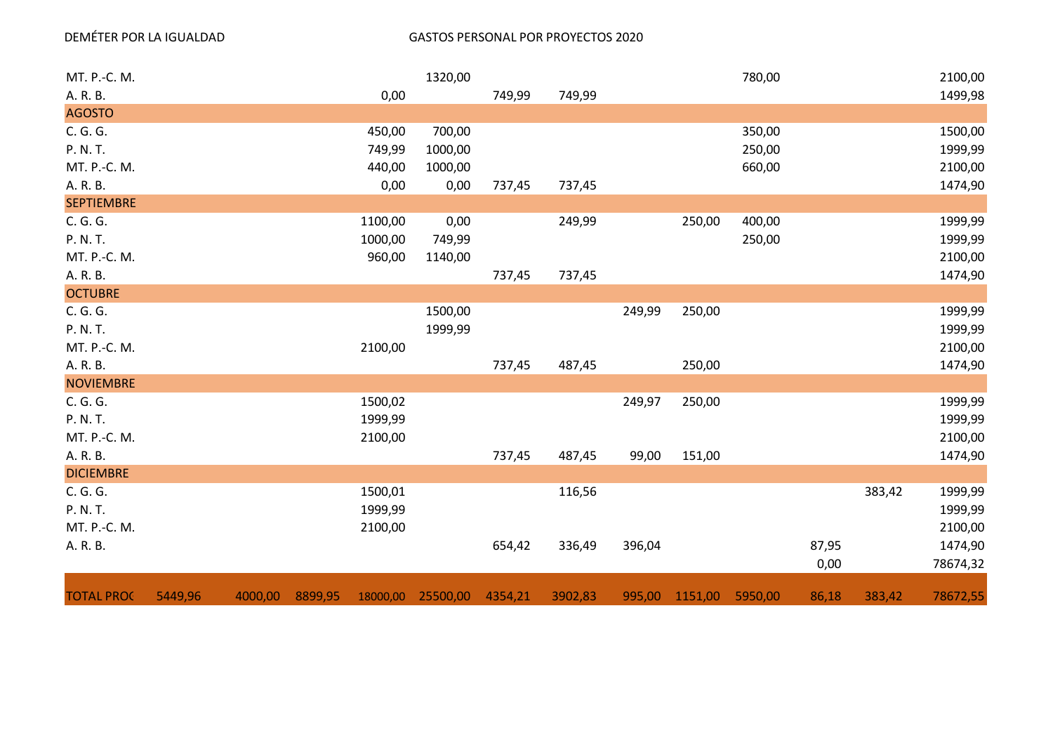#### DEMÉTER POR LA IGUALDAD GASTOS PERSONAL POR PROYECTOS 2020

| MT. P.-C. M.      |         |         |         |         | 1320,00           |         |         |        |                | 780,00  |       |        | 2100,00  |
|-------------------|---------|---------|---------|---------|-------------------|---------|---------|--------|----------------|---------|-------|--------|----------|
| A. R. B.          |         |         |         | 0,00    |                   | 749,99  | 749,99  |        |                |         |       |        | 1499,98  |
| <b>AGOSTO</b>     |         |         |         |         |                   |         |         |        |                |         |       |        |          |
| C. G. G.          |         |         |         | 450,00  | 700,00            |         |         |        |                | 350,00  |       |        | 1500,00  |
| P. N. T.          |         |         |         | 749,99  | 1000,00           |         |         |        |                | 250,00  |       |        | 1999,99  |
| MT. P.-C. M.      |         |         |         | 440,00  | 1000,00           |         |         |        |                | 660,00  |       |        | 2100,00  |
| A. R. B.          |         |         |         | 0,00    | 0,00              | 737,45  | 737,45  |        |                |         |       |        | 1474,90  |
| <b>SEPTIEMBRE</b> |         |         |         |         |                   |         |         |        |                |         |       |        |          |
| C. G. G.          |         |         |         | 1100,00 | 0,00              |         | 249,99  |        | 250,00         | 400,00  |       |        | 1999,99  |
| P. N. T.          |         |         |         | 1000,00 | 749,99            |         |         |        |                | 250,00  |       |        | 1999,99  |
| MT. P.-C. M.      |         |         |         | 960,00  | 1140,00           |         |         |        |                |         |       |        | 2100,00  |
| A. R. B.          |         |         |         |         |                   | 737,45  | 737,45  |        |                |         |       |        | 1474,90  |
| <b>OCTUBRE</b>    |         |         |         |         |                   |         |         |        |                |         |       |        |          |
| C. G. G.          |         |         |         |         | 1500,00           |         |         | 249,99 | 250,00         |         |       |        | 1999,99  |
| P. N. T.          |         |         |         |         | 1999,99           |         |         |        |                |         |       |        | 1999,99  |
| MT. P.-C. M.      |         |         |         | 2100,00 |                   |         |         |        |                |         |       |        | 2100,00  |
| A. R. B.          |         |         |         |         |                   | 737,45  | 487,45  |        | 250,00         |         |       |        | 1474,90  |
| <b>NOVIEMBRE</b>  |         |         |         |         |                   |         |         |        |                |         |       |        |          |
| C. G. G.          |         |         |         | 1500,02 |                   |         |         | 249,97 | 250,00         |         |       |        | 1999,99  |
| P. N. T.          |         |         |         | 1999,99 |                   |         |         |        |                |         |       |        | 1999,99  |
| MT. P.-C. M.      |         |         |         | 2100,00 |                   |         |         |        |                |         |       |        | 2100,00  |
| A. R. B.          |         |         |         |         |                   | 737,45  | 487,45  | 99,00  | 151,00         |         |       |        | 1474,90  |
| <b>DICIEMBRE</b>  |         |         |         |         |                   |         |         |        |                |         |       |        |          |
| C. G. G.          |         |         |         | 1500,01 |                   |         | 116,56  |        |                |         |       | 383,42 | 1999,99  |
| P. N. T.          |         |         |         | 1999,99 |                   |         |         |        |                |         |       |        | 1999,99  |
| MT. P.-C. M.      |         |         |         | 2100,00 |                   |         |         |        |                |         |       |        | 2100,00  |
| A. R. B.          |         |         |         |         |                   | 654,42  | 336,49  | 396,04 |                |         | 87,95 |        | 1474,90  |
|                   |         |         |         |         |                   |         |         |        |                |         | 0,00  |        | 78674,32 |
| <b>TOTAL PROC</b> | 5449,96 | 4000,00 | 8899,95 |         | 18000,00 25500,00 | 4354,21 | 3902,83 |        | 995,00 1151,00 | 5950,00 | 86,18 | 383,42 | 78672,55 |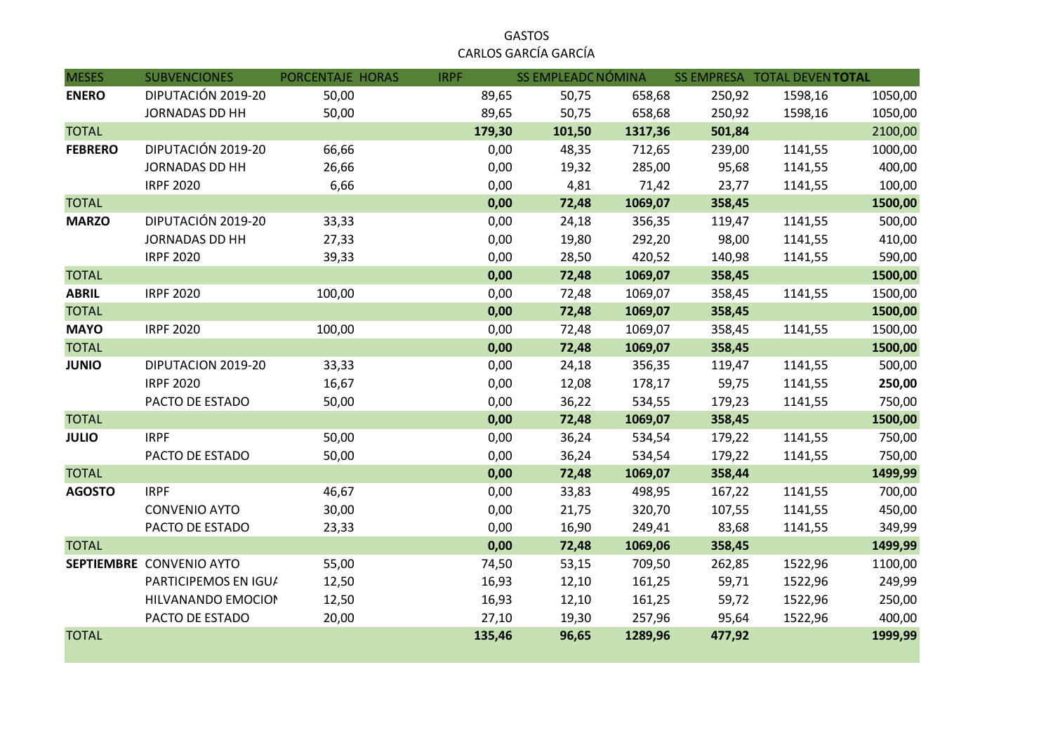|                      | <b>GASTOS</b> |  |
|----------------------|---------------|--|
| CARLOS GARCÍA GARCÍA |               |  |

| <b>MESES</b>   | <b>SUBVENCIONES</b>      | PORCENTAJE HORAS | <b>IRPF</b> | <b>SS EMPLEADC NÓMINA</b> |         |        | SS EMPRESA TOTAL DEVENTOTAL |         |
|----------------|--------------------------|------------------|-------------|---------------------------|---------|--------|-----------------------------|---------|
| <b>ENERO</b>   | DIPUTACIÓN 2019-20       | 50,00            | 89,65       | 50,75                     | 658,68  | 250,92 | 1598,16                     | 1050,00 |
|                | <b>JORNADAS DD HH</b>    | 50,00            | 89,65       | 50,75                     | 658,68  | 250,92 | 1598,16                     | 1050,00 |
| <b>TOTAL</b>   |                          |                  | 179,30      | 101,50                    | 1317,36 | 501,84 |                             | 2100,00 |
| <b>FEBRERO</b> | DIPUTACIÓN 2019-20       | 66,66            | 0,00        | 48,35                     | 712,65  | 239,00 | 1141,55                     | 1000,00 |
|                | <b>JORNADAS DD HH</b>    | 26,66            | 0,00        | 19,32                     | 285,00  | 95,68  | 1141,55                     | 400,00  |
|                | <b>IRPF 2020</b>         | 6,66             | 0,00        | 4,81                      | 71,42   | 23,77  | 1141,55                     | 100,00  |
| <b>TOTAL</b>   |                          |                  | 0,00        | 72,48                     | 1069,07 | 358,45 |                             | 1500,00 |
| <b>MARZO</b>   | DIPUTACIÓN 2019-20       | 33,33            | 0,00        | 24,18                     | 356,35  | 119,47 | 1141,55                     | 500,00  |
|                | <b>JORNADAS DD HH</b>    | 27,33            | 0,00        | 19,80                     | 292,20  | 98,00  | 1141,55                     | 410,00  |
|                | <b>IRPF 2020</b>         | 39,33            | 0,00        | 28,50                     | 420,52  | 140,98 | 1141,55                     | 590,00  |
| <b>TOTAL</b>   |                          |                  | 0,00        | 72,48                     | 1069,07 | 358,45 |                             | 1500,00 |
| <b>ABRIL</b>   | <b>IRPF 2020</b>         | 100,00           | 0,00        | 72,48                     | 1069,07 | 358,45 | 1141,55                     | 1500,00 |
| <b>TOTAL</b>   |                          |                  | 0,00        | 72,48                     | 1069,07 | 358,45 |                             | 1500,00 |
| <b>MAYO</b>    | <b>IRPF 2020</b>         | 100,00           | 0,00        | 72,48                     | 1069,07 | 358,45 | 1141,55                     | 1500,00 |
| <b>TOTAL</b>   |                          |                  | 0,00        | 72,48                     | 1069,07 | 358,45 |                             | 1500,00 |
| <b>JUNIO</b>   | DIPUTACION 2019-20       | 33,33            | 0,00        | 24,18                     | 356,35  | 119,47 | 1141,55                     | 500,00  |
|                | <b>IRPF 2020</b>         | 16,67            | 0,00        | 12,08                     | 178,17  | 59,75  | 1141,55                     | 250,00  |
|                | PACTO DE ESTADO          | 50,00            | 0,00        | 36,22                     | 534,55  | 179,23 | 1141,55                     | 750,00  |
| <b>TOTAL</b>   |                          |                  | 0,00        | 72,48                     | 1069,07 | 358,45 |                             | 1500,00 |
| <b>JULIO</b>   | <b>IRPF</b>              | 50,00            | 0,00        | 36,24                     | 534,54  | 179,22 | 1141,55                     | 750,00  |
|                | PACTO DE ESTADO          | 50,00            | 0,00        | 36,24                     | 534,54  | 179,22 | 1141,55                     | 750,00  |
| <b>TOTAL</b>   |                          |                  | 0,00        | 72,48                     | 1069,07 | 358,44 |                             | 1499,99 |
| <b>AGOSTO</b>  | <b>IRPF</b>              | 46,67            | 0,00        | 33,83                     | 498,95  | 167,22 | 1141,55                     | 700,00  |
|                | <b>CONVENIO AYTO</b>     | 30,00            | 0,00        | 21,75                     | 320,70  | 107,55 | 1141,55                     | 450,00  |
|                | PACTO DE ESTADO          | 23,33            | 0,00        | 16,90                     | 249,41  | 83,68  | 1141,55                     | 349,99  |
| <b>TOTAL</b>   |                          |                  | 0,00        | 72,48                     | 1069,06 | 358,45 |                             | 1499,99 |
|                | SEPTIEMBRE CONVENIO AYTO | 55,00            | 74,50       | 53,15                     | 709,50  | 262,85 | 1522,96                     | 1100,00 |
|                | PARTICIPEMOS EN IGU/     | 12,50            | 16,93       | 12,10                     | 161,25  | 59,71  | 1522,96                     | 249,99  |
|                | HILVANANDO EMOCION       | 12,50            | 16,93       | 12,10                     | 161,25  | 59,72  | 1522,96                     | 250,00  |
|                | PACTO DE ESTADO          | 20,00            | 27,10       | 19,30                     | 257,96  | 95,64  | 1522,96                     | 400,00  |
| <b>TOTAL</b>   |                          |                  | 135,46      | 96,65                     | 1289,96 | 477,92 |                             | 1999,99 |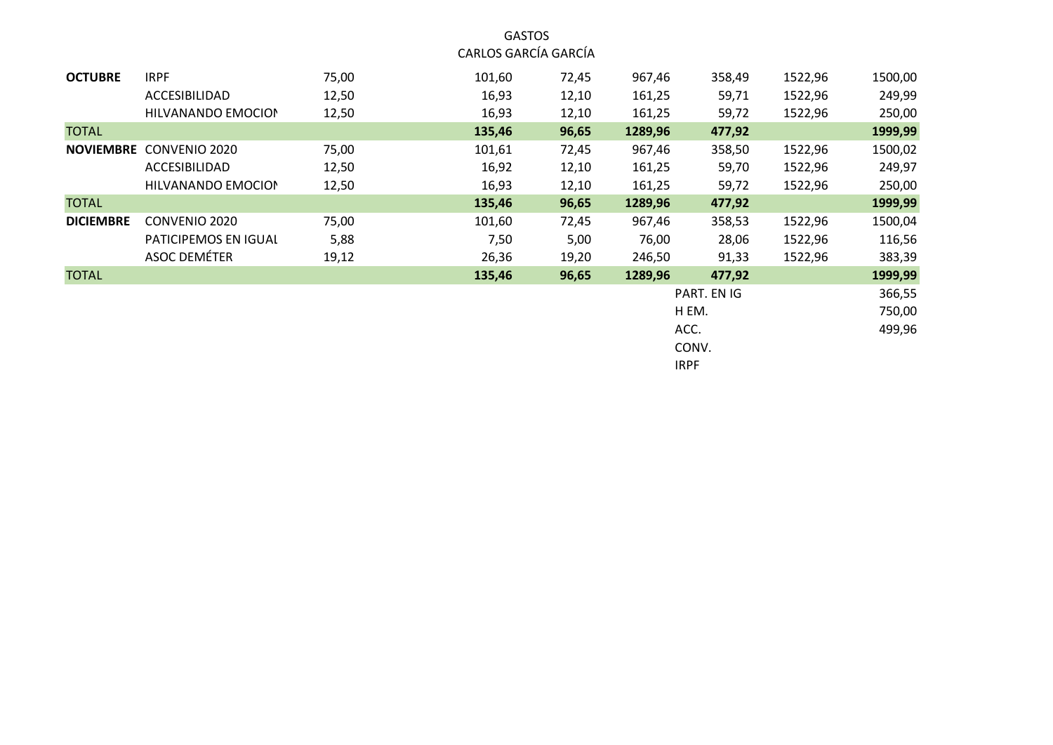GASTOS CARLOS GARCÍA GARCÍA

| <b>OCTUBRE</b>   | <b>IRPF</b>                    | 75,00 | 101,60 | 72,45 | 967,46  | 358,49      | 1522,96 | 1500,00 |
|------------------|--------------------------------|-------|--------|-------|---------|-------------|---------|---------|
|                  | ACCESIBILIDAD                  | 12,50 | 16,93  | 12,10 | 161,25  | 59,71       | 1522,96 | 249,99  |
|                  | HILVANANDO EMOCION             | 12,50 | 16,93  | 12,10 | 161,25  | 59,72       | 1522,96 | 250,00  |
| <b>TOTAL</b>     |                                |       | 135,46 | 96,65 | 1289,96 | 477,92      |         | 1999,99 |
|                  | <b>NOVIEMBRE CONVENIO 2020</b> | 75,00 | 101,61 | 72,45 | 967,46  | 358,50      | 1522,96 | 1500,02 |
|                  | ACCESIBILIDAD                  | 12,50 | 16,92  | 12,10 | 161,25  | 59,70       | 1522,96 | 249,97  |
|                  | HILVANANDO EMOCION             | 12,50 | 16,93  | 12,10 | 161,25  | 59,72       | 1522,96 | 250,00  |
| <b>TOTAL</b>     |                                |       | 135,46 | 96,65 | 1289,96 | 477,92      |         | 1999,99 |
| <b>DICIEMBRE</b> | CONVENIO 2020                  | 75,00 | 101,60 | 72,45 | 967,46  | 358,53      | 1522,96 | 1500,04 |
|                  | PATICIPEMOS EN IGUAL           | 5,88  | 7,50   | 5,00  | 76,00   | 28,06       | 1522,96 | 116,56  |
|                  | <b>ASOC DEMÉTER</b>            | 19,12 | 26,36  | 19,20 | 246,50  | 91,33       | 1522,96 | 383,39  |
| <b>TOTAL</b>     |                                |       | 135,46 | 96,65 | 1289,96 | 477,92      |         | 1999,99 |
|                  |                                |       |        |       |         | PART. EN IG |         | 366,55  |
|                  |                                |       |        |       |         | H EM.       |         | 750,00  |
|                  |                                |       |        |       |         | ACC.        |         | 499,96  |

CONV.

IRPF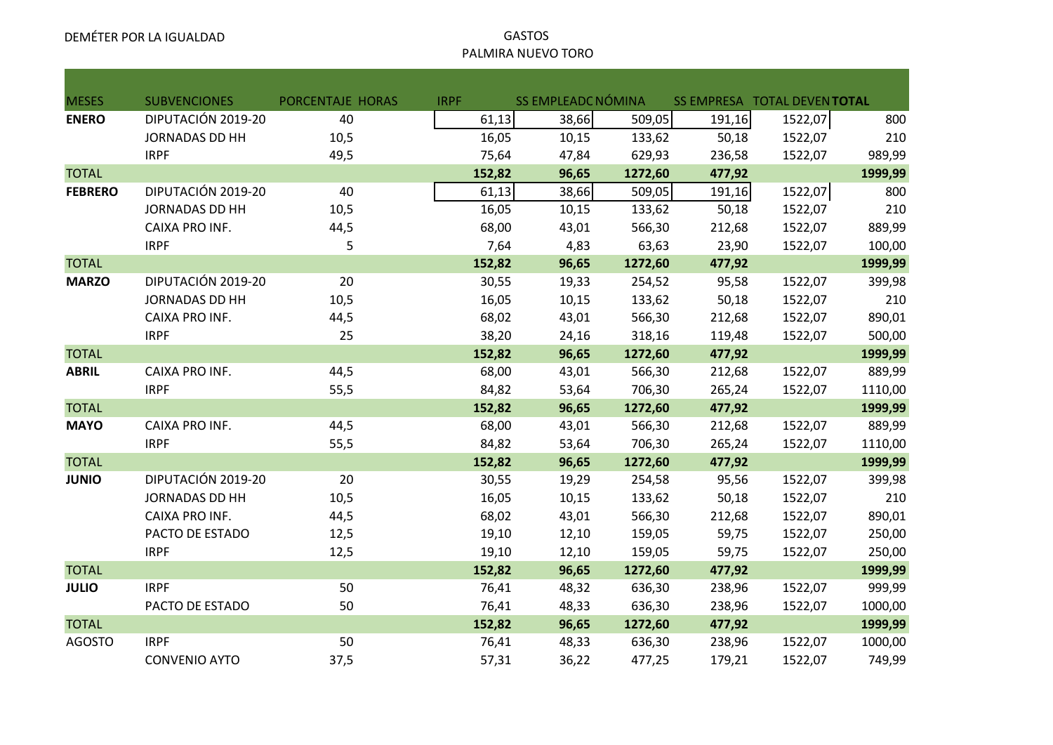# PALMIRA NUEVO TORO

| <b>MESES</b>   | <b>SUBVENCIONES</b>   | PORCENTAJE HORAS | <b>IRPF</b> | SS EMPLEADC NÓMINA |         | SS EMPRESA TOTAL DEVENTOTAL |         |         |
|----------------|-----------------------|------------------|-------------|--------------------|---------|-----------------------------|---------|---------|
| <b>ENERO</b>   | DIPUTACIÓN 2019-20    | 40               | 61,13       | 38,66              | 509,05  | 191,16                      | 1522,07 | 800     |
|                | <b>JORNADAS DD HH</b> | 10,5             | 16,05       | 10,15              | 133,62  | 50,18                       | 1522,07 | 210     |
|                | <b>IRPF</b>           | 49,5             | 75,64       | 47,84              | 629,93  | 236,58                      | 1522,07 | 989,99  |
| <b>TOTAL</b>   |                       |                  | 152,82      | 96,65              | 1272,60 | 477,92                      |         | 1999,99 |
| <b>FEBRERO</b> | DIPUTACIÓN 2019-20    | 40               | 61,13       | 38,66              | 509,05  | 191,16                      | 1522,07 | 800     |
|                | <b>JORNADAS DD HH</b> | 10,5             | 16,05       | 10,15              | 133,62  | 50,18                       | 1522,07 | 210     |
|                | CAIXA PRO INF.        | 44,5             | 68,00       | 43,01              | 566,30  | 212,68                      | 1522,07 | 889,99  |
|                | <b>IRPF</b>           | 5                | 7,64        | 4,83               | 63,63   | 23,90                       | 1522,07 | 100,00  |
| <b>TOTAL</b>   |                       |                  | 152,82      | 96,65              | 1272,60 | 477,92                      |         | 1999,99 |
| <b>MARZO</b>   | DIPUTACIÓN 2019-20    | 20               | 30,55       | 19,33              | 254,52  | 95,58                       | 1522,07 | 399,98  |
|                | <b>JORNADAS DD HH</b> | 10,5             | 16,05       | 10,15              | 133,62  | 50,18                       | 1522,07 | 210     |
|                | CAIXA PRO INF.        | 44,5             | 68,02       | 43,01              | 566,30  | 212,68                      | 1522,07 | 890,01  |
|                | <b>IRPF</b>           | 25               | 38,20       | 24,16              | 318,16  | 119,48                      | 1522,07 | 500,00  |
| <b>TOTAL</b>   |                       |                  | 152,82      | 96,65              | 1272,60 | 477,92                      |         | 1999,99 |
| <b>ABRIL</b>   | CAIXA PRO INF.        | 44,5             | 68,00       | 43,01              | 566,30  | 212,68                      | 1522,07 | 889,99  |
|                | <b>IRPF</b>           | 55,5             | 84,82       | 53,64              | 706,30  | 265,24                      | 1522,07 | 1110,00 |
| <b>TOTAL</b>   |                       |                  | 152,82      | 96,65              | 1272,60 | 477,92                      |         | 1999,99 |
| <b>MAYO</b>    | CAIXA PRO INF.        | 44,5             | 68,00       | 43,01              | 566,30  | 212,68                      | 1522,07 | 889,99  |
|                | <b>IRPF</b>           | 55,5             | 84,82       | 53,64              | 706,30  | 265,24                      | 1522,07 | 1110,00 |
| <b>TOTAL</b>   |                       |                  | 152,82      | 96,65              | 1272,60 | 477,92                      |         | 1999,99 |
| <b>JUNIO</b>   | DIPUTACIÓN 2019-20    | 20               | 30,55       | 19,29              | 254,58  | 95,56                       | 1522,07 | 399,98  |
|                | <b>JORNADAS DD HH</b> | 10,5             | 16,05       | 10,15              | 133,62  | 50,18                       | 1522,07 | 210     |
|                | CAIXA PRO INF.        | 44,5             | 68,02       | 43,01              | 566,30  | 212,68                      | 1522,07 | 890,01  |
|                | PACTO DE ESTADO       | 12,5             | 19,10       | 12,10              | 159,05  | 59,75                       | 1522,07 | 250,00  |
|                | <b>IRPF</b>           | 12,5             | 19,10       | 12,10              | 159,05  | 59,75                       | 1522,07 | 250,00  |
| <b>TOTAL</b>   |                       |                  | 152,82      | 96,65              | 1272,60 | 477,92                      |         | 1999,99 |
| <b>JULIO</b>   | <b>IRPF</b>           | 50               | 76,41       | 48,32              | 636,30  | 238,96                      | 1522,07 | 999,99  |
|                | PACTO DE ESTADO       | 50               | 76,41       | 48,33              | 636,30  | 238,96                      | 1522,07 | 1000,00 |
| <b>TOTAL</b>   |                       |                  | 152,82      | 96,65              | 1272,60 | 477,92                      |         | 1999,99 |
| <b>AGOSTO</b>  | <b>IRPF</b>           | 50               | 76,41       | 48,33              | 636,30  | 238,96                      | 1522,07 | 1000,00 |
|                | <b>CONVENIO AYTO</b>  | 37,5             | 57,31       | 36,22              | 477,25  | 179,21                      | 1522,07 | 749,99  |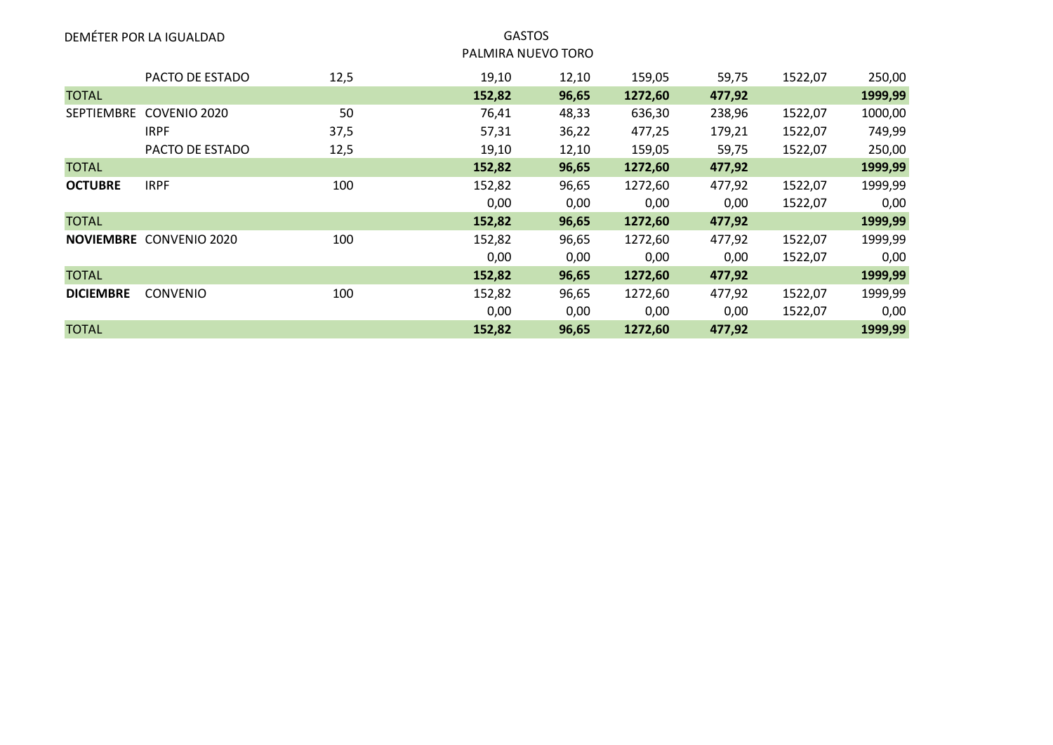|                  | DEMÉTER POR LA IGUALDAD        |      |        | <b>GASTOS</b><br>PALMIRA NUEVO TORO |         |        |         |         |
|------------------|--------------------------------|------|--------|-------------------------------------|---------|--------|---------|---------|
|                  | PACTO DE ESTADO                | 12,5 | 19,10  | 12,10                               | 159,05  | 59,75  | 1522,07 | 250,00  |
| <b>TOTAL</b>     |                                |      | 152,82 | 96,65                               | 1272,60 | 477,92 |         | 1999,99 |
|                  | SEPTIEMBRE COVENIO 2020        | 50   | 76,41  | 48,33                               | 636,30  | 238,96 | 1522,07 | 1000,00 |
|                  | <b>IRPF</b>                    | 37,5 | 57,31  | 36,22                               | 477,25  | 179,21 | 1522,07 | 749,99  |
|                  | PACTO DE ESTADO                | 12,5 | 19,10  | 12,10                               | 159,05  | 59,75  | 1522,07 | 250,00  |
| <b>TOTAL</b>     |                                |      | 152,82 | 96,65                               | 1272,60 | 477,92 |         | 1999,99 |
| <b>OCTUBRE</b>   | <b>IRPF</b>                    | 100  | 152,82 | 96,65                               | 1272,60 | 477,92 | 1522,07 | 1999,99 |
|                  |                                |      | 0,00   | 0,00                                | 0,00    | 0,00   | 1522,07 | 0,00    |
| <b>TOTAL</b>     |                                |      | 152,82 | 96,65                               | 1272,60 | 477,92 |         | 1999,99 |
|                  | <b>NOVIEMBRE CONVENIO 2020</b> | 100  | 152,82 | 96,65                               | 1272,60 | 477,92 | 1522,07 | 1999,99 |
|                  |                                |      | 0,00   | 0,00                                | 0,00    | 0,00   | 1522,07 | 0,00    |
| <b>TOTAL</b>     |                                |      | 152,82 | 96,65                               | 1272,60 | 477,92 |         | 1999,99 |
| <b>DICIEMBRE</b> | <b>CONVENIO</b>                | 100  | 152,82 | 96,65                               | 1272,60 | 477,92 | 1522,07 | 1999,99 |
|                  |                                |      | 0,00   | 0,00                                | 0,00    | 0,00   | 1522,07 | 0,00    |
| <b>TOTAL</b>     |                                |      | 152,82 | 96,65                               | 1272,60 | 477,92 |         | 1999,99 |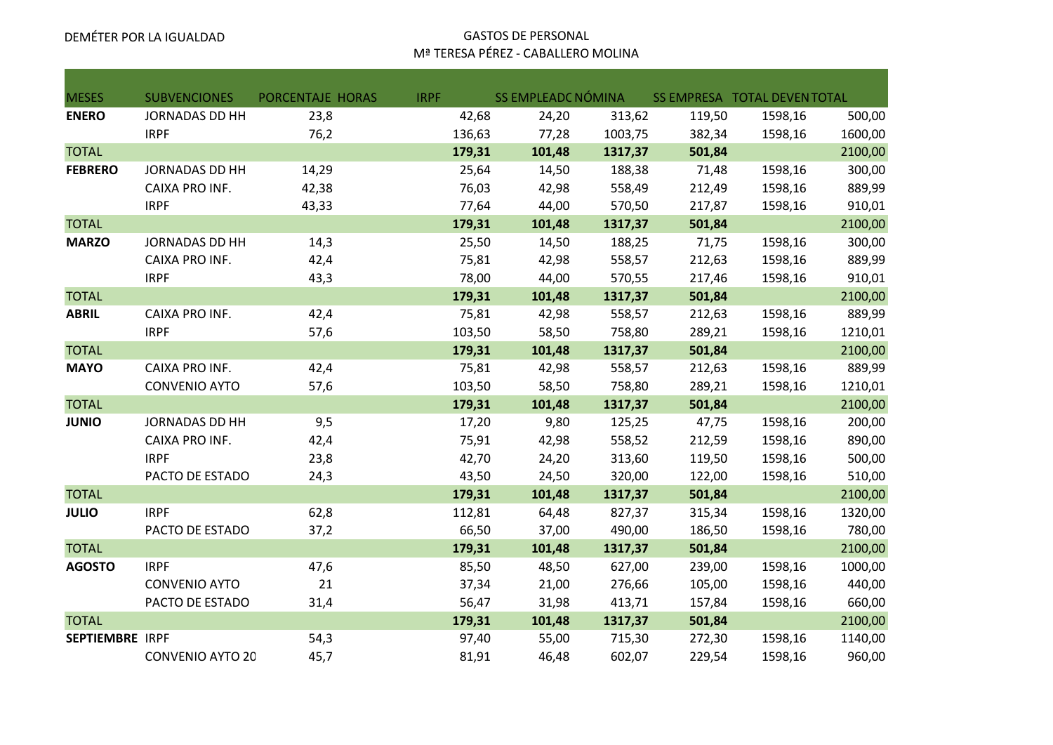#### DEMÉTER POR LA IGUALDAD GASTOS DE PERSONAL Mª TERESA PÉREZ - CABALLERO MOLINA

| <b>MESES</b>           | <b>SUBVENCIONES</b>     | PORCENTAJE HORAS | <b>IRPF</b> | SS EMPLEADC NÓMINA |         |        | SS EMPRESA TOTAL DEVEN TOTAL |         |
|------------------------|-------------------------|------------------|-------------|--------------------|---------|--------|------------------------------|---------|
| <b>ENERO</b>           | <b>JORNADAS DD HH</b>   | 23,8             | 42,68       | 24,20              | 313,62  | 119,50 | 1598,16                      | 500,00  |
|                        | <b>IRPF</b>             | 76,2             | 136,63      | 77,28              | 1003,75 | 382,34 | 1598,16                      | 1600,00 |
| <b>TOTAL</b>           |                         |                  | 179,31      | 101,48             | 1317,37 | 501,84 |                              | 2100,00 |
| <b>FEBRERO</b>         | <b>JORNADAS DD HH</b>   | 14,29            | 25,64       | 14,50              | 188,38  | 71,48  | 1598,16                      | 300,00  |
|                        | CAIXA PRO INF.          | 42,38            | 76,03       | 42,98              | 558,49  | 212,49 | 1598,16                      | 889,99  |
|                        | <b>IRPF</b>             | 43,33            | 77,64       | 44,00              | 570,50  | 217,87 | 1598,16                      | 910,01  |
| <b>TOTAL</b>           |                         |                  | 179,31      | 101,48             | 1317,37 | 501,84 |                              | 2100,00 |
| <b>MARZO</b>           | <b>JORNADAS DD HH</b>   | 14,3             | 25,50       | 14,50              | 188,25  | 71,75  | 1598,16                      | 300,00  |
|                        | CAIXA PRO INF.          | 42,4             | 75,81       | 42,98              | 558,57  | 212,63 | 1598,16                      | 889,99  |
|                        | <b>IRPF</b>             | 43,3             | 78,00       | 44,00              | 570,55  | 217,46 | 1598,16                      | 910,01  |
| <b>TOTAL</b>           |                         |                  | 179,31      | 101,48             | 1317,37 | 501,84 |                              | 2100,00 |
| <b>ABRIL</b>           | CAIXA PRO INF.          | 42,4             | 75,81       | 42,98              | 558,57  | 212,63 | 1598,16                      | 889,99  |
|                        | <b>IRPF</b>             | 57,6             | 103,50      | 58,50              | 758,80  | 289,21 | 1598,16                      | 1210,01 |
| <b>TOTAL</b>           |                         |                  | 179,31      | 101,48             | 1317,37 | 501,84 |                              | 2100,00 |
| <b>MAYO</b>            | CAIXA PRO INF.          | 42,4             | 75,81       | 42,98              | 558,57  | 212,63 | 1598,16                      | 889,99  |
|                        | <b>CONVENIO AYTO</b>    | 57,6             | 103,50      | 58,50              | 758,80  | 289,21 | 1598,16                      | 1210,01 |
| <b>TOTAL</b>           |                         |                  | 179,31      | 101,48             | 1317,37 | 501,84 |                              | 2100,00 |
| <b>JUNIO</b>           | <b>JORNADAS DD HH</b>   | 9,5              | 17,20       | 9,80               | 125,25  | 47,75  | 1598,16                      | 200,00  |
|                        | CAIXA PRO INF.          | 42,4             | 75,91       | 42,98              | 558,52  | 212,59 | 1598,16                      | 890,00  |
|                        | <b>IRPF</b>             | 23,8             | 42,70       | 24,20              | 313,60  | 119,50 | 1598,16                      | 500,00  |
|                        | PACTO DE ESTADO         | 24,3             | 43,50       | 24,50              | 320,00  | 122,00 | 1598,16                      | 510,00  |
| <b>TOTAL</b>           |                         |                  | 179,31      | 101,48             | 1317,37 | 501,84 |                              | 2100,00 |
| <b>JULIO</b>           | <b>IRPF</b>             | 62,8             | 112,81      | 64,48              | 827,37  | 315,34 | 1598,16                      | 1320,00 |
|                        | PACTO DE ESTADO         | 37,2             | 66,50       | 37,00              | 490,00  | 186,50 | 1598,16                      | 780,00  |
| <b>TOTAL</b>           |                         |                  | 179,31      | 101,48             | 1317,37 | 501,84 |                              | 2100,00 |
| <b>AGOSTO</b>          | <b>IRPF</b>             | 47,6             | 85,50       | 48,50              | 627,00  | 239,00 | 1598,16                      | 1000,00 |
|                        | <b>CONVENIO AYTO</b>    | 21               | 37,34       | 21,00              | 276,66  | 105,00 | 1598,16                      | 440,00  |
|                        | PACTO DE ESTADO         | 31,4             | 56,47       | 31,98              | 413,71  | 157,84 | 1598,16                      | 660,00  |
| <b>TOTAL</b>           |                         |                  | 179,31      | 101,48             | 1317,37 | 501,84 |                              | 2100,00 |
| <b>SEPTIEMBRE IRPF</b> |                         | 54,3             | 97,40       | 55,00              | 715,30  | 272,30 | 1598,16                      | 1140,00 |
|                        | <b>CONVENIO AYTO 20</b> | 45,7             | 81,91       | 46,48              | 602,07  | 229,54 | 1598,16                      | 960,00  |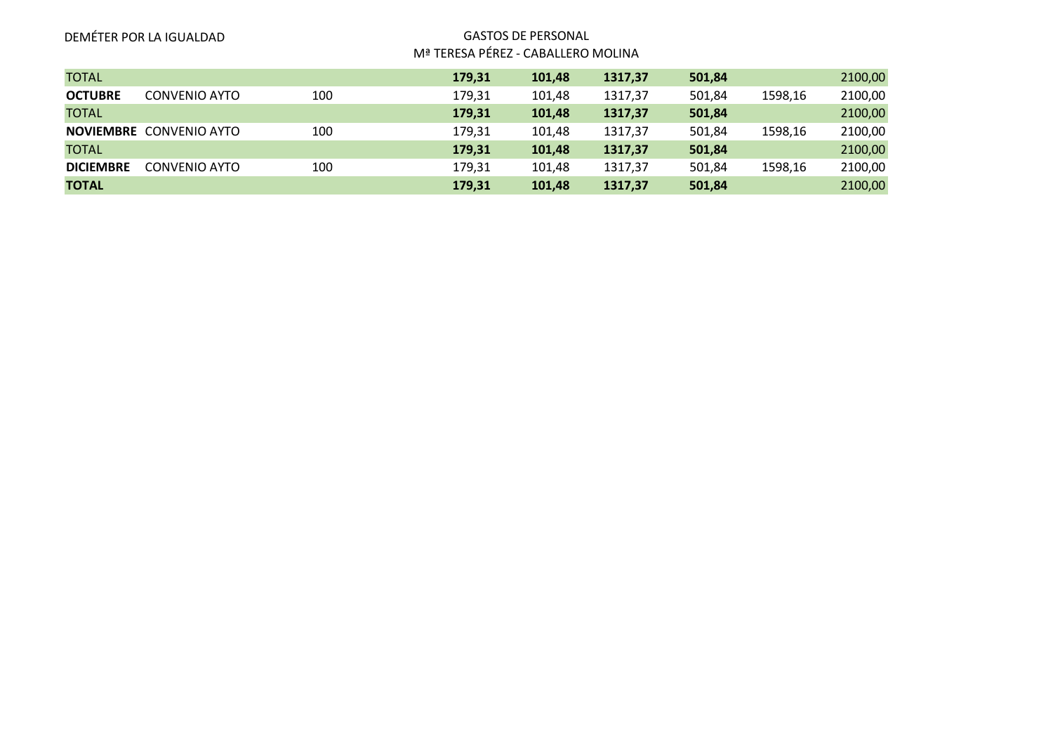|                  | DEMÉTER POR LA IGUALDAD        |     | <b>GASTOS DE PERSONAL</b><br>Mª TERESA PÉREZ - CABALLERO MOLINA |        |         |        |         |         |
|------------------|--------------------------------|-----|-----------------------------------------------------------------|--------|---------|--------|---------|---------|
| <b>TOTAL</b>     |                                |     | 179,31                                                          | 101,48 | 1317,37 | 501,84 |         | 2100,00 |
| <b>OCTUBRE</b>   | CONVENIO AYTO                  | 100 | 179,31                                                          | 101,48 | 1317,37 | 501,84 | 1598,16 | 2100,00 |
| <b>TOTAL</b>     |                                |     | 179,31                                                          | 101,48 | 1317,37 | 501,84 |         | 2100,00 |
|                  | <b>NOVIEMBRE CONVENIO AYTO</b> | 100 | 179,31                                                          | 101,48 | 1317,37 | 501,84 | 1598,16 | 2100,00 |
| <b>TOTAL</b>     |                                |     | 179,31                                                          | 101,48 | 1317,37 | 501,84 |         | 2100,00 |
| <b>DICIEMBRE</b> | <b>CONVENIO AYTO</b>           | 100 | 179,31                                                          | 101,48 | 1317,37 | 501,84 | 1598,16 | 2100,00 |
| <b>TOTAL</b>     |                                |     | 179,31                                                          | 101,48 | 1317,37 | 501,84 |         | 2100,00 |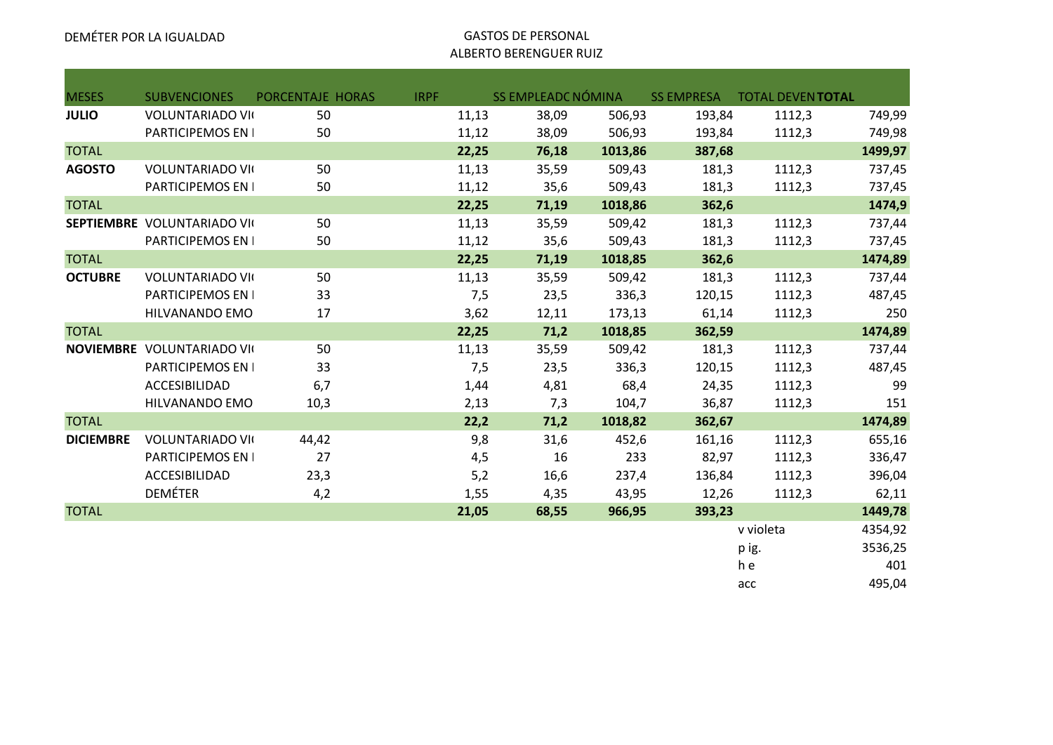# ALBERTO BERENGUER RUIZ

| <b>MESES</b>     | <b>SUBVENCIONES</b>               | PORCENTAJE HORAS | <b>IRPF</b> |       | <b>SS EMPLEADC NÓMINA</b> |         | <b>SS EMPRESA</b> | <b>TOTAL DEVENTOTAL</b> |         |
|------------------|-----------------------------------|------------------|-------------|-------|---------------------------|---------|-------------------|-------------------------|---------|
| <b>JULIO</b>     | <b>VOLUNTARIADO VII</b>           | 50               |             | 11,13 | 38,09                     | 506,93  | 193,84            | 1112,3                  | 749,99  |
|                  | PARTICIPEMOS EN I                 | 50               |             | 11,12 | 38,09                     | 506,93  | 193,84            | 1112,3                  | 749,98  |
| <b>TOTAL</b>     |                                   |                  |             | 22,25 | 76,18                     | 1013,86 | 387,68            |                         | 1499,97 |
| <b>AGOSTO</b>    | <b>VOLUNTARIADO VII</b>           | 50               |             | 11,13 | 35,59                     | 509,43  | 181,3             | 1112,3                  | 737,45  |
|                  | PARTICIPEMOS EN I                 | 50               |             | 11,12 | 35,6                      | 509,43  | 181,3             | 1112,3                  | 737,45  |
| <b>TOTAL</b>     |                                   |                  |             | 22,25 | 71,19                     | 1018,86 | 362,6             |                         | 1474,9  |
|                  | SEPTIEMBRE VOLUNTARIADO VII       | 50               |             | 11,13 | 35,59                     | 509,42  | 181,3             | 1112,3                  | 737,44  |
|                  | PARTICIPEMOS EN I                 | 50               |             | 11,12 | 35,6                      | 509,43  | 181,3             | 1112,3                  | 737,45  |
| <b>TOTAL</b>     |                                   |                  |             | 22,25 | 71,19                     | 1018,85 | 362,6             |                         | 1474,89 |
| <b>OCTUBRE</b>   | <b>VOLUNTARIADO VII</b>           | 50               |             | 11,13 | 35,59                     | 509,42  | 181,3             | 1112,3                  | 737,44  |
|                  | PARTICIPEMOS EN I                 | 33               |             | 7,5   | 23,5                      | 336,3   | 120,15            | 1112,3                  | 487,45  |
|                  | HILVANANDO EMO                    | 17               |             | 3,62  | 12,11                     | 173,13  | 61,14             | 1112,3                  | 250     |
| <b>TOTAL</b>     |                                   |                  |             | 22,25 | 71,2                      | 1018,85 | 362,59            |                         | 1474,89 |
|                  | <b>NOVIEMBRE VOLUNTARIADO VII</b> | 50               |             | 11,13 | 35,59                     | 509,42  | 181,3             | 1112,3                  | 737,44  |
|                  | PARTICIPEMOS EN I                 | 33               |             | 7,5   | 23,5                      | 336,3   | 120,15            | 1112,3                  | 487,45  |
|                  | ACCESIBILIDAD                     | 6,7              |             | 1,44  | 4,81                      | 68,4    | 24,35             | 1112,3                  | 99      |
|                  | HILVANANDO EMO                    | 10,3             |             | 2,13  | 7,3                       | 104,7   | 36,87             | 1112,3                  | 151     |
| <b>TOTAL</b>     |                                   |                  |             | 22,2  | 71,2                      | 1018,82 | 362,67            |                         | 1474,89 |
| <b>DICIEMBRE</b> | <b>VOLUNTARIADO VII</b>           | 44,42            |             | 9,8   | 31,6                      | 452,6   | 161,16            | 1112,3                  | 655,16  |
|                  | PARTICIPEMOS EN I                 | 27               |             | 4,5   | 16                        | 233     | 82,97             | 1112,3                  | 336,47  |
|                  | ACCESIBILIDAD                     | 23,3             |             | 5,2   | 16,6                      | 237,4   | 136,84            | 1112,3                  | 396,04  |
|                  | <b>DEMÉTER</b>                    | 4,2              |             | 1,55  | 4,35                      | 43,95   | 12,26             | 1112,3                  | 62,11   |
| <b>TOTAL</b>     |                                   |                  |             | 21,05 | 68,55                     | 966,95  | 393,23            |                         | 1449,78 |
|                  |                                   |                  |             |       |                           |         |                   | v violeta               | 4354,92 |
|                  |                                   |                  |             |       |                           |         |                   | p ig.                   | 3536,25 |
|                  |                                   |                  |             |       |                           |         |                   | h e                     | 401     |
|                  |                                   |                  |             |       |                           |         |                   | acc                     | 495,04  |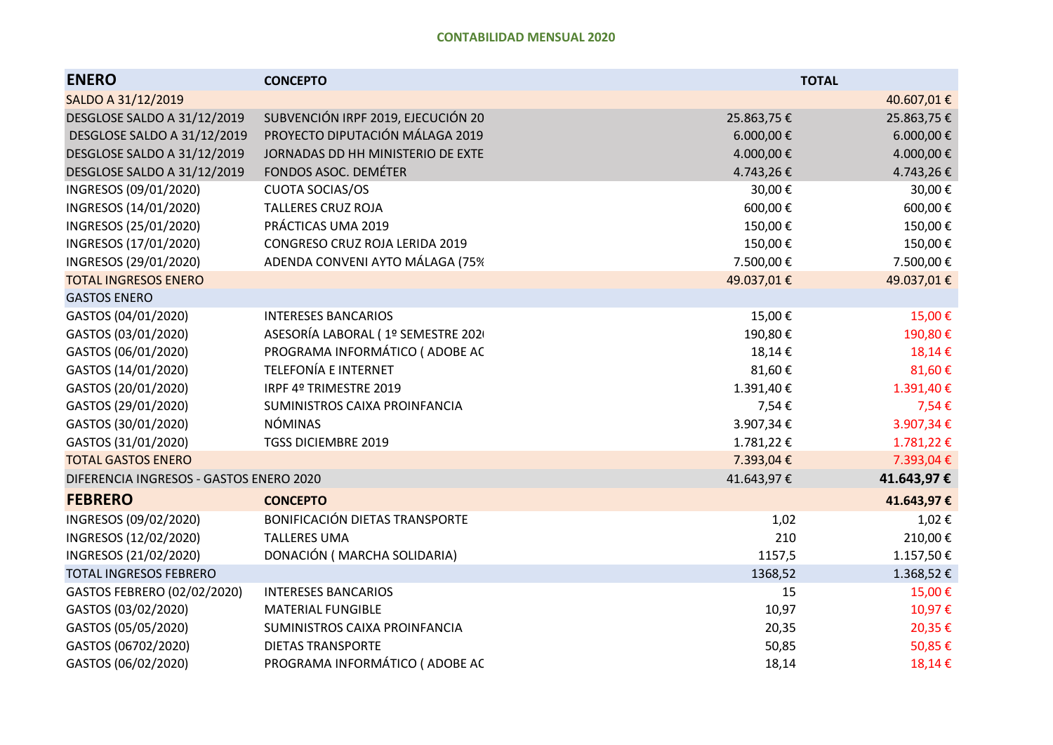| <b>ENERO</b>                            | <b>CONCEPTO</b>                    |            | <b>TOTAL</b> |
|-----------------------------------------|------------------------------------|------------|--------------|
| SALDO A 31/12/2019                      |                                    |            | 40.607,01€   |
| DESGLOSE SALDO A 31/12/2019             | SUBVENCIÓN IRPF 2019, EJECUCIÓN 20 | 25.863,75€ | 25.863,75€   |
| DESGLOSE SALDO A 31/12/2019             | PROYECTO DIPUTACIÓN MÁLAGA 2019    | 6.000,00€  | 6.000,00€    |
| DESGLOSE SALDO A 31/12/2019             | JORNADAS DD HH MINISTERIO DE EXTE  | 4.000,00€  | 4.000,00€    |
| DESGLOSE SALDO A 31/12/2019             | FONDOS ASOC. DEMÉTER               | 4.743,26€  | 4.743,26€    |
| INGRESOS (09/01/2020)                   | <b>CUOTA SOCIAS/OS</b>             | 30,00€     | 30,00€       |
| INGRESOS (14/01/2020)                   | <b>TALLERES CRUZ ROJA</b>          | 600,00€    | 600,00€      |
| INGRESOS (25/01/2020)                   | PRÁCTICAS UMA 2019                 | 150,00€    | 150,00€      |
| INGRESOS (17/01/2020)                   | CONGRESO CRUZ ROJA LERIDA 2019     | 150,00€    | 150,00€      |
| INGRESOS (29/01/2020)                   | ADENDA CONVENI AYTO MÁLAGA (75%    | 7.500,00€  | 7.500,00€    |
| <b>TOTAL INGRESOS ENERO</b>             |                                    | 49.037,01€ | 49.037,01€   |
| <b>GASTOS ENERO</b>                     |                                    |            |              |
| GASTOS (04/01/2020)                     | <b>INTERESES BANCARIOS</b>         | 15,00€     | 15,00€       |
| GASTOS (03/01/2020)                     | ASESORÍA LABORAL (1º SEMESTRE 202  | 190,80€    | 190,80€      |
| GASTOS (06/01/2020)                     | PROGRAMA INFORMÁTICO (ADOBE AC     | 18,14€     | 18,14€       |
| GASTOS (14/01/2020)                     | <b>TELEFONÍA E INTERNET</b>        | 81,60€     | 81,60€       |
| GASTOS (20/01/2020)                     | IRPF 4º TRIMESTRE 2019             | 1.391,40€  | 1.391,40€    |
| GASTOS (29/01/2020)                     | SUMINISTROS CAIXA PROINFANCIA      | 7,54€      | 7,54€        |
| GASTOS (30/01/2020)                     | <b>NÓMINAS</b>                     | 3.907,34€  | 3.907,34€    |
| GASTOS (31/01/2020)                     | <b>TGSS DICIEMBRE 2019</b>         | 1.781,22€  | 1.781,22€    |
| <b>TOTAL GASTOS ENERO</b>               |                                    | 7.393,04€  | 7.393,04€    |
| DIFERENCIA INGRESOS - GASTOS ENERO 2020 |                                    | 41.643,97€ | 41.643,97€   |
| <b>FEBRERO</b>                          | <b>CONCEPTO</b>                    |            | 41.643,97€   |
| INGRESOS (09/02/2020)                   | BONIFICACIÓN DIETAS TRANSPORTE     | 1,02       | 1,02€        |
| INGRESOS (12/02/2020)                   | <b>TALLERES UMA</b>                | 210        | 210,00€      |
| INGRESOS (21/02/2020)                   | DONACIÓN (MARCHA SOLIDARIA)        | 1157,5     | 1.157,50€    |
| <b>TOTAL INGRESOS FEBRERO</b>           |                                    | 1368,52    | 1.368,52€    |
| GASTOS FEBRERO (02/02/2020)             | <b>INTERESES BANCARIOS</b>         | 15         | 15,00€       |
| GASTOS (03/02/2020)                     | <b>MATERIAL FUNGIBLE</b>           | 10,97      | 10,97€       |
| GASTOS (05/05/2020)                     | SUMINISTROS CAIXA PROINFANCIA      | 20,35      | 20,35€       |
| GASTOS (06702/2020)                     | <b>DIETAS TRANSPORTE</b>           | 50,85      | 50,85€       |
| GASTOS (06/02/2020)                     | PROGRAMA INFORMÁTICO (ADOBE AC     | 18,14      | 18,14€       |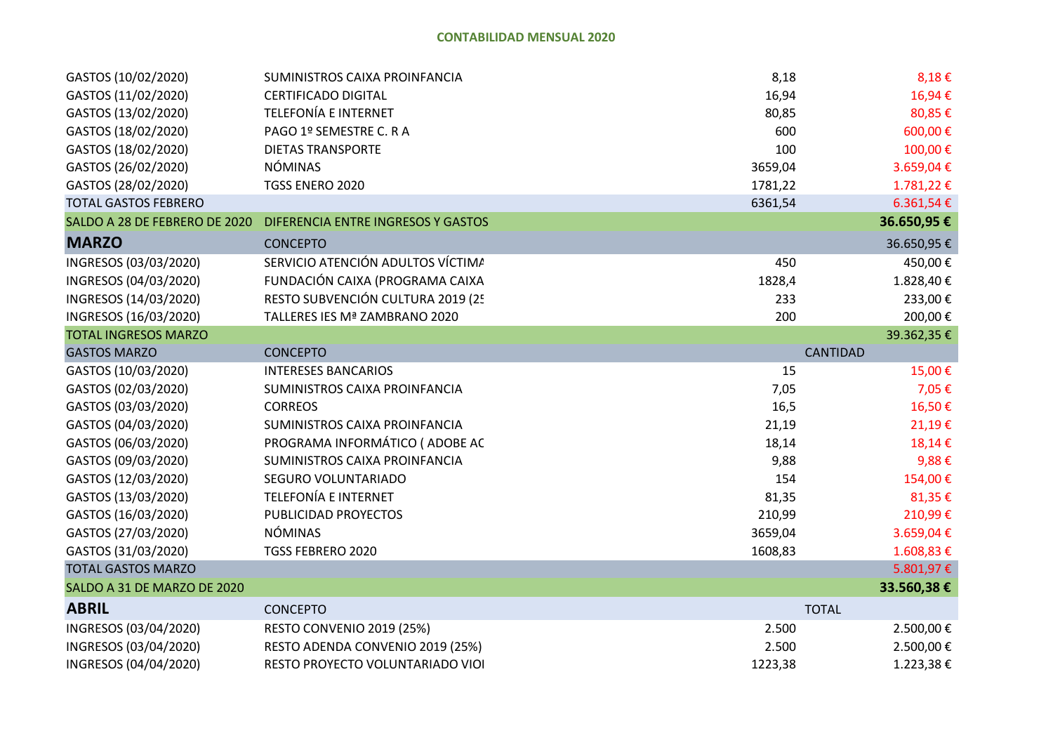| GASTOS (10/02/2020)           | SUMINISTROS CAIXA PROINFANCIA      | 8,18    | $8,18 \in$      |
|-------------------------------|------------------------------------|---------|-----------------|
| GASTOS (11/02/2020)           | <b>CERTIFICADO DIGITAL</b>         | 16,94   | 16,94€          |
| GASTOS (13/02/2020)           | <b>TELEFONÍA E INTERNET</b>        | 80,85   | 80,85€          |
| GASTOS (18/02/2020)           | PAGO 1º SEMESTRE C. R A            | 600     | 600,00€         |
| GASTOS (18/02/2020)           | <b>DIETAS TRANSPORTE</b>           | 100     | 100,00€         |
| GASTOS (26/02/2020)           | <b>NÓMINAS</b>                     | 3659,04 | 3.659,04€       |
| GASTOS (28/02/2020)           | TGSS ENERO 2020                    | 1781,22 | 1.781,22€       |
| <b>TOTAL GASTOS FEBRERO</b>   |                                    | 6361,54 | 6.361,54€       |
| SALDO A 28 DE FEBRERO DE 2020 | DIFERENCIA ENTRE INGRESOS Y GASTOS |         | 36.650,95€      |
| <b>MARZO</b>                  | <b>CONCEPTO</b>                    |         | 36.650,95€      |
| INGRESOS (03/03/2020)         | SERVICIO ATENCIÓN ADULTOS VÍCTIMA  | 450     | 450,00€         |
| INGRESOS (04/03/2020)         | FUNDACIÓN CAIXA (PROGRAMA CAIXA    | 1828,4  | 1.828,40€       |
| INGRESOS (14/03/2020)         | RESTO SUBVENCIÓN CULTURA 2019 (25  | 233     | 233,00€         |
| INGRESOS (16/03/2020)         | TALLERES IES Mª ZAMBRANO 2020      | 200     | 200,00€         |
| <b>TOTAL INGRESOS MARZO</b>   |                                    |         | 39.362,35€      |
| <b>GASTOS MARZO</b>           | <b>CONCEPTO</b>                    |         | <b>CANTIDAD</b> |
| GASTOS (10/03/2020)           | <b>INTERESES BANCARIOS</b>         | 15      | 15,00€          |
| GASTOS (02/03/2020)           | SUMINISTROS CAIXA PROINFANCIA      | 7,05    | 7,05€           |
| GASTOS (03/03/2020)           | <b>CORREOS</b>                     | 16,5    | 16,50€          |
| GASTOS (04/03/2020)           | SUMINISTROS CAIXA PROINFANCIA      | 21,19   | 21,19€          |
| GASTOS (06/03/2020)           | PROGRAMA INFORMÁTICO (ADOBE AC     | 18,14   | 18,14€          |
| GASTOS (09/03/2020)           | SUMINISTROS CAIXA PROINFANCIA      | 9,88    | 9,88€           |
| GASTOS (12/03/2020)           | SEGURO VOLUNTARIADO                | 154     | 154,00€         |
| GASTOS (13/03/2020)           | <b>TELEFONÍA E INTERNET</b>        | 81,35   | 81,35€          |
| GASTOS (16/03/2020)           | PUBLICIDAD PROYECTOS               | 210,99  | 210,99€         |
| GASTOS (27/03/2020)           | <b>NÓMINAS</b>                     | 3659,04 | 3.659,04€       |
| GASTOS (31/03/2020)           | TGSS FEBRERO 2020                  | 1608,83 | 1.608,83 €      |
| <b>TOTAL GASTOS MARZO</b>     |                                    |         | 5.801,97€       |
| SALDO A 31 DE MARZO DE 2020   |                                    |         | 33.560,38€      |
| <b>ABRIL</b>                  | <b>CONCEPTO</b>                    |         | <b>TOTAL</b>    |
| INGRESOS (03/04/2020)         | RESTO CONVENIO 2019 (25%)          | 2.500   | 2.500,00€       |
| INGRESOS (03/04/2020)         | RESTO ADENDA CONVENIO 2019 (25%)   | 2.500   | 2.500,00€       |
| INGRESOS (04/04/2020)         | RESTO PROYECTO VOLUNTARIADO VIO    | 1223,38 | 1.223,38€       |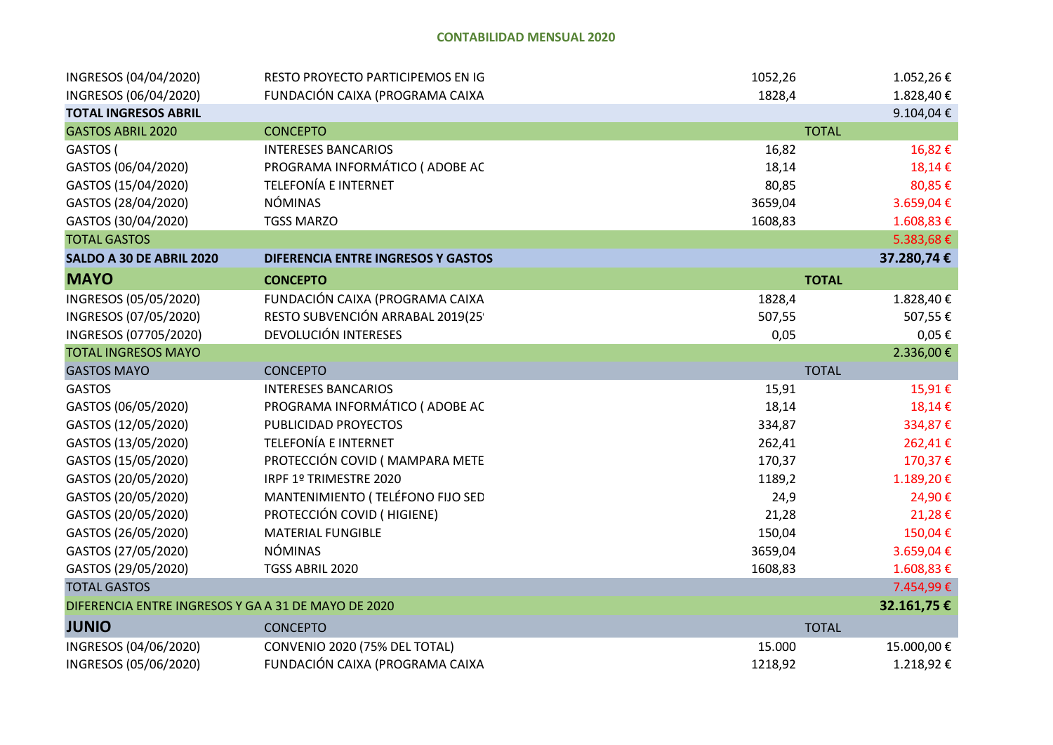| INGRESOS (04/04/2020)                               | RESTO PROYECTO PARTICIPEMOS EN IG         | 1052,26 | 1.052,26€    |
|-----------------------------------------------------|-------------------------------------------|---------|--------------|
| INGRESOS (06/04/2020)                               | FUNDACIÓN CAIXA (PROGRAMA CAIXA           | 1828,4  | 1.828,40€    |
| <b>TOTAL INGRESOS ABRIL</b>                         |                                           |         | 9.104,04€    |
| <b>GASTOS ABRIL 2020</b>                            | <b>CONCEPTO</b>                           |         | <b>TOTAL</b> |
| GASTOS (                                            | <b>INTERESES BANCARIOS</b>                | 16,82   | 16,82€       |
| GASTOS (06/04/2020)                                 | PROGRAMA INFORMÁTICO (ADOBE AC            | 18,14   | 18,14€       |
| GASTOS (15/04/2020)                                 | <b>TELEFONÍA E INTERNET</b>               | 80,85   | 80,85€       |
| GASTOS (28/04/2020)                                 | <b>NÓMINAS</b>                            | 3659,04 | 3.659,04€    |
| GASTOS (30/04/2020)                                 | <b>TGSS MARZO</b>                         | 1608,83 | 1.608,83€    |
| <b>TOTAL GASTOS</b>                                 |                                           |         | 5.383,68€    |
| SALDO A 30 DE ABRIL 2020                            | <b>DIFERENCIA ENTRE INGRESOS Y GASTOS</b> |         | 37.280,74€   |
| <b>MAYO</b>                                         | <b>CONCEPTO</b>                           |         | <b>TOTAL</b> |
| INGRESOS (05/05/2020)                               | FUNDACIÓN CAIXA (PROGRAMA CAIXA           | 1828,4  | 1.828,40€    |
| INGRESOS (07/05/2020)                               | RESTO SUBVENCIÓN ARRABAL 2019(25          | 507,55  | 507,55€      |
| INGRESOS (07705/2020)                               | DEVOLUCIÓN INTERESES                      | 0,05    | $0,05 \in$   |
| <b>TOTAL INGRESOS MAYO</b>                          |                                           |         | 2.336,00€    |
| <b>GASTOS MAYO</b>                                  | <b>CONCEPTO</b>                           |         | <b>TOTAL</b> |
| <b>GASTOS</b>                                       | <b>INTERESES BANCARIOS</b>                | 15,91   | 15,91€       |
| GASTOS (06/05/2020)                                 | PROGRAMA INFORMÁTICO (ADOBE AC            | 18,14   | 18,14€       |
| GASTOS (12/05/2020)                                 | PUBLICIDAD PROYECTOS                      | 334,87  | 334,87€      |
| GASTOS (13/05/2020)                                 | <b>TELEFONÍA E INTERNET</b>               | 262,41  | 262,41€      |
| GASTOS (15/05/2020)                                 | PROTECCIÓN COVID ( MAMPARA METE           | 170,37  | 170,37€      |
| GASTOS (20/05/2020)                                 | IRPF 1º TRIMESTRE 2020                    | 1189,2  | 1.189,20€    |
| GASTOS (20/05/2020)                                 | MANTENIMIENTO (TELÉFONO FIJO SED          | 24,9    | 24,90€       |
| GASTOS (20/05/2020)                                 | PROTECCIÓN COVID (HIGIENE)                | 21,28   | 21,28€       |
| GASTOS (26/05/2020)                                 | <b>MATERIAL FUNGIBLE</b>                  | 150,04  | 150,04€      |
| GASTOS (27/05/2020)                                 | <b>NÓMINAS</b>                            | 3659,04 | 3.659,04€    |
| GASTOS (29/05/2020)                                 | TGSS ABRIL 2020                           | 1608,83 | 1.608,83€    |
| <b>TOTAL GASTOS</b>                                 |                                           |         | 7.454,99€    |
| DIFERENCIA ENTRE INGRESOS Y GA A 31 DE MAYO DE 2020 |                                           |         | 32.161,75€   |
| <b>JUNIO</b>                                        | <b>CONCEPTO</b>                           |         | <b>TOTAL</b> |
| INGRESOS (04/06/2020)                               | CONVENIO 2020 (75% DEL TOTAL)             | 15.000  | 15.000,00€   |
| INGRESOS (05/06/2020)                               | FUNDACIÓN CAIXA (PROGRAMA CAIXA           | 1218,92 | 1.218,92€    |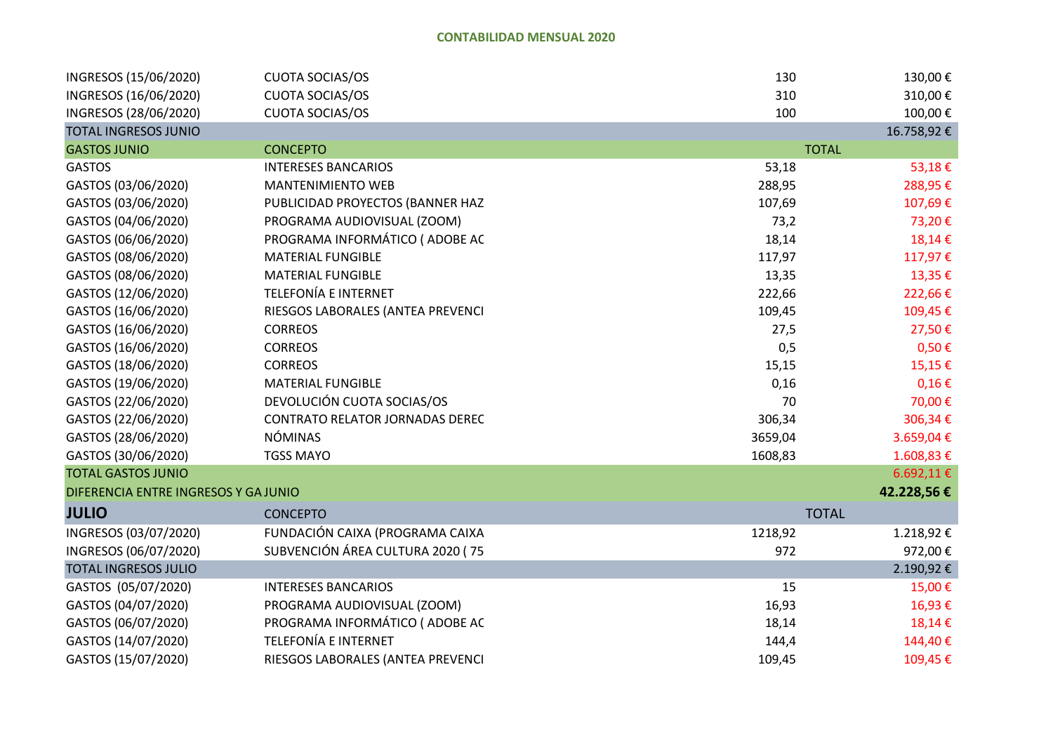| INGRESOS (15/06/2020)                | <b>CUOTA SOCIAS/OS</b>                 | 130     | 130,00€      |
|--------------------------------------|----------------------------------------|---------|--------------|
| INGRESOS (16/06/2020)                | <b>CUOTA SOCIAS/OS</b>                 | 310     | 310,00€      |
| INGRESOS (28/06/2020)                | <b>CUOTA SOCIAS/OS</b>                 | 100     | 100,00€      |
| <b>TOTAL INGRESOS JUNIO</b>          |                                        |         | 16.758,92€   |
| <b>GASTOS JUNIO</b>                  | <b>CONCEPTO</b>                        |         | <b>TOTAL</b> |
| <b>GASTOS</b>                        | <b>INTERESES BANCARIOS</b>             | 53,18   | 53,18€       |
| GASTOS (03/06/2020)                  | <b>MANTENIMIENTO WEB</b>               | 288,95  | 288,95€      |
| GASTOS (03/06/2020)                  | PUBLICIDAD PROYECTOS (BANNER HAZ       | 107,69  | 107,69€      |
| GASTOS (04/06/2020)                  | PROGRAMA AUDIOVISUAL (ZOOM)            | 73,2    | 73,20€       |
| GASTOS (06/06/2020)                  | PROGRAMA INFORMÁTICO (ADOBE AC         | 18,14   | 18,14€       |
| GASTOS (08/06/2020)                  | <b>MATERIAL FUNGIBLE</b>               | 117,97  | 117,97€      |
| GASTOS (08/06/2020)                  | <b>MATERIAL FUNGIBLE</b>               | 13,35   | 13,35€       |
| GASTOS (12/06/2020)                  | <b>TELEFONÍA E INTERNET</b>            | 222,66  | 222,66€      |
| GASTOS (16/06/2020)                  | RIESGOS LABORALES (ANTEA PREVENCI      | 109,45  | 109,45€      |
| GASTOS (16/06/2020)                  | <b>CORREOS</b>                         | 27,5    | 27,50€       |
| GASTOS (16/06/2020)                  | <b>CORREOS</b>                         | 0,5     | $0,50 \in$   |
| GASTOS (18/06/2020)                  | <b>CORREOS</b>                         | 15,15   | 15,15€       |
| GASTOS (19/06/2020)                  | <b>MATERIAL FUNGIBLE</b>               | 0,16    | $0,16 \in$   |
| GASTOS (22/06/2020)                  | DEVOLUCIÓN CUOTA SOCIAS/OS             | 70      | 70,00€       |
| GASTOS (22/06/2020)                  | <b>CONTRATO RELATOR JORNADAS DEREC</b> | 306,34  | 306,34€      |
| GASTOS (28/06/2020)                  | <b>NÓMINAS</b>                         | 3659,04 | 3.659,04€    |
| GASTOS (30/06/2020)                  | <b>TGSS MAYO</b>                       | 1608,83 | 1.608,83€    |
| <b>TOTAL GASTOS JUNIO</b>            |                                        |         | 6.692,11€    |
| DIFERENCIA ENTRE INGRESOS Y GA JUNIO |                                        |         | 42.228,56€   |
| <b>JULIO</b>                         | <b>CONCEPTO</b>                        |         | <b>TOTAL</b> |
| INGRESOS (03/07/2020)                | FUNDACIÓN CAIXA (PROGRAMA CAIXA        | 1218,92 | 1.218,92€    |
| INGRESOS (06/07/2020)                | SUBVENCIÓN ÁREA CULTURA 2020 (75       | 972     | 972,00€      |
| <b>TOTAL INGRESOS JULIO</b>          |                                        |         | 2.190,92€    |
| GASTOS (05/07/2020)                  | <b>INTERESES BANCARIOS</b>             | 15      | 15,00€       |
| GASTOS (04/07/2020)                  | PROGRAMA AUDIOVISUAL (ZOOM)            | 16,93   | 16,93€       |
| GASTOS (06/07/2020)                  | PROGRAMA INFORMÁTICO (ADOBE AC         | 18,14   | 18,14€       |
| GASTOS (14/07/2020)                  | <b>TELEFONÍA E INTERNET</b>            | 144,4   | 144,40€      |
| GASTOS (15/07/2020)                  | RIESGOS LABORALES (ANTEA PREVENCI      | 109,45  | 109,45€      |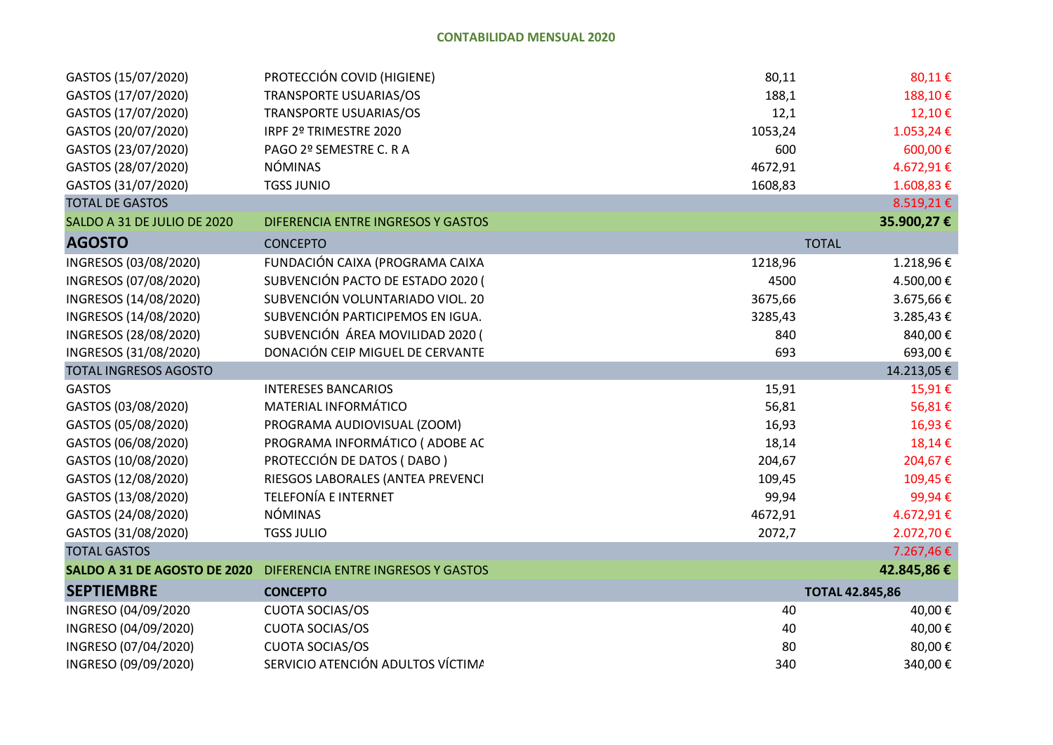| GASTOS (15/07/2020)          | PROTECCIÓN COVID (HIGIENE)         | 80,11   | 80,11€                 |
|------------------------------|------------------------------------|---------|------------------------|
| GASTOS (17/07/2020)          | <b>TRANSPORTE USUARIAS/OS</b>      | 188,1   | 188,10€                |
| GASTOS (17/07/2020)          | <b>TRANSPORTE USUARIAS/OS</b>      | 12,1    | 12,10€                 |
| GASTOS (20/07/2020)          | IRPF 2º TRIMESTRE 2020             | 1053,24 | 1.053,24€              |
| GASTOS (23/07/2020)          | PAGO 2º SEMESTRE C. R A            | 600     | 600,00€                |
| GASTOS (28/07/2020)          | <b>NÓMINAS</b>                     | 4672,91 | 4.672,91€              |
| GASTOS (31/07/2020)          | <b>TGSS JUNIO</b>                  | 1608,83 | 1.608,83€              |
| <b>TOTAL DE GASTOS</b>       |                                    |         | 8.519,21€              |
| SALDO A 31 DE JULIO DE 2020  | DIFERENCIA ENTRE INGRESOS Y GASTOS |         | 35.900,27€             |
| <b>AGOSTO</b>                | <b>CONCEPTO</b>                    |         | <b>TOTAL</b>           |
| INGRESOS (03/08/2020)        | FUNDACIÓN CAIXA (PROGRAMA CAIXA    | 1218,96 | 1.218,96€              |
| INGRESOS (07/08/2020)        | SUBVENCIÓN PACTO DE ESTADO 2020 (  | 4500    | 4.500,00€              |
| INGRESOS (14/08/2020)        | SUBVENCIÓN VOLUNTARIADO VIOL. 20   | 3675,66 | 3.675,66€              |
| INGRESOS (14/08/2020)        | SUBVENCIÓN PARTICIPEMOS EN IGUA.   | 3285,43 | 3.285,43€              |
| INGRESOS (28/08/2020)        | SUBVENCIÓN ÁREA MOVILIDAD 2020 (   | 840     | 840,00€                |
| INGRESOS (31/08/2020)        | DONACIÓN CEIP MIGUEL DE CERVANTE   | 693     | 693,00€                |
| <b>TOTAL INGRESOS AGOSTO</b> |                                    |         | 14.213,05€             |
| <b>GASTOS</b>                | <b>INTERESES BANCARIOS</b>         | 15,91   | 15,91€                 |
| GASTOS (03/08/2020)          | MATERIAL INFORMÁTICO               | 56,81   | 56,81€                 |
| GASTOS (05/08/2020)          | PROGRAMA AUDIOVISUAL (ZOOM)        | 16,93   | 16,93€                 |
| GASTOS (06/08/2020)          | PROGRAMA INFORMÁTICO (ADOBE AC     | 18,14   | 18,14€                 |
| GASTOS (10/08/2020)          | PROTECCIÓN DE DATOS (DABO)         | 204,67  | 204,67€                |
| GASTOS (12/08/2020)          | RIESGOS LABORALES (ANTEA PREVENCI  | 109,45  | 109,45€                |
| GASTOS (13/08/2020)          | <b>TELEFONÍA E INTERNET</b>        | 99,94   | 99,94€                 |
| GASTOS (24/08/2020)          | <b>NÓMINAS</b>                     | 4672,91 | 4.672,91€              |
| GASTOS (31/08/2020)          | <b>TGSS JULIO</b>                  | 2072,7  | 2.072,70€              |
| <b>TOTAL GASTOS</b>          |                                    |         | 7.267,46€              |
| SALDO A 31 DE AGOSTO DE 2020 | DIFERENCIA ENTRE INGRESOS Y GASTOS |         | 42.845,86€             |
| <b>SEPTIEMBRE</b>            | <b>CONCEPTO</b>                    |         | <b>TOTAL 42.845,86</b> |
| INGRESO (04/09/2020          | <b>CUOTA SOCIAS/OS</b>             | 40      | 40,00€                 |
| INGRESO (04/09/2020)         | <b>CUOTA SOCIAS/OS</b>             | 40      | 40,00€                 |
| INGRESO (07/04/2020)         | <b>CUOTA SOCIAS/OS</b>             | 80      | 80,00€                 |
| INGRESO (09/09/2020)         | SERVICIO ATENCIÓN ADULTOS VÍCTIMA  | 340     | 340,00€                |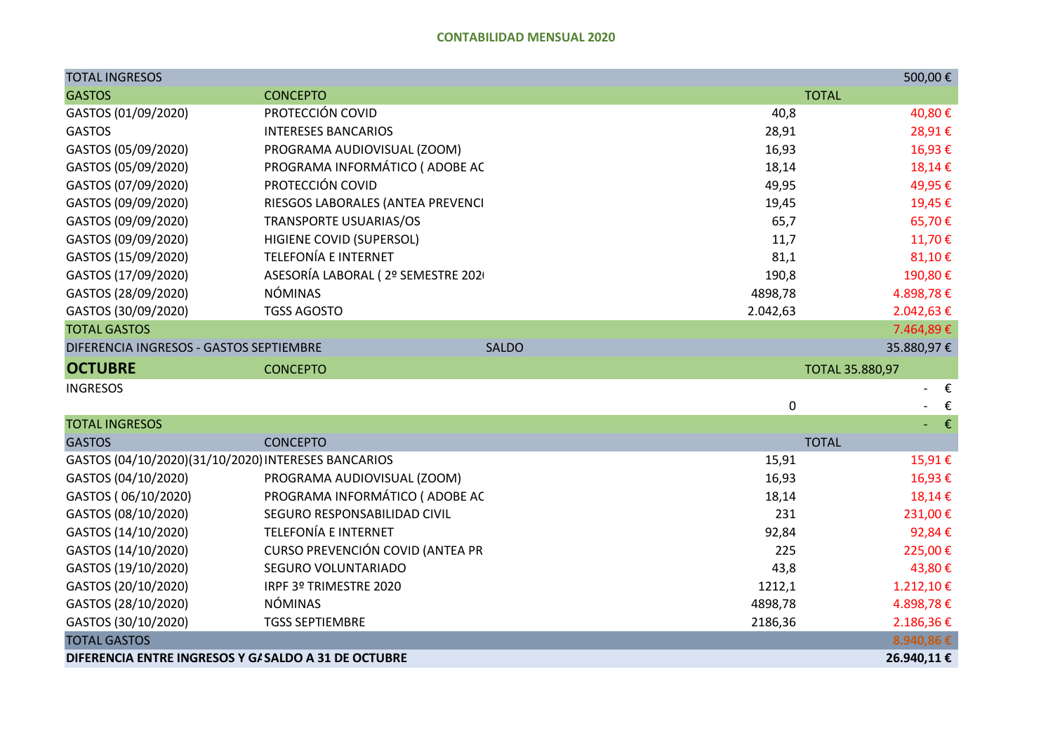| <b>TOTAL INGRESOS</b>                                |                                   |             | 500,00€                |
|------------------------------------------------------|-----------------------------------|-------------|------------------------|
| <b>GASTOS</b>                                        | <b>CONCEPTO</b>                   |             | <b>TOTAL</b>           |
| GASTOS (01/09/2020)                                  | PROTECCIÓN COVID                  | 40,8        | 40,80€                 |
| <b>GASTOS</b>                                        | <b>INTERESES BANCARIOS</b>        | 28,91       | 28,91€                 |
| GASTOS (05/09/2020)                                  | PROGRAMA AUDIOVISUAL (ZOOM)       | 16,93       | 16,93€                 |
| GASTOS (05/09/2020)                                  | PROGRAMA INFORMÁTICO (ADOBE AC    | 18,14       | 18,14€                 |
| GASTOS (07/09/2020)                                  | PROTECCIÓN COVID                  | 49,95       | 49,95€                 |
| GASTOS (09/09/2020)                                  | RIESGOS LABORALES (ANTEA PREVENCI | 19,45       | 19,45€                 |
| GASTOS (09/09/2020)                                  | TRANSPORTE USUARIAS/OS            | 65,7        | 65,70€                 |
| GASTOS (09/09/2020)                                  | <b>HIGIENE COVID (SUPERSOL)</b>   | 11,7        | 11,70€                 |
| GASTOS (15/09/2020)                                  | <b>TELEFONÍA E INTERNET</b>       | 81,1        | 81,10€                 |
| GASTOS (17/09/2020)                                  | ASESORÍA LABORAL (2º SEMESTRE 202 | 190,8       | 190,80€                |
| GASTOS (28/09/2020)                                  | <b>NÓMINAS</b>                    | 4898,78     | 4.898,78€              |
| GASTOS (30/09/2020)                                  | <b>TGSS AGOSTO</b>                | 2.042,63    | 2.042,63€              |
| <b>TOTAL GASTOS</b>                                  |                                   |             | 7.464,89€              |
| DIFERENCIA INGRESOS - GASTOS SEPTIEMBRE              | <b>SALDO</b>                      |             | 35.880,97€             |
| <b>OCTUBRE</b>                                       | <b>CONCEPTO</b>                   |             | <b>TOTAL 35.880,97</b> |
| <b>INGRESOS</b>                                      |                                   |             | $ \epsilon$            |
|                                                      |                                   | $\mathbf 0$ | $\epsilon$             |
| <b>TOTAL INGRESOS</b>                                |                                   |             | $ \epsilon$            |
| <b>GASTOS</b>                                        | <b>CONCEPTO</b>                   |             | <b>TOTAL</b>           |
| GASTOS (04/10/2020)(31/10/2020) INTERESES BANCARIOS  |                                   | 15,91       | 15,91€                 |
| GASTOS (04/10/2020)                                  | PROGRAMA AUDIOVISUAL (ZOOM)       | 16,93       | 16,93€                 |
| GASTOS (06/10/2020)                                  | PROGRAMA INFORMÁTICO (ADOBE AC    | 18,14       | 18,14€                 |
| GASTOS (08/10/2020)                                  | SEGURO RESPONSABILIDAD CIVIL      | 231         | 231,00€                |
| GASTOS (14/10/2020)                                  | <b>TELEFONÍA E INTERNET</b>       | 92,84       | 92,84€                 |
| GASTOS (14/10/2020)                                  | CURSO PREVENCIÓN COVID (ANTEA PR  | 225         | 225,00€                |
| GASTOS (19/10/2020)                                  | SEGURO VOLUNTARIADO               | 43,8        | 43,80€                 |
| GASTOS (20/10/2020)                                  | IRPF 3º TRIMESTRE 2020            | 1212,1      | 1.212,10€              |
| GASTOS (28/10/2020)                                  | <b>NÓMINAS</b>                    | 4898,78     | 4.898,78€              |
| GASTOS (30/10/2020)                                  | <b>TGSS SEPTIEMBRE</b>            | 2186,36     | 2.186,36€              |
| <b>TOTAL GASTOS</b>                                  |                                   |             | 8.940,86 €             |
| DIFERENCIA ENTRE INGRESOS Y G/ SALDO A 31 DE OCTUBRE |                                   |             | 26.940,11€             |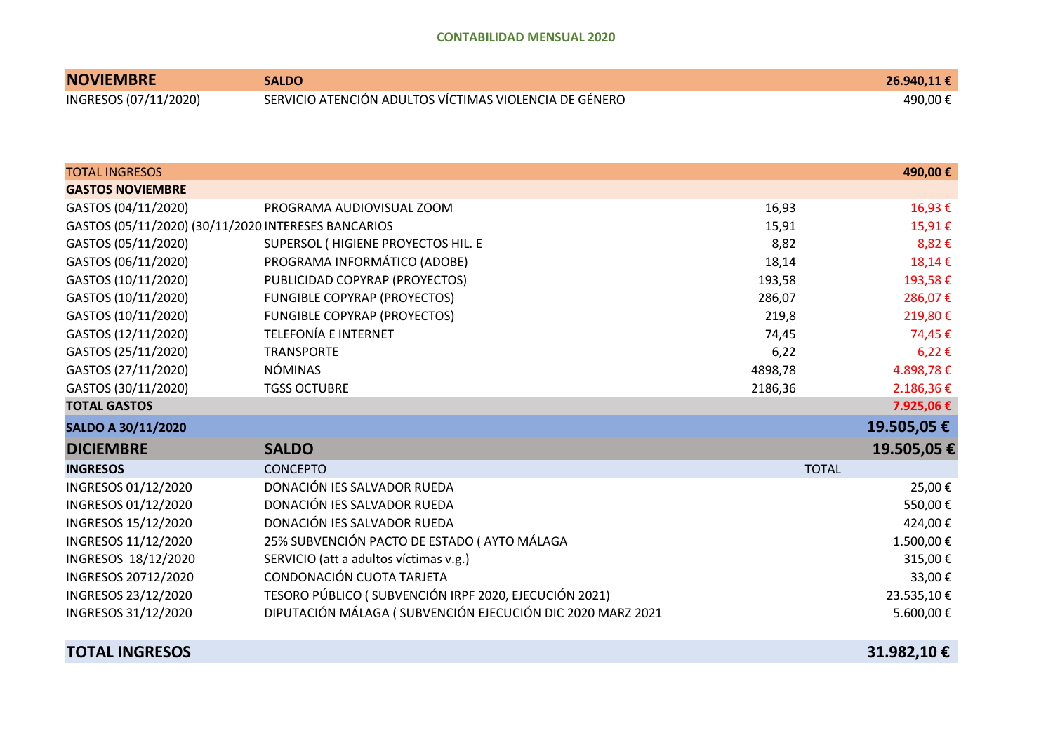| <b>NOVIEMBRE</b>      | <b>SALDO</b>                                           | 26.940,11€ |
|-----------------------|--------------------------------------------------------|------------|
| INGRESOS (07/11/2020) | SERVICIO ATENCIÓN ADULTOS VÍCTIMAS VIOLENCIA DE GÉNERO | 490,00 €   |

| <b>TOTAL INGRESOS</b>                               |                                                            |         | 490,00€      |
|-----------------------------------------------------|------------------------------------------------------------|---------|--------------|
| <b>GASTOS NOVIEMBRE</b>                             |                                                            |         |              |
|                                                     |                                                            |         |              |
| GASTOS (04/11/2020)                                 | PROGRAMA AUDIOVISUAL ZOOM                                  | 16,93   | 16,93€       |
| GASTOS (05/11/2020) (30/11/2020 INTERESES BANCARIOS |                                                            | 15,91   | 15,91€       |
| GASTOS (05/11/2020)                                 | SUPERSOL (HIGIENE PROYECTOS HIL. E                         | 8,82    | 8,82€        |
| GASTOS (06/11/2020)                                 | PROGRAMA INFORMÁTICO (ADOBE)                               | 18,14   | 18,14€       |
| GASTOS (10/11/2020)                                 | PUBLICIDAD COPYRAP (PROYECTOS)                             | 193,58  | 193,58€      |
| GASTOS (10/11/2020)                                 | <b>FUNGIBLE COPYRAP (PROYECTOS)</b>                        | 286,07  | 286,07€      |
| GASTOS (10/11/2020)                                 | <b>FUNGIBLE COPYRAP (PROYECTOS)</b>                        | 219,8   | 219,80€      |
| GASTOS (12/11/2020)                                 | <b>TELEFONÍA E INTERNET</b>                                | 74,45   | 74,45€       |
| GASTOS (25/11/2020)                                 | <b>TRANSPORTE</b>                                          | 6,22    | $6,22 \in$   |
| GASTOS (27/11/2020)                                 | <b>NÓMINAS</b>                                             | 4898,78 | 4.898,78€    |
| GASTOS (30/11/2020)                                 | <b>TGSS OCTUBRE</b>                                        | 2186,36 | 2.186,36€    |
| <b>TOTAL GASTOS</b>                                 |                                                            |         | 7.925,06 €   |
| SALDO A 30/11/2020                                  |                                                            |         | 19.505,05€   |
| <b>DICIEMBRE</b>                                    | <b>SALDO</b>                                               |         | 19.505,05€   |
| <b>INGRESOS</b>                                     | <b>CONCEPTO</b>                                            |         | <b>TOTAL</b> |
| INGRESOS 01/12/2020                                 | DONACIÓN IES SALVADOR RUEDA                                |         | 25,00€       |
| INGRESOS 01/12/2020                                 | DONACIÓN IES SALVADOR RUEDA                                |         | 550,00€      |
| INGRESOS 15/12/2020                                 | DONACIÓN IES SALVADOR RUEDA                                |         | 424,00€      |
| INGRESOS 11/12/2020                                 | 25% SUBVENCIÓN PACTO DE ESTADO (AYTO MÁLAGA                |         | 1.500,00€    |
| INGRESOS 18/12/2020                                 | SERVICIO (att a adultos víctimas v.g.)                     |         | 315,00€      |
| INGRESOS 20712/2020                                 | CONDONACIÓN CUOTA TARJETA                                  |         | 33,00€       |
| INGRESOS 23/12/2020                                 | TESORO PÚBLICO (SUBVENCIÓN IRPF 2020, EJECUCIÓN 2021)      |         | 23.535,10€   |
| INGRESOS 31/12/2020                                 | DIPUTACIÓN MÁLAGA (SUBVENCIÓN EJECUCIÓN DIC 2020 MARZ 2021 |         | 5.600,00€    |
|                                                     |                                                            |         |              |

**TOTAL INGRESOS 31.982,10 €**